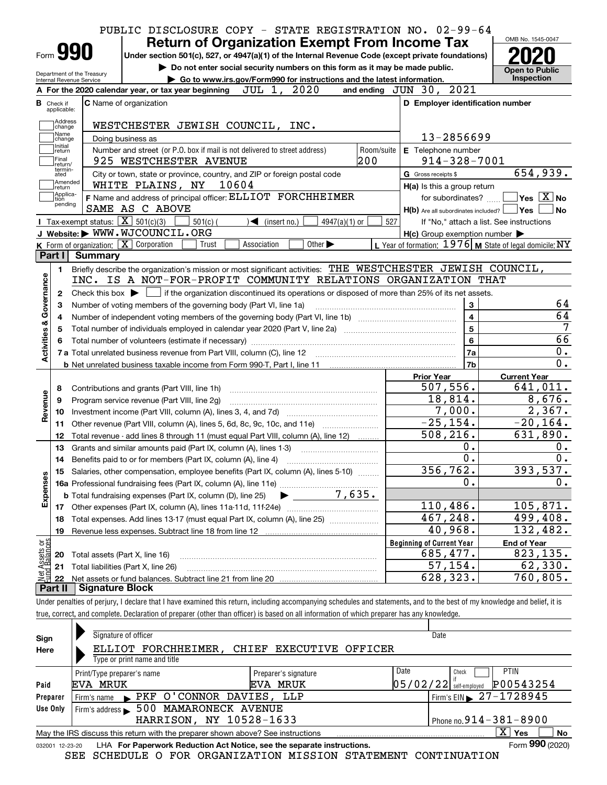| PUBLIC DISCLOSURE COPY - STATE REGISTRATION NO. 02-99-64                                                                                         | <b>Return of Organization Exempt From Income Tax</b>                                                        | OMB No. 1545-0047                                |
|--------------------------------------------------------------------------------------------------------------------------------------------------|-------------------------------------------------------------------------------------------------------------|--------------------------------------------------|
| Form 990                                                                                                                                         | Under section 501(c), 527, or 4947(a)(1) of the Internal Revenue Code (except private foundations)          |                                                  |
| Department of the Treasury                                                                                                                       | Do not enter social security numbers on this form as it may be made public.                                 | <b>Open to Public</b>                            |
| Internal Revenue Service                                                                                                                         | Go to www.irs.gov/Form990 for instructions and the latest information.                                      | <b>Inspection</b>                                |
| JUL 1, 2020<br>A For the 2020 calendar year, or tax year beginning                                                                               | and ending JUN 30, 2021                                                                                     |                                                  |
| <b>C</b> Name of organization<br><b>B</b> Check if<br>applicable:                                                                                | D Employer identification number                                                                            |                                                  |
| Address                                                                                                                                          |                                                                                                             |                                                  |
| WESTCHESTER JEWISH COUNCIL, INC.<br>change<br>Name                                                                                               |                                                                                                             |                                                  |
| Doing business as<br>change<br>Initial                                                                                                           | 13-2856699                                                                                                  |                                                  |
| Number and street (or P.O. box if mail is not delivered to street address)<br>return<br>Final<br>925 WESTCHESTER AVENUE                          | Room/suite<br>E Telephone number<br>200<br>$914 - 328 - 7001$                                               |                                                  |
| return/<br>termin-                                                                                                                               |                                                                                                             | 654,939.                                         |
| City or town, state or province, country, and ZIP or foreign postal code<br>ated<br>Amended<br>WHITE PLAINS, NY<br>10604                         | G Gross receipts \$                                                                                         |                                                  |
| return<br>Applica-<br>tion<br>F Name and address of principal officer: ELLIOT FORCHHEIMER                                                        | H(a) Is this a group return<br>for subordinates?                                                            | $\overline{\ }$ Yes $\overline{\phantom{a}X}$ No |
| pending<br>SAME AS C ABOVE                                                                                                                       | $H(b)$ Are all subordinates included? $\Box$ Yes                                                            |                                                  |
| Tax-exempt status: $\boxed{\mathbf{X}}$ 501(c)(3)<br>$501(c)$ (<br>$\blacktriangleleft$ (insert no.)                                             | 527<br>$4947(a)(1)$ or<br>If "No," attach a list. See instructions                                          |                                                  |
| J Website: WWW.WJCOUNCIL.ORG                                                                                                                     | $H(c)$ Group exemption number $\blacktriangleright$                                                         |                                                  |
| K Form of organization:   X Corporation<br>Trust<br>Association                                                                                  | L Year of formation: 1976   M State of legal domicile: NY<br>Other $\blacktriangleright$                    |                                                  |
| Part I<br>Summary                                                                                                                                |                                                                                                             |                                                  |
| 1.                                                                                                                                               | Briefly describe the organization's mission or most significant activities: THE WESTCHESTER JEWISH COUNCIL, |                                                  |
| INC. IS A NOT-FOR-PROFIT COMMUNITY RELATIONS ORGANIZATION THAT                                                                                   |                                                                                                             |                                                  |
| Check this box $\blacktriangleright$ $\Box$ if the organization discontinued its operations or disposed of more than 25% of its net assets.<br>2 |                                                                                                             |                                                  |
| Number of voting members of the governing body (Part VI, line 1a)<br>З                                                                           | $\bf 3$                                                                                                     |                                                  |
| 4                                                                                                                                                | $\overline{\mathbf{4}}$                                                                                     |                                                  |
| 5                                                                                                                                                | $\overline{\mathbf{5}}$                                                                                     |                                                  |
|                                                                                                                                                  | $6\phantom{a}$                                                                                              |                                                  |
| Activities & Governance                                                                                                                          | 7a                                                                                                          |                                                  |
|                                                                                                                                                  | 7b                                                                                                          |                                                  |
|                                                                                                                                                  | <b>Prior Year</b>                                                                                           | <b>Current Year</b>                              |
| Contributions and grants (Part VIII, line 1h)<br>8                                                                                               | 507,556.                                                                                                    | 641,011.                                         |
| Revenue<br>Program service revenue (Part VIII, line 2g)<br>9                                                                                     | 18,814.                                                                                                     | 8,676.                                           |
| 10                                                                                                                                               | 7,000.                                                                                                      | 2,367.                                           |
| Other revenue (Part VIII, column (A), lines 5, 6d, 8c, 9c, 10c, and 11e)<br>11                                                                   | $-25, 154.$                                                                                                 | $-20, 164.$                                      |
| Total revenue - add lines 8 through 11 (must equal Part VIII, column (A), line 12)<br>12                                                         | 508, 216.                                                                                                   | 631,890.                                         |
| 13<br>Grants and similar amounts paid (Part IX, column (A), lines 1-3)                                                                           | 0.                                                                                                          |                                                  |
|                                                                                                                                                  | 0.                                                                                                          |                                                  |
| 15 Salaries, other compensation, employee benefits (Part IX, column (A), lines 5-10)                                                             | 356,762.                                                                                                    | 393,537.                                         |
|                                                                                                                                                  | Ο.                                                                                                          |                                                  |
| Expenses<br><b>b</b> Total fundraising expenses (Part IX, column (D), line 25)                                                                   | $\blacktriangleright$ 7,635.                                                                                |                                                  |
| 17                                                                                                                                               | 110,486.                                                                                                    | 105,871.                                         |
| Total expenses. Add lines 13-17 (must equal Part IX, column (A), line 25)<br>18                                                                  | 467, 248.                                                                                                   | 499,408.                                         |
| Revenue less expenses. Subtract line 18 from line 12<br>19                                                                                       | 40,968.                                                                                                     | 132,482.                                         |
|                                                                                                                                                  | <b>Beginning of Current Year</b>                                                                            | <b>End of Year</b>                               |
| Total assets (Part X, line 16)<br>20                                                                                                             | 685,477.                                                                                                    | 823,135.                                         |
| Net Assets or<br>Fund Balances<br>Total liabilities (Part X, line 26)<br>21                                                                      | 57, 154.                                                                                                    | 62,330.                                          |
| 22                                                                                                                                               | 628,323.                                                                                                    | 760,805.                                         |
| Part II<br><b>Signature Block</b>                                                                                                                |                                                                                                             |                                                  |

true, correct, and complete. Declaration of preparer (other than officer) is based on all information of which preparer has any knowledge.

| Sign     | Signature of officer                                                                                         |                                      | Date                                   |  |  |  |  |
|----------|--------------------------------------------------------------------------------------------------------------|--------------------------------------|----------------------------------------|--|--|--|--|
| Here     | ELLIOT                                                                                                       | FORCHHEIMER, CHIEF EXECUTIVE OFFICER |                                        |  |  |  |  |
|          | Type or print name and title                                                                                 |                                      |                                        |  |  |  |  |
|          | Print/Type preparer's name                                                                                   | Preparer's signature                 | Date<br><b>PTIN</b><br>Check           |  |  |  |  |
| Paid     | EVA MRUK                                                                                                     | EVA MRUK                             | P00543254<br>$05/02/22$ self-employed  |  |  |  |  |
| Preparer | PKF O'CONNOR DAVIES, LLP<br>Firm's name                                                                      |                                      | Firm's EIN $\triangleright$ 27-1728945 |  |  |  |  |
| Use Only | 500 MAMARONECK AVENUE<br>Firm's address $\blacktriangleright$                                                |                                      |                                        |  |  |  |  |
|          | HARRISON, NY 10528-1633                                                                                      |                                      | Phone no. $914 - 381 - 8900$           |  |  |  |  |
|          | ΧI<br>No<br>Yes<br>May the IRS discuss this return with the preparer shown above? See instructions           |                                      |                                        |  |  |  |  |
|          | Form 990 (2020)<br>LHA For Paperwork Reduction Act Notice, see the separate instructions.<br>032001 12-23-20 |                                      |                                        |  |  |  |  |

SEE SCHEDULE O FOR ORGANIZATION MISSION STATEMENT CONTINUATION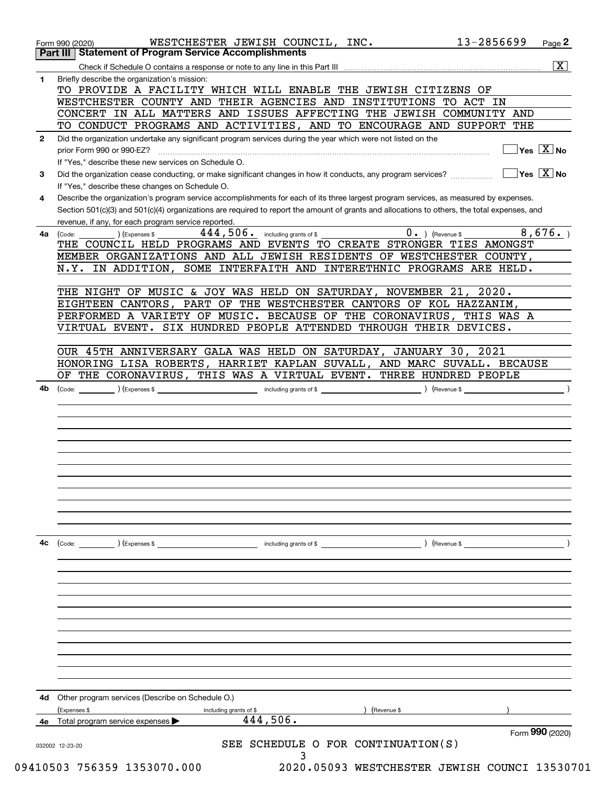|              | 13-2856699<br>WESTCHESTER JEWISH COUNCIL, INC.<br>Page 2<br>Form 990 (2020)<br><b>Part III   Statement of Program Service Accomplishments</b>                   |
|--------------|-----------------------------------------------------------------------------------------------------------------------------------------------------------------|
|              | $\overline{\mathbf{x}}$                                                                                                                                         |
| 1.           | Briefly describe the organization's mission:                                                                                                                    |
|              | TO PROVIDE A FACILITY WHICH WILL ENABLE THE JEWISH CITIZENS OF                                                                                                  |
|              | WESTCHESTER COUNTY AND THEIR AGENCIES AND INSTITUTIONS TO ACT IN                                                                                                |
|              | CONCERT IN ALL MATTERS AND ISSUES AFFECTING THE JEWISH COMMUNITY AND                                                                                            |
|              | TO CONDUCT PROGRAMS AND ACTIVITIES, AND TO ENCOURAGE AND SUPPORT THE                                                                                            |
| $\mathbf{2}$ | Did the organization undertake any significant program services during the year which were not listed on the                                                    |
|              | $\sqrt{}$ Yes $\sqrt{X}$ No<br>prior Form 990 or 990-EZ?                                                                                                        |
|              | If "Yes," describe these new services on Schedule O.<br>$\sqrt{}$ Yes $\sqrt{}$ X $\sqrt{}$ No                                                                  |
| 3            | Did the organization cease conducting, or make significant changes in how it conducts, any program services?<br>If "Yes," describe these changes on Schedule O. |
| 4            | Describe the organization's program service accomplishments for each of its three largest program services, as measured by expenses.                            |
|              | Section 501(c)(3) and 501(c)(4) organizations are required to report the amount of grants and allocations to others, the total expenses, and                    |
|              | revenue, if any, for each program service reported.                                                                                                             |
| 4a           | 8,676.<br>$444,506$ . including grants of \$<br>$0.$ (Revenue \$<br>) (Expenses \$<br>(Code:                                                                    |
|              | THE COUNCIL HELD PROGRAMS AND EVENTS TO CREATE STRONGER TIES AMONGST                                                                                            |
|              | MEMBER ORGANIZATIONS AND ALL JEWISH RESIDENTS OF WESTCHESTER COUNTY,                                                                                            |
|              | N.Y. IN ADDITION, SOME INTERFAITH AND INTERETHNIC PROGRAMS ARE HELD.                                                                                            |
|              | THE NIGHT OF MUSIC & JOY WAS HELD ON SATURDAY, NOVEMBER 21, 2020.                                                                                               |
|              | EIGHTEEN CANTORS, PART OF THE WESTCHESTER CANTORS OF KOL HAZZANIM,                                                                                              |
|              | PERFORMED A VARIETY OF MUSIC. BECAUSE OF THE CORONAVIRUS, THIS WAS A                                                                                            |
|              | VIRTUAL EVENT. SIX HUNDRED PEOPLE ATTENDED THROUGH THEIR DEVICES.                                                                                               |
|              |                                                                                                                                                                 |
|              | OUR 45TH ANNIVERSARY GALA WAS HELD ON SATURDAY, JANUARY 30, 2021                                                                                                |
|              | HONORING LISA ROBERTS, HARRIET KAPLAN SUVALL, AND MARC SUVALL. BECAUSE                                                                                          |
|              | OF THE CORONAVIRUS, THIS WAS A VIRTUAL EVENT. THREE HUNDRED PEOPLE                                                                                              |
|              |                                                                                                                                                                 |
|              |                                                                                                                                                                 |
|              |                                                                                                                                                                 |
|              |                                                                                                                                                                 |
|              |                                                                                                                                                                 |
|              |                                                                                                                                                                 |
|              |                                                                                                                                                                 |
| 4c           | $\left(\text{Code:} \right) \left(\text{Expenses } \$\right)$<br>) (Revenue \$<br>including grants of \$                                                        |
|              |                                                                                                                                                                 |
|              |                                                                                                                                                                 |
|              |                                                                                                                                                                 |
|              |                                                                                                                                                                 |
|              |                                                                                                                                                                 |
|              |                                                                                                                                                                 |
|              |                                                                                                                                                                 |
|              |                                                                                                                                                                 |
|              |                                                                                                                                                                 |
|              |                                                                                                                                                                 |
|              | Other program services (Describe on Schedule O.)                                                                                                                |
|              | Expenses \$<br>(Revenue \$<br>including grants of \$                                                                                                            |
| 4d           | 444,506.<br>4e Total program service expenses                                                                                                                   |
|              | Form 990 (2020)<br>SCHEDULE O FOR CONTINUATION(S)<br>SEE<br>032002 12-23-20                                                                                     |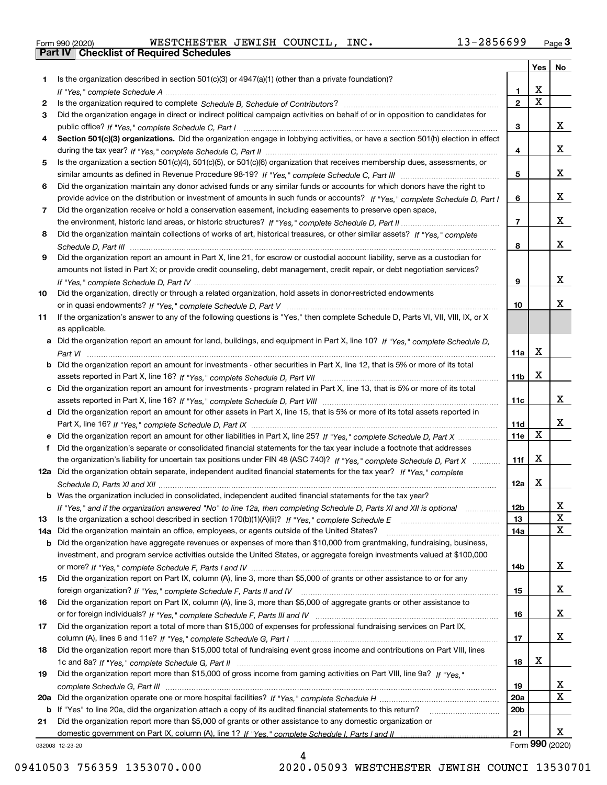|  | Form 990 (2020) |
|--|-----------------|

Form 990 (2020) WESTCHESTER JEWISH COUNCIL,INC**.** 13-2856699 <sub>Page</sub> 3<br><mark>Part IV | Checklist of Required Schedules</mark>

|     |                                                                                                                                       |                 | Yes                     | No                      |
|-----|---------------------------------------------------------------------------------------------------------------------------------------|-----------------|-------------------------|-------------------------|
| 1   | Is the organization described in section $501(c)(3)$ or $4947(a)(1)$ (other than a private foundation)?                               |                 |                         |                         |
|     |                                                                                                                                       | 1               | X                       |                         |
| 2   |                                                                                                                                       | 2               | $\overline{\mathtt{x}}$ |                         |
| 3   | Did the organization engage in direct or indirect political campaign activities on behalf of or in opposition to candidates for       |                 |                         |                         |
|     |                                                                                                                                       | 3               |                         | X                       |
| 4   | Section 501(c)(3) organizations. Did the organization engage in lobbying activities, or have a section 501(h) election in effect      |                 |                         | x                       |
| 5   | Is the organization a section 501(c)(4), 501(c)(5), or 501(c)(6) organization that receives membership dues, assessments, or          | 4               |                         |                         |
|     |                                                                                                                                       | 5               |                         | x                       |
| 6   | Did the organization maintain any donor advised funds or any similar funds or accounts for which donors have the right to             |                 |                         |                         |
|     | provide advice on the distribution or investment of amounts in such funds or accounts? If "Yes," complete Schedule D, Part I          | 6               |                         | x                       |
| 7   | Did the organization receive or hold a conservation easement, including easements to preserve open space,                             |                 |                         |                         |
|     |                                                                                                                                       | $\overline{7}$  |                         | x                       |
| 8   | Did the organization maintain collections of works of art, historical treasures, or other similar assets? If "Yes," complete          |                 |                         |                         |
|     |                                                                                                                                       | 8               |                         | x                       |
| 9   | Did the organization report an amount in Part X, line 21, for escrow or custodial account liability, serve as a custodian for         |                 |                         |                         |
|     | amounts not listed in Part X; or provide credit counseling, debt management, credit repair, or debt negotiation services?             |                 |                         |                         |
|     |                                                                                                                                       | 9               |                         | x                       |
| 10  | Did the organization, directly or through a related organization, hold assets in donor-restricted endowments                          |                 |                         |                         |
|     |                                                                                                                                       | 10              |                         | x                       |
| 11  | If the organization's answer to any of the following questions is "Yes," then complete Schedule D, Parts VI, VII, VIII, IX, or X      |                 |                         |                         |
|     | as applicable.                                                                                                                        |                 |                         |                         |
|     | a Did the organization report an amount for land, buildings, and equipment in Part X, line 10? If "Yes," complete Schedule D,         | 11a             | X                       |                         |
|     | <b>b</b> Did the organization report an amount for investments - other securities in Part X, line 12, that is 5% or more of its total |                 |                         |                         |
|     |                                                                                                                                       | 11 <sub>b</sub> | X                       |                         |
|     | c Did the organization report an amount for investments - program related in Part X, line 13, that is 5% or more of its total         |                 |                         |                         |
|     |                                                                                                                                       | 11c             |                         | x                       |
|     | d Did the organization report an amount for other assets in Part X, line 15, that is 5% or more of its total assets reported in       |                 |                         |                         |
|     |                                                                                                                                       | 11d             |                         | x                       |
|     | e Did the organization report an amount for other liabilities in Part X, line 25? If "Yes," complete Schedule D, Part X               | 11e             | X                       |                         |
| f   | Did the organization's separate or consolidated financial statements for the tax year include a footnote that addresses               |                 |                         |                         |
|     | the organization's liability for uncertain tax positions under FIN 48 (ASC 740)? If "Yes," complete Schedule D, Part X                | 11f             | X                       |                         |
|     | 12a Did the organization obtain separate, independent audited financial statements for the tax year? If "Yes," complete               |                 |                         |                         |
|     |                                                                                                                                       | 12a             | X                       |                         |
|     | <b>b</b> Was the organization included in consolidated, independent audited financial statements for the tax year?                    |                 |                         |                         |
| 13  | If "Yes," and if the organization answered "No" to line 12a, then completing Schedule D, Parts XI and XII is optional                 | 12b<br>13       |                         | X,<br>X                 |
| 14a | Did the organization maintain an office, employees, or agents outside of the United States?                                           | 14a             |                         | $\overline{\mathbf{x}}$ |
|     | b Did the organization have aggregate revenues or expenses of more than \$10,000 from grantmaking, fundraising, business,             |                 |                         |                         |
|     | investment, and program service activities outside the United States, or aggregate foreign investments valued at \$100,000            |                 |                         |                         |
|     |                                                                                                                                       | 14b             |                         | x                       |
| 15  | Did the organization report on Part IX, column (A), line 3, more than \$5,000 of grants or other assistance to or for any             |                 |                         |                         |
|     |                                                                                                                                       | 15              |                         | X                       |
| 16  | Did the organization report on Part IX, column (A), line 3, more than \$5,000 of aggregate grants or other assistance to              |                 |                         |                         |
|     |                                                                                                                                       | 16              |                         | x                       |
| 17  | Did the organization report a total of more than \$15,000 of expenses for professional fundraising services on Part IX,               |                 |                         |                         |
|     |                                                                                                                                       | 17              |                         | x                       |
| 18  | Did the organization report more than \$15,000 total of fundraising event gross income and contributions on Part VIII, lines          |                 |                         |                         |
|     |                                                                                                                                       | 18              | х                       |                         |
| 19  | Did the organization report more than \$15,000 of gross income from gaming activities on Part VIII, line 9a? If "Yes."                |                 |                         |                         |
|     |                                                                                                                                       | 19<br>20a       |                         | X<br>X                  |
| 20a | b If "Yes" to line 20a, did the organization attach a copy of its audited financial statements to this return?                        | 20 <sub>b</sub> |                         |                         |
| 21  | Did the organization report more than \$5,000 of grants or other assistance to any domestic organization or                           |                 |                         |                         |
|     |                                                                                                                                       | 21              |                         | x                       |
|     | 032003 12-23-20                                                                                                                       |                 | Form 990 (2020)         |                         |

032003 12-23-20

4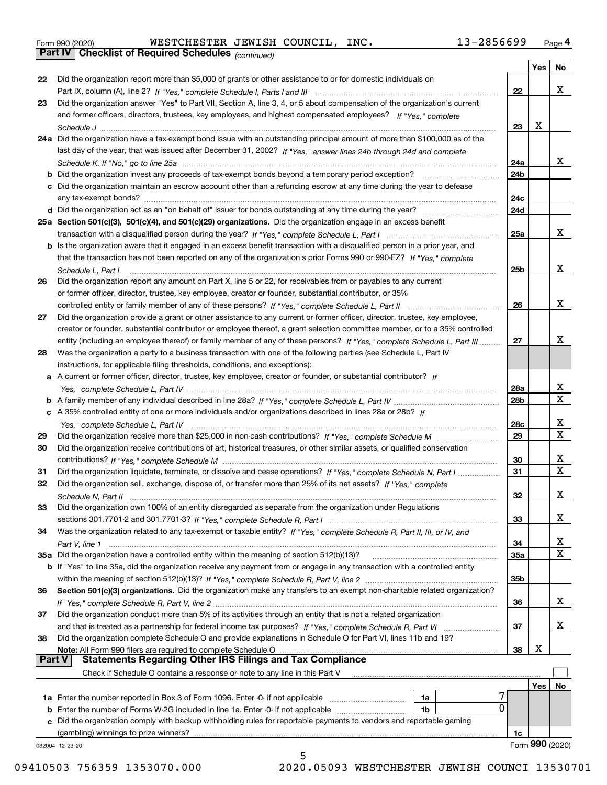|  | Form 990 (2020) |
|--|-----------------|
|  |                 |

*(continued)* Form 990 (2020) WESTCHESTER JEWISH COUNCIL,INC**.** 13-2856699 <sub>Page</sub> 4<br>**Part IV | Checklist of Required Schedules** <sub>(continued)</sub>

|        |                                                                                                                              |            | Yes | No                           |
|--------|------------------------------------------------------------------------------------------------------------------------------|------------|-----|------------------------------|
| 22     | Did the organization report more than \$5,000 of grants or other assistance to or for domestic individuals on                |            |     |                              |
|        |                                                                                                                              | 22         |     | x                            |
| 23     | Did the organization answer "Yes" to Part VII, Section A, line 3, 4, or 5 about compensation of the organization's current   |            |     |                              |
|        | and former officers, directors, trustees, key employees, and highest compensated employees? If "Yes." complete               |            |     |                              |
|        |                                                                                                                              | 23         | х   |                              |
|        | 24a Did the organization have a tax-exempt bond issue with an outstanding principal amount of more than \$100,000 as of the  |            |     |                              |
|        | last day of the year, that was issued after December 31, 2002? If "Yes," answer lines 24b through 24d and complete           |            |     |                              |
|        |                                                                                                                              | 24a        |     | x                            |
|        | <b>b</b> Did the organization invest any proceeds of tax-exempt bonds beyond a temporary period exception?                   | 24b        |     |                              |
|        | c Did the organization maintain an escrow account other than a refunding escrow at any time during the year to defease       |            |     |                              |
|        | any tax-exempt bonds?                                                                                                        | 24c        |     |                              |
|        |                                                                                                                              | 24d        |     |                              |
|        | 25a Section 501(c)(3), 501(c)(4), and 501(c)(29) organizations. Did the organization engage in an excess benefit             |            |     |                              |
|        |                                                                                                                              | 25a        |     | x                            |
|        | b Is the organization aware that it engaged in an excess benefit transaction with a disqualified person in a prior year, and |            |     |                              |
|        | that the transaction has not been reported on any of the organization's prior Forms 990 or 990-EZ? If "Yes," complete        |            |     |                              |
|        | Schedule L. Part I                                                                                                           | 25b        |     | x                            |
| 26     | Did the organization report any amount on Part X, line 5 or 22, for receivables from or payables to any current              |            |     |                              |
|        | or former officer, director, trustee, key employee, creator or founder, substantial contributor, or 35%                      |            |     |                              |
|        | controlled entity or family member of any of these persons? If "Yes," complete Schedule L, Part II                           | 26         |     | x                            |
| 27     | Did the organization provide a grant or other assistance to any current or former officer, director, trustee, key employee,  |            |     |                              |
|        | creator or founder, substantial contributor or employee thereof, a grant selection committee member, or to a 35% controlled  |            |     |                              |
|        | entity (including an employee thereof) or family member of any of these persons? If "Yes," complete Schedule L. Part III     | 27         |     | х                            |
| 28     | Was the organization a party to a business transaction with one of the following parties (see Schedule L, Part IV            |            |     |                              |
|        | instructions, for applicable filing thresholds, conditions, and exceptions):                                                 |            |     |                              |
|        | a A current or former officer, director, trustee, key employee, creator or founder, or substantial contributor? If           |            |     |                              |
|        |                                                                                                                              | 28a        |     | x                            |
|        |                                                                                                                              | 28b        |     | $\overline{\mathbf{X}}$      |
|        |                                                                                                                              |            |     |                              |
|        | c A 35% controlled entity of one or more individuals and/or organizations described in lines 28a or 28b? If                  |            |     | x                            |
|        |                                                                                                                              | 28c        |     | $\overline{\mathbf{x}}$      |
| 29     |                                                                                                                              | 29         |     |                              |
| 30     | Did the organization receive contributions of art, historical treasures, or other similar assets, or qualified conservation  |            |     |                              |
|        |                                                                                                                              | 30         |     | x<br>$\overline{\mathbf{x}}$ |
| 31     | Did the organization liquidate, terminate, or dissolve and cease operations? If "Yes," complete Schedule N, Part I           | 31         |     |                              |
| 32     | Did the organization sell, exchange, dispose of, or transfer more than 25% of its net assets? If "Yes," complete             |            |     |                              |
|        |                                                                                                                              | 32         |     | x                            |
| 33     | Did the organization own 100% of an entity disregarded as separate from the organization under Regulations                   |            |     |                              |
|        |                                                                                                                              | 33         |     | X                            |
| 34     | Was the organization related to any tax-exempt or taxable entity? If "Yes," complete Schedule R, Part II, III, or IV, and    |            |     |                              |
|        |                                                                                                                              | 34         |     | X                            |
|        | 35a Did the organization have a controlled entity within the meaning of section 512(b)(13)?                                  | <b>35a</b> |     | X                            |
|        | b If "Yes" to line 35a, did the organization receive any payment from or engage in any transaction with a controlled entity  |            |     |                              |
|        |                                                                                                                              | 35b        |     |                              |
| 36     | Section 501(c)(3) organizations. Did the organization make any transfers to an exempt non-charitable related organization?   |            |     |                              |
|        |                                                                                                                              | 36         |     | x                            |
| 37     | Did the organization conduct more than 5% of its activities through an entity that is not a related organization             |            |     |                              |
|        | and that is treated as a partnership for federal income tax purposes? If "Yes," complete Schedule R, Part VI                 | 37         |     | x                            |
| 38     | Did the organization complete Schedule O and provide explanations in Schedule O for Part VI, lines 11b and 19?               |            |     |                              |
|        | Note: All Form 990 filers are required to complete Schedule O                                                                | 38         | х   |                              |
| Part V | <b>Statements Regarding Other IRS Filings and Tax Compliance</b>                                                             |            |     |                              |
|        | Check if Schedule O contains a response or note to any line in this Part V                                                   |            |     |                              |
|        |                                                                                                                              |            | Yes | No                           |
|        | 1a Enter the number reported in Box 3 of Form 1096. Enter -0- if not applicable<br>1a                                        |            |     |                              |
| b      | 0<br>Enter the number of Forms W-2G included in line 1a. Enter -0- if not applicable<br>1b                                   |            |     |                              |
| c      | Did the organization comply with backup withholding rules for reportable payments to vendors and reportable gaming           |            |     |                              |
|        |                                                                                                                              | 1c         |     |                              |
|        | 032004 12-23-20                                                                                                              |            |     | Form 990 (2020)              |
|        | 5                                                                                                                            |            |     |                              |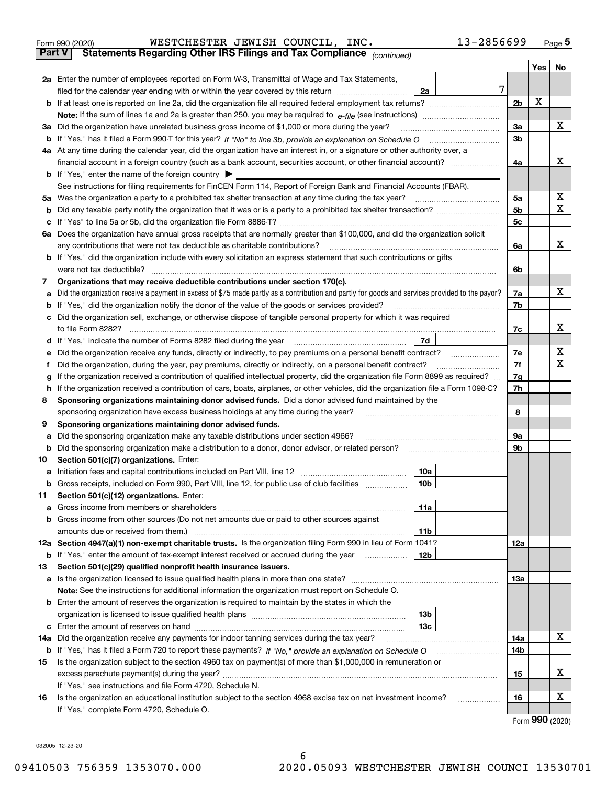| Form 990 (2020) | WESTCHESTER JEWISH COUNCIL, INC.                                                               |  | $13 - 2856699$ | Page $5$ |
|-----------------|------------------------------------------------------------------------------------------------|--|----------------|----------|
|                 | <b>Part V</b> Statements Regarding Other IRS Filings and Tax Compliance <sub>(continued)</sub> |  |                |          |

| ran v                                                                                                                                         | Statements Regarding Other IRS Fillings and Tax Compilance (continued)                                                                                                                                                               |                |     |    |  |  |  |
|-----------------------------------------------------------------------------------------------------------------------------------------------|--------------------------------------------------------------------------------------------------------------------------------------------------------------------------------------------------------------------------------------|----------------|-----|----|--|--|--|
|                                                                                                                                               |                                                                                                                                                                                                                                      |                | Yes | No |  |  |  |
|                                                                                                                                               | 2a Enter the number of employees reported on Form W-3, Transmittal of Wage and Tax Statements,                                                                                                                                       |                |     |    |  |  |  |
|                                                                                                                                               | 7<br>filed for the calendar year ending with or within the year covered by this return <i>manumumumum</i><br>2a                                                                                                                      |                |     |    |  |  |  |
|                                                                                                                                               |                                                                                                                                                                                                                                      | 2 <sub>b</sub> | X   |    |  |  |  |
|                                                                                                                                               |                                                                                                                                                                                                                                      | За             |     | х  |  |  |  |
|                                                                                                                                               | 3a Did the organization have unrelated business gross income of \$1,000 or more during the year?                                                                                                                                     |                |     |    |  |  |  |
|                                                                                                                                               |                                                                                                                                                                                                                                      | 3b             |     |    |  |  |  |
|                                                                                                                                               | 4a At any time during the calendar year, did the organization have an interest in, or a signature or other authority over, a                                                                                                         |                |     |    |  |  |  |
|                                                                                                                                               | financial account in a foreign country (such as a bank account, securities account, or other financial account)?                                                                                                                     | 4a             |     | х  |  |  |  |
|                                                                                                                                               | <b>b</b> If "Yes," enter the name of the foreign country                                                                                                                                                                             |                |     |    |  |  |  |
|                                                                                                                                               | See instructions for filing requirements for FinCEN Form 114, Report of Foreign Bank and Financial Accounts (FBAR).                                                                                                                  |                |     |    |  |  |  |
|                                                                                                                                               | 5a Was the organization a party to a prohibited tax shelter transaction at any time during the tax year?                                                                                                                             | 5a             |     | х  |  |  |  |
|                                                                                                                                               |                                                                                                                                                                                                                                      | 5b             |     | х  |  |  |  |
|                                                                                                                                               | c If "Yes" to line 5a or 5b, did the organization file Form 8886-T?                                                                                                                                                                  | 5c             |     |    |  |  |  |
|                                                                                                                                               | 6a Does the organization have annual gross receipts that are normally greater than \$100,000, and did the organization solicit                                                                                                       |                |     |    |  |  |  |
|                                                                                                                                               | any contributions that were not tax deductible as charitable contributions?                                                                                                                                                          | 6a             |     | х  |  |  |  |
|                                                                                                                                               | <b>b</b> If "Yes," did the organization include with every solicitation an express statement that such contributions or gifts                                                                                                        |                |     |    |  |  |  |
|                                                                                                                                               | were not tax deductible?                                                                                                                                                                                                             | 6b             |     |    |  |  |  |
| 7                                                                                                                                             | Organizations that may receive deductible contributions under section 170(c).                                                                                                                                                        |                |     | x  |  |  |  |
|                                                                                                                                               | a Did the organization receive a payment in excess of \$75 made partly as a contribution and partly for goods and services provided to the payor?                                                                                    | 7a             |     |    |  |  |  |
|                                                                                                                                               | <b>b</b> If "Yes," did the organization notify the donor of the value of the goods or services provided?                                                                                                                             | 7b             |     |    |  |  |  |
|                                                                                                                                               | c Did the organization sell, exchange, or otherwise dispose of tangible personal property for which it was required                                                                                                                  |                |     | х  |  |  |  |
|                                                                                                                                               | to file Form 8282?<br>7d                                                                                                                                                                                                             | 7c             |     |    |  |  |  |
|                                                                                                                                               | d If "Yes," indicate the number of Forms 8282 filed during the year                                                                                                                                                                  | 7е             |     | х  |  |  |  |
|                                                                                                                                               | Did the organization receive any funds, directly or indirectly, to pay premiums on a personal benefit contract?<br>е<br>Did the organization, during the year, pay premiums, directly or indirectly, on a personal benefit contract? |                |     |    |  |  |  |
| f                                                                                                                                             | If the organization received a contribution of qualified intellectual property, did the organization file Form 8899 as required?                                                                                                     |                |     |    |  |  |  |
| g<br>If the organization received a contribution of cars, boats, airplanes, or other vehicles, did the organization file a Form 1098-C?<br>h. |                                                                                                                                                                                                                                      |                |     |    |  |  |  |
| Sponsoring organizations maintaining donor advised funds. Did a donor advised fund maintained by the<br>8                                     |                                                                                                                                                                                                                                      |                |     |    |  |  |  |
| sponsoring organization have excess business holdings at any time during the year?                                                            |                                                                                                                                                                                                                                      |                |     |    |  |  |  |
| 9                                                                                                                                             | Sponsoring organizations maintaining donor advised funds.                                                                                                                                                                            |                |     |    |  |  |  |
| а                                                                                                                                             | Did the sponsoring organization make any taxable distributions under section 4966?                                                                                                                                                   | 9а             |     |    |  |  |  |
| b                                                                                                                                             | Did the sponsoring organization make a distribution to a donor, donor advisor, or related person?                                                                                                                                    | 9b             |     |    |  |  |  |
| 10                                                                                                                                            | Section 501(c)(7) organizations. Enter:                                                                                                                                                                                              |                |     |    |  |  |  |
| а                                                                                                                                             | Initiation fees and capital contributions included on Part VIII, line 12<br>10a                                                                                                                                                      |                |     |    |  |  |  |
|                                                                                                                                               | b Gross receipts, included on Form 990, Part VIII, line 12, for public use of club facilities<br>10 <sub>b</sub>                                                                                                                     |                |     |    |  |  |  |
| 11.                                                                                                                                           | Section 501(c)(12) organizations. Enter:                                                                                                                                                                                             |                |     |    |  |  |  |
|                                                                                                                                               | 11a                                                                                                                                                                                                                                  |                |     |    |  |  |  |
|                                                                                                                                               | <b>b</b> Gross income from other sources (Do not net amounts due or paid to other sources against                                                                                                                                    |                |     |    |  |  |  |
|                                                                                                                                               | 11b                                                                                                                                                                                                                                  |                |     |    |  |  |  |
|                                                                                                                                               | 12a Section 4947(a)(1) non-exempt charitable trusts. Is the organization filing Form 990 in lieu of Form 1041?                                                                                                                       | 12a            |     |    |  |  |  |
|                                                                                                                                               | 12b<br><b>b</b> If "Yes," enter the amount of tax-exempt interest received or accrued during the year                                                                                                                                |                |     |    |  |  |  |
| 13                                                                                                                                            | Section 501(c)(29) qualified nonprofit health insurance issuers.                                                                                                                                                                     |                |     |    |  |  |  |
|                                                                                                                                               | a Is the organization licensed to issue qualified health plans in more than one state?                                                                                                                                               | 13а            |     |    |  |  |  |
|                                                                                                                                               | Note: See the instructions for additional information the organization must report on Schedule O.                                                                                                                                    |                |     |    |  |  |  |
|                                                                                                                                               | <b>b</b> Enter the amount of reserves the organization is required to maintain by the states in which the                                                                                                                            |                |     |    |  |  |  |
|                                                                                                                                               | 13b                                                                                                                                                                                                                                  |                |     |    |  |  |  |
|                                                                                                                                               | 13с                                                                                                                                                                                                                                  |                |     |    |  |  |  |
| 14a                                                                                                                                           | Did the organization receive any payments for indoor tanning services during the tax year?                                                                                                                                           | 14a            |     | х  |  |  |  |
|                                                                                                                                               | <b>b</b> If "Yes," has it filed a Form 720 to report these payments? If "No," provide an explanation on Schedule O                                                                                                                   | 14b            |     |    |  |  |  |
| 15                                                                                                                                            | Is the organization subject to the section 4960 tax on payment(s) of more than \$1,000,000 in remuneration or                                                                                                                        |                |     |    |  |  |  |
|                                                                                                                                               |                                                                                                                                                                                                                                      | 15             |     | х  |  |  |  |
|                                                                                                                                               | If "Yes," see instructions and file Form 4720, Schedule N.                                                                                                                                                                           |                |     |    |  |  |  |
| 16                                                                                                                                            | Is the organization an educational institution subject to the section 4968 excise tax on net investment income?                                                                                                                      | 16             |     | х  |  |  |  |
|                                                                                                                                               | If "Yes," complete Form 4720, Schedule O.                                                                                                                                                                                            |                |     |    |  |  |  |

Form (2020) **990**

032005 12-23-20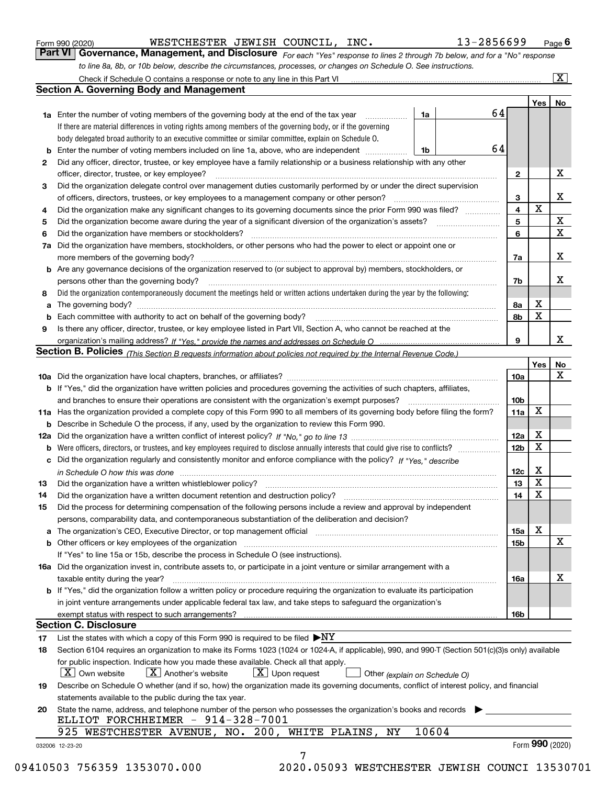|  | Form 990 (2020) |
|--|-----------------|
|  |                 |

WESTCHESTER JEWISH COUNCIL, INC. 13-2856699

*For each "Yes" response to lines 2 through 7b below, and for a "No" response to line 8a, 8b, or 10b below, describe the circumstances, processes, or changes on Schedule O. See instructions.* Form 990 (2020) **COVER TER JEWISH COUNCIL, INC.** 13-2856699 Page 6<br>**Part VI Governance, Management, and Disclosure** For each "Yes" response to lines 2 through 7b below, and for a "No" response

|    |                                                                                                                                                                            |       |    |                 | Yes   No        |              |
|----|----------------------------------------------------------------------------------------------------------------------------------------------------------------------------|-------|----|-----------------|-----------------|--------------|
|    | <b>1a</b> Enter the number of voting members of the governing body at the end of the tax year <i>manumum</i>                                                               | 1a    | 64 |                 |                 |              |
|    | If there are material differences in voting rights among members of the governing body, or if the governing                                                                |       |    |                 |                 |              |
|    | body delegated broad authority to an executive committee or similar committee, explain on Schedule O.                                                                      |       | 64 |                 |                 |              |
|    |                                                                                                                                                                            | 1b    |    |                 |                 |              |
| 2  | Did any officer, director, trustee, or key employee have a family relationship or a business relationship with any other                                                   |       |    |                 |                 |              |
|    | officer, director, trustee, or key employee?                                                                                                                               |       |    | $\mathbf{2}$    |                 | X            |
| 3  | Did the organization delegate control over management duties customarily performed by or under the direct supervision                                                      |       |    |                 |                 |              |
|    |                                                                                                                                                                            |       |    | 3               | $\mathbf X$     | X            |
| 4  | Did the organization make any significant changes to its governing documents since the prior Form 990 was filed?                                                           |       |    | 4               |                 | X            |
| 5  |                                                                                                                                                                            |       |    | 5               |                 | $\mathbf{x}$ |
| 6  | Did the organization have members or stockholders?                                                                                                                         |       |    | 6               |                 |              |
|    | 7a Did the organization have members, stockholders, or other persons who had the power to elect or appoint one or                                                          |       |    |                 |                 |              |
|    |                                                                                                                                                                            |       |    | 7a              |                 | X            |
|    | <b>b</b> Are any governance decisions of the organization reserved to (or subject to approval by) members, stockholders, or                                                |       |    |                 |                 |              |
|    | persons other than the governing body?                                                                                                                                     |       |    | 7b              |                 | Х            |
| 8  | Did the organization contemporaneously document the meetings held or written actions undertaken during the year by the following:                                          |       |    |                 |                 |              |
| a  |                                                                                                                                                                            |       |    | 8a              | X               |              |
|    |                                                                                                                                                                            |       |    | 8b              | $\mathbf X$     |              |
| 9  | Is there any officer, director, trustee, or key employee listed in Part VII, Section A, who cannot be reached at the                                                       |       |    |                 |                 |              |
|    |                                                                                                                                                                            |       |    | 9               |                 | X            |
|    | Section B. Policies <sub>(This</sub> Section B requests information about policies not required by the Internal Revenue Code.)                                             |       |    |                 |                 |              |
|    |                                                                                                                                                                            |       |    |                 | Yes             | <b>No</b>    |
|    |                                                                                                                                                                            |       |    | <b>10a</b>      |                 | X            |
|    | <b>b</b> If "Yes," did the organization have written policies and procedures governing the activities of such chapters, affiliates,                                        |       |    |                 |                 |              |
|    |                                                                                                                                                                            |       |    | 10 <sub>b</sub> |                 |              |
|    | 11a Has the organization provided a complete copy of this Form 990 to all members of its governing body before filing the form?                                            |       |    | 11a             | X               |              |
|    | <b>b</b> Describe in Schedule O the process, if any, used by the organization to review this Form 990.                                                                     |       |    |                 |                 |              |
|    |                                                                                                                                                                            |       |    | 12a             | X               |              |
| b  |                                                                                                                                                                            |       |    | 12 <sub>b</sub> | X               |              |
|    | c Did the organization regularly and consistently monitor and enforce compliance with the policy? If "Yes," describe                                                       |       |    |                 |                 |              |
|    | in Schedule O how this was done measured and contained a state of the state of the state of the state of the s                                                             |       |    | 12c             | X               |              |
| 13 |                                                                                                                                                                            |       |    | 13              | $\mathbf X$     |              |
| 14 | Did the organization have a written document retention and destruction policy? manufactured and the organization have a written document retention and destruction policy? |       |    | 14              | $\mathbf X$     |              |
| 15 | Did the process for determining compensation of the following persons include a review and approval by independent                                                         |       |    |                 |                 |              |
|    | persons, comparability data, and contemporaneous substantiation of the deliberation and decision?                                                                          |       |    |                 |                 |              |
|    |                                                                                                                                                                            |       |    | 15a             | X               |              |
|    | <b>b</b> Other officers or key employees of the organization                                                                                                               |       |    | 15 <sub>b</sub> |                 | X            |
|    | If "Yes" to line 15a or 15b, describe the process in Schedule O (see instructions).                                                                                        |       |    |                 |                 |              |
|    | 16a Did the organization invest in, contribute assets to, or participate in a joint venture or similar arrangement with a                                                  |       |    |                 |                 |              |
|    | taxable entity during the year?                                                                                                                                            |       |    | 16a             |                 | х            |
|    | b If "Yes," did the organization follow a written policy or procedure requiring the organization to evaluate its participation                                             |       |    |                 |                 |              |
|    | in joint venture arrangements under applicable federal tax law, and take steps to safeguard the organization's                                                             |       |    |                 |                 |              |
|    | exempt status with respect to such arrangements?                                                                                                                           |       |    | <b>16b</b>      |                 |              |
|    | <b>Section C. Disclosure</b>                                                                                                                                               |       |    |                 |                 |              |
| 17 | List the states with which a copy of this Form 990 is required to be filed $\blacktriangleright$ NY                                                                        |       |    |                 |                 |              |
| 18 | Section 6104 requires an organization to make its Forms 1023 (1024 or 1024-A, if applicable), 990, and 990-T (Section 501(c)(3)s only) available                           |       |    |                 |                 |              |
|    | for public inspection. Indicate how you made these available. Check all that apply.                                                                                        |       |    |                 |                 |              |
|    | $X$ Upon request<br>$ X $ Own website<br>$X$ Another's website<br>Other (explain on Schedule O)                                                                            |       |    |                 |                 |              |
| 19 | Describe on Schedule O whether (and if so, how) the organization made its governing documents, conflict of interest policy, and financial                                  |       |    |                 |                 |              |
|    | statements available to the public during the tax year.                                                                                                                    |       |    |                 |                 |              |
| 20 | State the name, address, and telephone number of the person who possesses the organization's books and records                                                             |       |    |                 |                 |              |
|    | ELLIOT FORCHHEIMER - 914-328-7001                                                                                                                                          |       |    |                 |                 |              |
|    | 925 WESTCHESTER AVENUE, NO. 200, WHITE PLAINS, NY                                                                                                                          | 10604 |    |                 |                 |              |
|    | 032006 12-23-20                                                                                                                                                            |       |    |                 | Form 990 (2020) |              |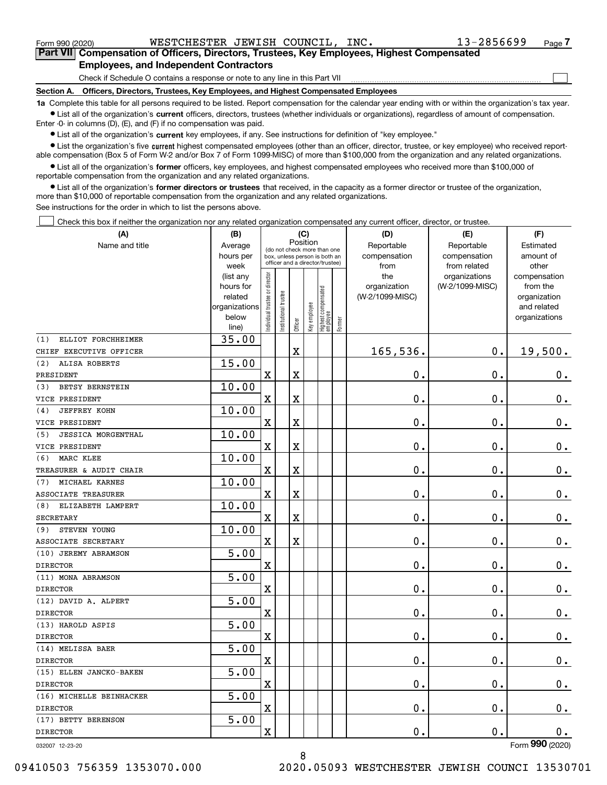|  | Form 990 (2020) |
|--|-----------------|
|  |                 |

 $\mathcal{L}^{\text{max}}$ 

| Form 990 (2020) | WESTCHESTER JEWISH COUNCIL,                                                                |  | INC. | 13-2856699 | Page 7 |
|-----------------|--------------------------------------------------------------------------------------------|--|------|------------|--------|
|                 | Part VII Compensation of Officers, Directors, Trustees, Key Employees, Highest Compensated |  |      |            |        |
|                 | <b>Employees, and Independent Contractors</b>                                              |  |      |            |        |

Check if Schedule O contains a response or note to any line in this Part VII

**Section A. Officers, Directors, Trustees, Key Employees, and Highest Compensated Employees**

**1a**  Complete this table for all persons required to be listed. Report compensation for the calendar year ending with or within the organization's tax year. **•** List all of the organization's current officers, directors, trustees (whether individuals or organizations), regardless of amount of compensation.

Enter -0- in columns (D), (E), and (F) if no compensation was paid.

 $\bullet$  List all of the organization's  $\,$ current key employees, if any. See instructions for definition of "key employee."

**•** List the organization's five current highest compensated employees (other than an officer, director, trustee, or key employee) who received reportable compensation (Box 5 of Form W-2 and/or Box 7 of Form 1099-MISC) of more than \$100,000 from the organization and any related organizations.

**•** List all of the organization's former officers, key employees, and highest compensated employees who received more than \$100,000 of reportable compensation from the organization and any related organizations.

**former directors or trustees**  ¥ List all of the organization's that received, in the capacity as a former director or trustee of the organization, more than \$10,000 of reportable compensation from the organization and any related organizations.

See instructions for the order in which to list the persons above.

Check this box if neither the organization nor any related organization compensated any current officer, director, or trustee.  $\mathcal{L}^{\text{max}}$ 

| (A)                              | (B)                    |                               |                                                                  |             | (C)          |                                  |        | (D)             | (E)             | (F)                          |
|----------------------------------|------------------------|-------------------------------|------------------------------------------------------------------|-------------|--------------|----------------------------------|--------|-----------------|-----------------|------------------------------|
| Name and title                   | Average                |                               | (do not check more than one                                      | Position    |              |                                  |        | Reportable      | Reportable      | Estimated                    |
|                                  | hours per              |                               | box, unless person is both an<br>officer and a director/trustee) |             |              |                                  |        | compensation    | compensation    | amount of                    |
|                                  | week                   |                               |                                                                  |             |              |                                  |        | from            | from related    | other                        |
|                                  | (list any              |                               |                                                                  |             |              |                                  |        | the             | organizations   | compensation                 |
|                                  | hours for              |                               |                                                                  |             |              |                                  |        | organization    | (W-2/1099-MISC) | from the                     |
|                                  | related                |                               |                                                                  |             |              |                                  |        | (W-2/1099-MISC) |                 | organization                 |
|                                  | organizations<br>below |                               |                                                                  |             |              |                                  |        |                 |                 | and related<br>organizations |
|                                  | line)                  | ndividual trustee or director | Institutional trustee                                            | Officer     | Key employee | Highest compensated<br> employee | Former |                 |                 |                              |
| ELLIOT FORCHHEIMER<br>(1)        | 35.00                  |                               |                                                                  |             |              |                                  |        |                 |                 |                              |
| CHIEF EXECUTIVE OFFICER          |                        |                               |                                                                  | $\mathbf X$ |              |                                  |        | 165,536.        | $\mathbf 0$ .   | 19,500.                      |
| (2)<br>ALISA ROBERTS             | 15.00                  |                               |                                                                  |             |              |                                  |        |                 |                 |                              |
| PRESIDENT                        |                        | $\overline{\mathbf{X}}$       |                                                                  | $\mathbf X$ |              |                                  |        | 0.              | 0.              | 0.                           |
| BETSY BERNSTEIN<br>(3)           | 10.00                  |                               |                                                                  |             |              |                                  |        |                 |                 |                              |
| VICE PRESIDENT                   |                        | X                             |                                                                  | $\mathbf X$ |              |                                  |        | 0.              | 0.              | $0_{.}$                      |
| <b>JEFFREY KOHN</b><br>(4)       | 10.00                  |                               |                                                                  |             |              |                                  |        |                 |                 |                              |
| VICE PRESIDENT                   |                        | $\overline{\mathbf{X}}$       |                                                                  | $\mathbf X$ |              |                                  |        | 0.              | 0.              | $0_{.}$                      |
| <b>JESSICA MORGENTHAL</b><br>(5) | 10.00                  |                               |                                                                  |             |              |                                  |        |                 |                 |                              |
| VICE PRESIDENT                   |                        | X                             |                                                                  | $\mathbf X$ |              |                                  |        | 0.              | 0.              | $0_{.}$                      |
| MARC KLEE<br>(6)                 | 10.00                  |                               |                                                                  |             |              |                                  |        |                 |                 |                              |
| TREASURER & AUDIT CHAIR          |                        | X                             |                                                                  | $\mathbf X$ |              |                                  |        | 0.              | 0.              | $0_{.}$                      |
| MICHAEL KARNES<br>(7)            | 10.00                  |                               |                                                                  |             |              |                                  |        |                 |                 |                              |
| <b>ASSOCIATE TREASURER</b>       |                        | X                             |                                                                  | $\mathbf X$ |              |                                  |        | 0.              | 0.              | $0_{.}$                      |
| ELIZABETH LAMPERT<br>(8)         | 10.00                  |                               |                                                                  |             |              |                                  |        |                 |                 |                              |
| <b>SECRETARY</b>                 |                        | X                             |                                                                  | $\mathbf X$ |              |                                  |        | 0.              | 0.              | $\mathbf 0$ .                |
| STEVEN YOUNG<br>(9)              | 10.00                  |                               |                                                                  |             |              |                                  |        |                 |                 |                              |
| ASSOCIATE SECRETARY              |                        | $\mathbf X$                   |                                                                  | $\mathbf X$ |              |                                  |        | 0.              | 0.              | $\mathbf 0$ .                |
| (10) JEREMY ABRAMSON             | $\overline{5.00}$      |                               |                                                                  |             |              |                                  |        |                 |                 |                              |
| <b>DIRECTOR</b>                  |                        | X                             |                                                                  |             |              |                                  |        | 0.              | 0.              | $\mathbf 0$ .                |
| (11) MONA ABRAMSON               | $\overline{5.00}$      |                               |                                                                  |             |              |                                  |        |                 |                 |                              |
| <b>DIRECTOR</b>                  |                        | X                             |                                                                  |             |              |                                  |        | 0.              | 0.              | $\mathbf 0$ .                |
| (12) DAVID A. ALPERT             | $\overline{5.00}$      |                               |                                                                  |             |              |                                  |        |                 |                 |                              |
| <b>DIRECTOR</b>                  |                        | X                             |                                                                  |             |              |                                  |        | 0.              | 0.              | 0.                           |
| (13) HAROLD ASPIS                | $\overline{5.00}$      |                               |                                                                  |             |              |                                  |        |                 |                 |                              |
| <b>DIRECTOR</b>                  |                        | X                             |                                                                  |             |              |                                  |        | 0.              | 0.              | 0.                           |
| (14) MELISSA BAER                | $\overline{5.00}$      |                               |                                                                  |             |              |                                  |        |                 |                 |                              |
| <b>DIRECTOR</b>                  |                        | $\mathbf X$                   |                                                                  |             |              |                                  |        | 0.              | $\mathbf 0$ .   | 0.                           |
| (15) ELLEN JANCKO-BAKEN          | 5.00                   |                               |                                                                  |             |              |                                  |        |                 |                 |                              |
| <b>DIRECTOR</b>                  |                        | $\mathbf X$                   |                                                                  |             |              |                                  |        | $\mathbf 0$ .   | $\mathbf 0$ .   | 0.                           |
| (16) MICHELLE BEINHACKER         | 5.00                   |                               |                                                                  |             |              |                                  |        |                 |                 |                              |
| <b>DIRECTOR</b>                  |                        | $\mathbf X$                   |                                                                  |             |              |                                  |        | 0.              | $\mathbf 0$ .   | 0.                           |
| (17) BETTY BERENSON              | 5.00                   |                               |                                                                  |             |              |                                  |        |                 |                 |                              |
| <b>DIRECTOR</b>                  |                        | $\mathbf X$                   |                                                                  |             |              |                                  |        | 0.              | $\mathbf 0$ .   | 0.                           |
| 032007 12-23-20                  |                        |                               |                                                                  |             |              |                                  |        |                 |                 | Form 990 (2020)              |

032007 12-23-20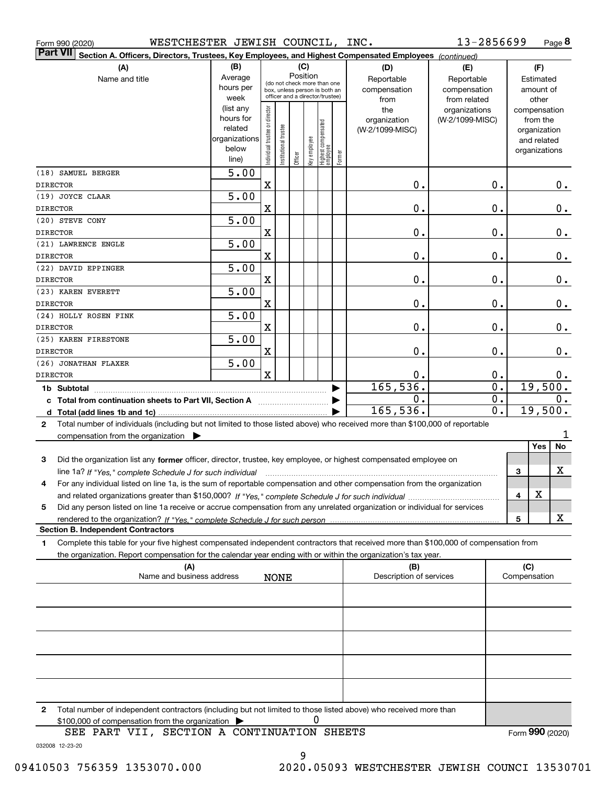|    | WESTCHESTER JEWISH COUNCIL, INC.<br>Form 990 (2020)                                                                                                                                                                                                                         |                                                                      |                                |                       |         |              |                                                                                                 |        |                                           | 13-2856699                                        |              | Page 8                                                                   |
|----|-----------------------------------------------------------------------------------------------------------------------------------------------------------------------------------------------------------------------------------------------------------------------------|----------------------------------------------------------------------|--------------------------------|-----------------------|---------|--------------|-------------------------------------------------------------------------------------------------|--------|-------------------------------------------|---------------------------------------------------|--------------|--------------------------------------------------------------------------|
|    | <b>Part VII</b><br>Section A. Officers, Directors, Trustees, Key Employees, and Highest Compensated Employees (continued)                                                                                                                                                   |                                                                      |                                |                       |         |              |                                                                                                 |        |                                           |                                                   |              |                                                                          |
|    | (A)<br>Name and title                                                                                                                                                                                                                                                       | (B)<br>Average<br>hours per<br>week                                  |                                |                       | (C)     | Position     | (do not check more than one<br>box, unless person is both an<br>officer and a director/trustee) |        | (D)<br>Reportable<br>compensation<br>from | (E)<br>Reportable<br>compensation<br>from related |              | (F)<br>Estimated<br>amount of<br>other                                   |
|    |                                                                                                                                                                                                                                                                             | (list any<br>hours for<br>related<br>organizations<br>below<br>line) | Individual trustee or director | Institutional trustee | Officer | Key employee | Highest compensated<br>employee                                                                 | Former | the<br>organization<br>(W-2/1099-MISC)    | organizations<br>(W-2/1099-MISC)                  |              | compensation<br>from the<br>organization<br>and related<br>organizations |
|    | (18) SAMUEL BERGER<br>DIRECTOR                                                                                                                                                                                                                                              | 5.00                                                                 | X                              |                       |         |              |                                                                                                 |        | 0.                                        | 0.                                                |              | 0.                                                                       |
|    | (19) JOYCE CLAAR<br>DIRECTOR                                                                                                                                                                                                                                                | 5.00                                                                 | $\mathbf X$                    |                       |         |              |                                                                                                 |        | 0.                                        | 0.                                                |              | 0.                                                                       |
|    | (20) STEVE CONY<br>DIRECTOR                                                                                                                                                                                                                                                 | 5.00                                                                 | X                              |                       |         |              |                                                                                                 |        | 0.                                        | 0.                                                |              | 0.                                                                       |
|    | (21) LAWRENCE ENGLE<br><b>DIRECTOR</b>                                                                                                                                                                                                                                      | 5.00                                                                 | X                              |                       |         |              |                                                                                                 |        | 0.                                        | 0.                                                |              | $0_{.}$                                                                  |
|    | (22) DAVID EPPINGER<br><b>DIRECTOR</b>                                                                                                                                                                                                                                      | 5.00                                                                 | X                              |                       |         |              |                                                                                                 |        | 0.                                        | 0.                                                |              | $0$ .                                                                    |
|    | (23) KAREN EVERETT<br><b>DIRECTOR</b>                                                                                                                                                                                                                                       | 5.00                                                                 | X                              |                       |         |              |                                                                                                 |        | 0.                                        | 0.                                                |              | 0.                                                                       |
|    | (24) HOLLY ROSEN FINK<br>DIRECTOR                                                                                                                                                                                                                                           | 5.00                                                                 | X                              |                       |         |              |                                                                                                 |        | 0.                                        | 0.                                                |              | 0.                                                                       |
|    | (25) KAREN FIRESTONE<br>DIRECTOR                                                                                                                                                                                                                                            | 5.00                                                                 | X                              |                       |         |              |                                                                                                 |        | 0.                                        | $\mathbf 0$ .                                     |              | 0.                                                                       |
|    | (26) JONATHAN FLAXER<br>DIRECTOR                                                                                                                                                                                                                                            | 5.00                                                                 | $\mathbf x$                    |                       |         |              |                                                                                                 |        | 0.                                        | 0.                                                |              | 0.                                                                       |
|    | 1b Subtotal<br>c Total from continuation sheets to Part VII, Section A                                                                                                                                                                                                      |                                                                      |                                |                       |         |              |                                                                                                 |        | 165, 536.<br>Ο.<br>165,536.               | $\overline{0}$ .<br>0.<br>$\overline{0}$ .        |              | 19,500.<br>0.<br>19,500.                                                 |
| 2  | Total number of individuals (including but not limited to those listed above) who received more than \$100,000 of reportable<br>compensation from the organization $\blacktriangleright$                                                                                    |                                                                      |                                |                       |         |              |                                                                                                 |        |                                           |                                                   |              |                                                                          |
| 3  | Did the organization list any former officer, director, trustee, key employee, or highest compensated employee on                                                                                                                                                           |                                                                      |                                |                       |         |              |                                                                                                 |        |                                           |                                                   |              | No<br>Yes<br>X                                                           |
| 4  | line 1a? If "Yes," complete Schedule J for such individual manufactured contained and the 1a? If "Yes," complete Schedule J for such individual<br>For any individual listed on line 1a, is the sum of reportable compensation and other compensation from the organization |                                                                      |                                |                       |         |              |                                                                                                 |        |                                           |                                                   | 3<br>4       | X                                                                        |
| 5  | Did any person listed on line 1a receive or accrue compensation from any unrelated organization or individual for services                                                                                                                                                  |                                                                      |                                |                       |         |              |                                                                                                 |        |                                           |                                                   | 5            | X                                                                        |
| 1. | <b>Section B. Independent Contractors</b><br>Complete this table for your five highest compensated independent contractors that received more than \$100,000 of compensation from                                                                                           |                                                                      |                                |                       |         |              |                                                                                                 |        |                                           |                                                   |              |                                                                          |
|    | the organization. Report compensation for the calendar year ending with or within the organization's tax year.<br>(A)                                                                                                                                                       |                                                                      |                                |                       |         |              |                                                                                                 |        | (B)                                       |                                                   | (C)          |                                                                          |
|    | Name and business address                                                                                                                                                                                                                                                   |                                                                      |                                | <b>NONE</b>           |         |              |                                                                                                 |        | Description of services                   |                                                   | Compensation |                                                                          |
|    |                                                                                                                                                                                                                                                                             |                                                                      |                                |                       |         |              |                                                                                                 |        |                                           |                                                   |              |                                                                          |
|    |                                                                                                                                                                                                                                                                             |                                                                      |                                |                       |         |              |                                                                                                 |        |                                           |                                                   |              |                                                                          |
|    |                                                                                                                                                                                                                                                                             |                                                                      |                                |                       |         |              |                                                                                                 |        |                                           |                                                   |              |                                                                          |
|    |                                                                                                                                                                                                                                                                             |                                                                      |                                |                       |         |              |                                                                                                 |        |                                           |                                                   |              |                                                                          |
| 2  | Total number of independent contractors (including but not limited to those listed above) who received more than<br>\$100,000 of compensation from the organization<br>SEE PART VII, SECTION A CONTINUATION SHEETS                                                          |                                                                      |                                |                       |         | 0            |                                                                                                 |        |                                           |                                                   |              | Form 990 (2020)                                                          |

032008 12-23-20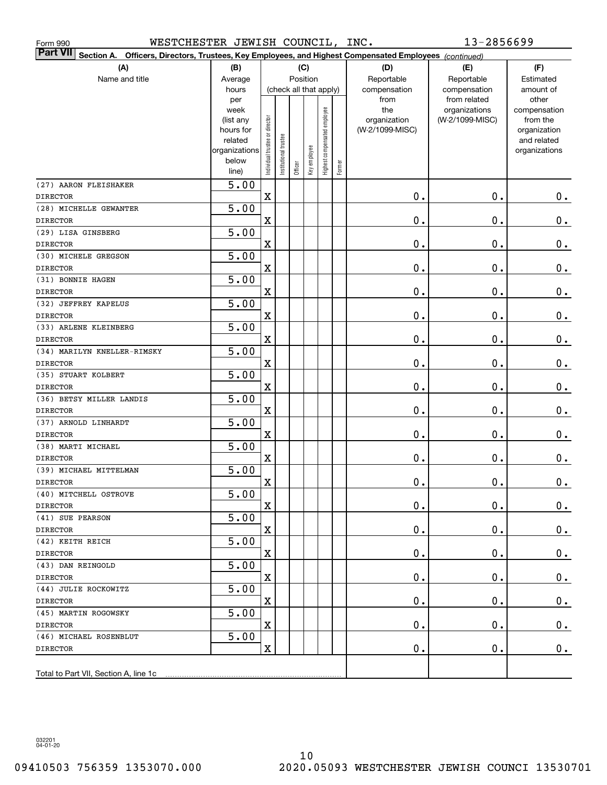| WESTCHESTER JEWISH COUNCIL, INC.<br>Form 990                                                                                 |                   |                                |                       |         |                        |                              |        |                     | 13-2856699                       |                          |
|------------------------------------------------------------------------------------------------------------------------------|-------------------|--------------------------------|-----------------------|---------|------------------------|------------------------------|--------|---------------------|----------------------------------|--------------------------|
| <b>Part VII</b><br>Section A.<br>Officers, Directors, Trustees, Key Employees, and Highest Compensated Employees (continued) |                   |                                |                       |         |                        |                              |        |                     |                                  |                          |
| (A)                                                                                                                          | (B)               |                                |                       |         | (C)                    |                              |        | (D)                 | (E)                              | (F)                      |
| Name and title                                                                                                               | Average           |                                |                       |         | Position               |                              |        | Reportable          | Reportable                       | Estimated                |
|                                                                                                                              | hours             |                                |                       |         | (check all that apply) |                              |        | compensation        | compensation                     | amount of                |
|                                                                                                                              | per               |                                |                       |         |                        |                              |        | from                | from related                     | other                    |
|                                                                                                                              | week<br>(list any |                                |                       |         |                        | Highest compensated employee |        | the<br>organization | organizations<br>(W-2/1099-MISC) | compensation<br>from the |
|                                                                                                                              | hours for         |                                |                       |         |                        |                              |        | (W-2/1099-MISC)     |                                  | organization             |
|                                                                                                                              | related           |                                |                       |         |                        |                              |        |                     |                                  | and related              |
|                                                                                                                              | organizations     |                                |                       |         |                        |                              |        |                     |                                  | organizations            |
|                                                                                                                              | below             | Individual trustee or director | Institutional trustee | Officer | Key employee           |                              | Former |                     |                                  |                          |
|                                                                                                                              | line)             |                                |                       |         |                        |                              |        |                     |                                  |                          |
| (27) AARON FLEISHAKER                                                                                                        | 5.00              |                                |                       |         |                        |                              |        |                     |                                  |                          |
| <b>DIRECTOR</b>                                                                                                              |                   | $\mathbf X$                    |                       |         |                        |                              |        | 0.                  | 0.                               | $\mathbf 0$ .            |
| (28) MICHELLE GEWANTER                                                                                                       | 5.00              |                                |                       |         |                        |                              |        |                     |                                  |                          |
| <b>DIRECTOR</b>                                                                                                              |                   | $\mathbf x$                    |                       |         |                        |                              |        | 0.                  | 0.                               | $0_{.}$                  |
| (29) LISA GINSBERG                                                                                                           | 5.00              |                                |                       |         |                        |                              |        |                     |                                  |                          |
| <b>DIRECTOR</b>                                                                                                              |                   | $\mathbf X$                    |                       |         |                        |                              |        | 0.                  | 0.                               | $0_{.}$                  |
| (30) MICHELE GREGSON                                                                                                         | 5.00              |                                |                       |         |                        |                              |        | $\mathbf 0$ .       | 0.                               |                          |
| <b>DIRECTOR</b><br>(31) BONNIE HAGEN                                                                                         | 5.00              | $\mathbf X$                    |                       |         |                        |                              |        |                     |                                  | $0_{.}$                  |
| <b>DIRECTOR</b>                                                                                                              |                   | $\mathbf X$                    |                       |         |                        |                              |        | $\mathbf 0$ .       | 0.                               | $\mathbf 0$ .            |
| (32) JEFFREY KAPELUS                                                                                                         | 5.00              |                                |                       |         |                        |                              |        |                     |                                  |                          |
| <b>DIRECTOR</b>                                                                                                              |                   | $\mathbf x$                    |                       |         |                        |                              |        | $\mathbf 0$ .       | 0.                               | $\mathbf 0$ .            |
| (33) ARLENE KLEINBERG                                                                                                        | 5.00              |                                |                       |         |                        |                              |        |                     |                                  |                          |
| <b>DIRECTOR</b>                                                                                                              |                   | $\mathbf x$                    |                       |         |                        |                              |        | $\mathbf 0$ .       | 0.                               | $\mathbf 0$ .            |
| (34) MARILYN KNELLER-RIMSKY                                                                                                  | 5.00              |                                |                       |         |                        |                              |        |                     |                                  |                          |
| <b>DIRECTOR</b>                                                                                                              |                   | $\mathbf X$                    |                       |         |                        |                              |        | $\mathbf 0$ .       | 0.                               | $0_{.}$                  |
| (35) STUART KOLBERT                                                                                                          | 5.00              |                                |                       |         |                        |                              |        |                     |                                  |                          |
| <b>DIRECTOR</b>                                                                                                              |                   | $\mathbf X$                    |                       |         |                        |                              |        | $\mathbf 0$ .       | 0.                               | $0_{.}$                  |
| (36) BETSY MILLER LANDIS                                                                                                     | 5.00              |                                |                       |         |                        |                              |        |                     |                                  |                          |
| <b>DIRECTOR</b>                                                                                                              |                   | $\mathbf X$                    |                       |         |                        |                              |        | $\mathbf 0$ .       | 0.                               | $0_{.}$                  |
| (37) ARNOLD LINHARDT                                                                                                         | 5.00              |                                |                       |         |                        |                              |        |                     |                                  |                          |
| <b>DIRECTOR</b>                                                                                                              |                   | $\mathbf x$                    |                       |         |                        |                              |        | $\mathbf 0$ .       | 0.                               | 0.                       |
| (38) MARTI MICHAEL                                                                                                           | 5.00              |                                |                       |         |                        |                              |        |                     |                                  |                          |
| <b>DIRECTOR</b>                                                                                                              |                   | $\mathbf x$                    |                       |         |                        |                              |        | Ο.                  | 0.                               | $0_{.}$                  |
| (39) MICHAEL MITTELMAN                                                                                                       | 5.00              |                                |                       |         |                        |                              |        |                     |                                  |                          |
| <b>DIRECTOR</b>                                                                                                              |                   | $\mathbf X$                    |                       |         |                        |                              |        | $0$ .               | $\mathbf 0$ .                    | $\pmb{0}$ .              |
| (40) MITCHELL OSTROVE                                                                                                        | $\overline{5.00}$ |                                |                       |         |                        |                              |        |                     |                                  |                          |
| <b>DIRECTOR</b>                                                                                                              |                   | X                              |                       |         |                        |                              |        | 0.                  | 0.                               | 0.                       |
| (41) SUE PEARSON                                                                                                             | 5.00              |                                |                       |         |                        |                              |        |                     |                                  |                          |
| <b>DIRECTOR</b>                                                                                                              |                   | X                              |                       |         |                        |                              |        | О.                  | $\mathbf 0$ .                    | 0.                       |
| (42) KEITH REICH                                                                                                             | 5.00              |                                |                       |         |                        |                              |        |                     |                                  |                          |
| <b>DIRECTOR</b><br>(43) DAN REINGOLD                                                                                         | 5.00              | X                              |                       |         |                        |                              |        | О.                  | $\mathbf 0$ .                    | 0.                       |
| <b>DIRECTOR</b>                                                                                                              |                   | X                              |                       |         |                        |                              |        | О.                  | $\mathbf 0$ .                    | 0.                       |
| (44) JULIE ROCKOWITZ                                                                                                         | 5.00              |                                |                       |         |                        |                              |        |                     |                                  |                          |
| <b>DIRECTOR</b>                                                                                                              |                   | X                              |                       |         |                        |                              |        | 0.                  | 0.                               | 0.                       |
| (45) MARTIN ROGOWSKY                                                                                                         | 5.00              |                                |                       |         |                        |                              |        |                     |                                  |                          |
| <b>DIRECTOR</b>                                                                                                              |                   | X                              |                       |         |                        |                              |        | 0.                  | $\mathbf 0$ .                    | 0.                       |
| (46) MICHAEL ROSENBLUT                                                                                                       | 5.00              |                                |                       |         |                        |                              |        |                     |                                  |                          |
| <b>DIRECTOR</b>                                                                                                              |                   | X                              |                       |         |                        |                              |        | О.                  | $\mathbf 0$ .                    | 0.                       |
|                                                                                                                              |                   |                                |                       |         |                        |                              |        |                     |                                  |                          |
| Total to Part VII, Section A, line 1c                                                                                        |                   |                                |                       |         |                        |                              |        |                     |                                  |                          |

032201 04-01-20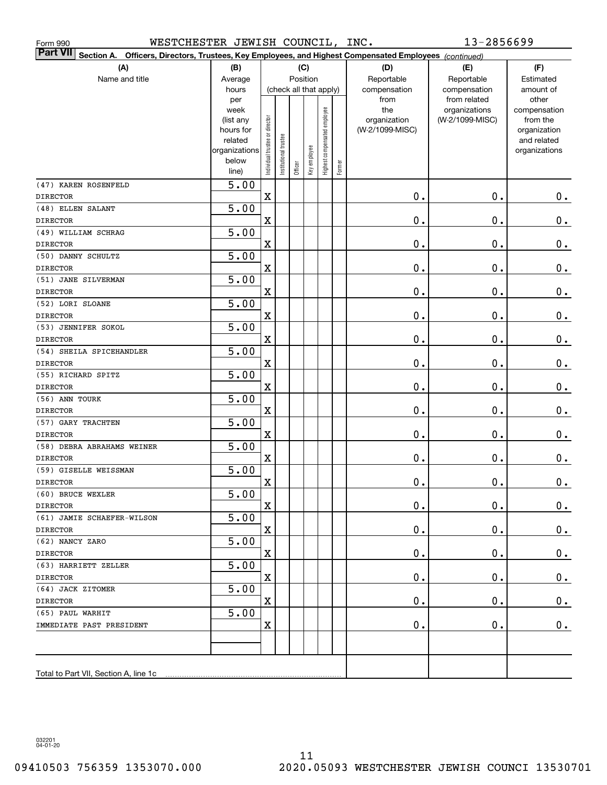| WESTCHESTER JEWISH COUNCIL, INC.<br>Form 990                                                                          |                        |                                |                       |         |                        |                              |        |                                 | 13-2856699      |                          |
|-----------------------------------------------------------------------------------------------------------------------|------------------------|--------------------------------|-----------------------|---------|------------------------|------------------------------|--------|---------------------------------|-----------------|--------------------------|
| Part VII<br>Officers, Directors, Trustees, Key Employees, and Highest Compensated Employees (continued)<br>Section A. |                        |                                |                       |         |                        |                              |        |                                 |                 |                          |
| (A)                                                                                                                   | (B)                    |                                |                       |         | (C)                    |                              |        | (D)                             | (E)             | (F)                      |
| Name and title                                                                                                        | Average                |                                |                       |         | Position               |                              |        | Reportable                      | Reportable      | Estimated                |
|                                                                                                                       | hours                  |                                |                       |         | (check all that apply) |                              |        | compensation                    | compensation    | amount of                |
|                                                                                                                       | per                    |                                |                       |         |                        |                              |        | from                            | from related    | other                    |
|                                                                                                                       | week                   |                                |                       |         |                        |                              |        | the                             | organizations   | compensation             |
|                                                                                                                       | (list any<br>hours for |                                |                       |         |                        |                              |        | organization<br>(W-2/1099-MISC) | (W-2/1099-MISC) | from the<br>organization |
|                                                                                                                       | related                |                                |                       |         |                        |                              |        |                                 |                 | and related              |
|                                                                                                                       | organizations          | Individual trustee or director | Institutional trustee |         |                        | Highest compensated employee |        |                                 |                 | organizations            |
|                                                                                                                       | below                  |                                |                       |         | Key employee           |                              |        |                                 |                 |                          |
|                                                                                                                       | line)                  |                                |                       | Officer |                        |                              | Former |                                 |                 |                          |
| (47) KAREN ROSENFELD                                                                                                  | 5.00                   |                                |                       |         |                        |                              |        |                                 |                 |                          |
| <b>DIRECTOR</b>                                                                                                       |                        | $\mathbf X$                    |                       |         |                        |                              |        | 0.                              | 0.              | $\mathbf 0$ .            |
| (48) ELLEN SALANT                                                                                                     | 5.00                   |                                |                       |         |                        |                              |        |                                 |                 |                          |
| <b>DIRECTOR</b>                                                                                                       |                        | $\mathbf X$                    |                       |         |                        |                              |        | 0.                              | $\mathbf 0$ .   | $0_{.}$                  |
| (49) WILLIAM SCHRAG                                                                                                   | 5.00                   |                                |                       |         |                        |                              |        |                                 |                 |                          |
| <b>DIRECTOR</b>                                                                                                       |                        | $\mathbf X$                    |                       |         |                        |                              |        | 0.                              | $\mathbf 0$ .   | $0_{.}$                  |
| (50) DANNY SCHULTZ                                                                                                    | 5.00                   |                                |                       |         |                        |                              |        |                                 |                 |                          |
| <b>DIRECTOR</b>                                                                                                       |                        | $\mathbf X$                    |                       |         |                        |                              |        | 0.                              | $\mathbf 0$ .   | $0_{.}$                  |
| (51) JANE SILVERMAN                                                                                                   | 5.00                   |                                |                       |         |                        |                              |        |                                 |                 |                          |
| <b>DIRECTOR</b><br>(52) LORI SLOANE                                                                                   | 5.00                   | $\mathbf X$                    |                       |         |                        |                              |        | 0.                              | $\mathbf 0$ .   | $0_{.}$                  |
| <b>DIRECTOR</b>                                                                                                       |                        | $\mathbf X$                    |                       |         |                        |                              |        | 0.                              | $\mathbf 0$ .   | $0_{.}$                  |
| (53) JENNIFER SOKOL                                                                                                   | 5.00                   |                                |                       |         |                        |                              |        |                                 |                 |                          |
| <b>DIRECTOR</b>                                                                                                       |                        | $\mathbf X$                    |                       |         |                        |                              |        | 0.                              | $\mathbf 0$ .   | $0_{.}$                  |
| (54) SHEILA SPICEHANDLER                                                                                              | 5.00                   |                                |                       |         |                        |                              |        |                                 |                 |                          |
| <b>DIRECTOR</b>                                                                                                       |                        | $\mathbf X$                    |                       |         |                        |                              |        | 0.                              | $\mathbf 0$ .   | $\mathbf 0$ .            |
| (55) RICHARD SPITZ                                                                                                    | $\overline{5.00}$      |                                |                       |         |                        |                              |        |                                 |                 |                          |
| <b>DIRECTOR</b>                                                                                                       |                        | $\mathbf X$                    |                       |         |                        |                              |        | 0.                              | $\mathbf 0$ .   | $\mathbf 0$ .            |
| (56) ANN TOURK                                                                                                        | $\overline{5.00}$      |                                |                       |         |                        |                              |        |                                 |                 |                          |
| <b>DIRECTOR</b>                                                                                                       |                        | $\mathbf X$                    |                       |         |                        |                              |        | 0.                              | $\mathbf 0$ .   | $0_{.}$                  |
| (57) GARY TRACHTEN                                                                                                    | $\overline{5.00}$      |                                |                       |         |                        |                              |        |                                 |                 |                          |
| <b>DIRECTOR</b>                                                                                                       |                        | $\mathbf X$                    |                       |         |                        |                              |        | 0.                              | $\mathbf 0$ .   | 0.                       |
| (58) DEBRA ABRAHAMS WEINER                                                                                            | 5.00                   |                                |                       |         |                        |                              |        |                                 |                 |                          |
| <b>DIRECTOR</b>                                                                                                       |                        | $\mathbf X$                    |                       |         |                        |                              |        | 0.                              | $\mathbf 0$ .   | 0.                       |
| (59) GISELLE WEISSMAN                                                                                                 | 5.00                   |                                |                       |         |                        |                              |        |                                 |                 |                          |
| <b>DIRECTOR</b>                                                                                                       |                        | $\mathbf X$                    |                       |         |                        |                              |        | $\mathbf 0$ .                   | $\mathbf 0$ .   | $\pmb{0}$ .              |
| (60) BRUCE WEXLER                                                                                                     | $\overline{5.00}$      |                                |                       |         |                        |                              |        |                                 |                 |                          |
| <b>DIRECTOR</b>                                                                                                       |                        | X                              |                       |         |                        |                              |        | $\mathbf 0$ .                   | $\mathbf 0$ .   | $0_{.}$                  |
| (61) JAMIE SCHAEFER-WILSON                                                                                            | 5.00                   |                                |                       |         |                        |                              |        |                                 |                 |                          |
| DIRECTOR                                                                                                              |                        | $\mathbf X$                    |                       |         |                        |                              |        | 0.                              | $\mathbf 0$ .   | 0.                       |
| (62) NANCY ZARO                                                                                                       | 5.00                   |                                |                       |         |                        |                              |        |                                 |                 |                          |
| <b>DIRECTOR</b>                                                                                                       |                        | $\mathbf X$                    |                       |         |                        |                              |        | 0.                              | $\mathbf 0$ .   | 0.                       |
| (63) HARRIETT ZELLER                                                                                                  | 5.00                   |                                |                       |         |                        |                              |        |                                 |                 |                          |
| <b>DIRECTOR</b>                                                                                                       |                        | $\mathbf X$                    |                       |         |                        |                              |        | $\mathbf 0$ .                   | $\mathbf 0$ .   | 0.                       |
| (64) JACK ZITOMER                                                                                                     | 5.00                   |                                |                       |         |                        |                              |        |                                 |                 |                          |
| <b>DIRECTOR</b>                                                                                                       |                        | $\mathbf X$                    |                       |         |                        |                              |        | 0.                              | $\mathbf 0$ .   | $0_{\cdot}$              |
| (65) PAUL WARHIT                                                                                                      | 5.00                   |                                |                       |         |                        |                              |        |                                 |                 |                          |
| IMMEDIATE PAST PRESIDENT                                                                                              |                        | $\mathbf X$                    |                       |         |                        |                              |        | $\mathbf 0$ .                   | $\mathbf 0$ .   | 0.                       |
|                                                                                                                       |                        |                                |                       |         |                        |                              |        |                                 |                 |                          |
|                                                                                                                       |                        |                                |                       |         |                        |                              |        |                                 |                 |                          |
| Total to Part VII, Section A, line 1c                                                                                 |                        |                                |                       |         |                        |                              |        |                                 |                 |                          |
|                                                                                                                       |                        |                                |                       |         |                        |                              |        |                                 |                 |                          |

032201 04-01-20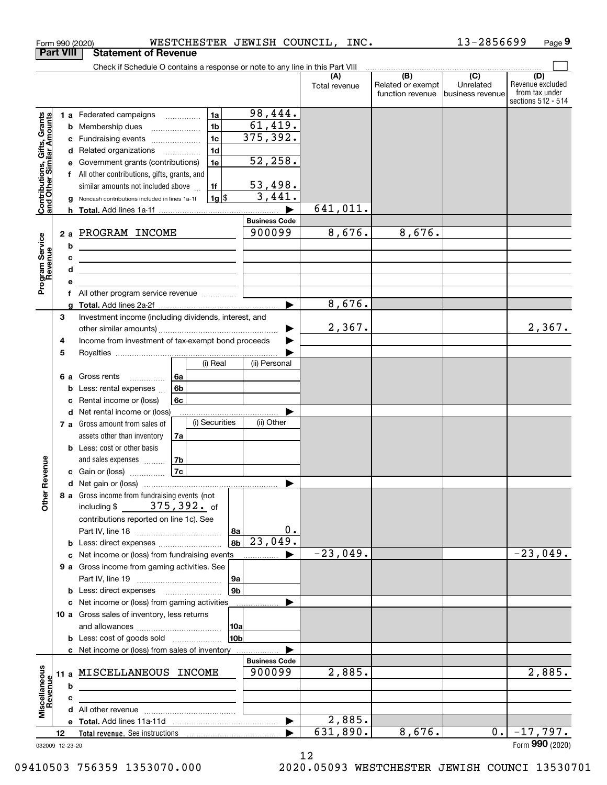|                                                           |                       | WESTCHESTER JEWISH COUNCIL, INC.<br>Form 990 (2020)                                                                                                                                                                                                                                                                                                                  |                                                                                         |                      |                                                                                                 | 13-2856699                    | Page 9                                                          |
|-----------------------------------------------------------|-----------------------|----------------------------------------------------------------------------------------------------------------------------------------------------------------------------------------------------------------------------------------------------------------------------------------------------------------------------------------------------------------------|-----------------------------------------------------------------------------------------|----------------------|-------------------------------------------------------------------------------------------------|-------------------------------|-----------------------------------------------------------------|
|                                                           | <b>Part VIII</b>      | <b>Statement of Revenue</b>                                                                                                                                                                                                                                                                                                                                          |                                                                                         |                      |                                                                                                 |                               |                                                                 |
|                                                           |                       | Check if Schedule O contains a response or note to any line in this Part VIII                                                                                                                                                                                                                                                                                        |                                                                                         |                      | $\begin{array}{c c c c c c c} \hline \text{ } & \text{(B)} & \text{(C)} & \text{ } \end{array}$ |                               |                                                                 |
|                                                           |                       |                                                                                                                                                                                                                                                                                                                                                                      |                                                                                         | (A)<br>Total revenue | Related or exempt<br>function revenue                                                           | Unrelated<br>business revenue | (D)<br>Revenue excluded<br>from tax under<br>sections 512 - 514 |
| Contributions, Gifts, Grants<br>and Other Similar Amounts | с<br>е<br>g           | 1a<br>1 a Federated campaigns<br>1 <sub>b</sub><br><b>b</b> Membership dues<br>1 <sub>c</sub><br>Fundraising events<br>1 <sub>d</sub><br>d Related organizations<br>1e<br>Government grants (contributions)<br>f All other contributions, gifts, grants, and<br>similar amounts not included above<br>1f<br>$1g$ \$<br>Noncash contributions included in lines 1a-1f | 98,444.<br>61,419.<br>375, 392.<br>52,258.<br>53,498.<br>3,441.<br><b>Business Code</b> | 641,011.             |                                                                                                 |                               |                                                                 |
| Program Service<br>Revenue                                | b<br>c<br>d           | 2 a PROGRAM INCOME<br><u> De Carlos de Carlos de Carlos de Carlos de Carlos de Carlos de Carlos de Carlos de Carlos de Carlos de Carlos </u><br><u> 1989 - Johann Stein, mars an de Brazilian (b. 1989)</u>                                                                                                                                                          | 900099                                                                                  | 8,676.               | 8,676.                                                                                          |                               |                                                                 |
|                                                           | е<br>f<br>a<br>3      | All other program service revenue<br>Investment income (including dividends, interest, and                                                                                                                                                                                                                                                                           |                                                                                         | 8,676.               |                                                                                                 |                               |                                                                 |
|                                                           | 4<br>5                | Income from investment of tax-exempt bond proceeds                                                                                                                                                                                                                                                                                                                   |                                                                                         | 2,367.               |                                                                                                 |                               | 2,367.                                                          |
|                                                           | b<br>c                | (i) Real<br>6a<br>6 a Gross rents<br>6b<br>Less: rental expenses<br>Rental income or (loss)<br>6c<br>d Net rental income or (loss)<br>(i) Securities                                                                                                                                                                                                                 | (ii) Personal                                                                           |                      |                                                                                                 |                               |                                                                 |
| evenue                                                    |                       | 7 a Gross amount from sales of<br>assets other than inventory<br>7a<br><b>b</b> Less: cost or other basis<br>7b<br>and sales expenses<br>7c<br>c Gain or (loss)                                                                                                                                                                                                      | (ii) Other                                                                              |                      |                                                                                                 |                               |                                                                 |
| Other <sub>R</sub>                                        |                       | 8 a Gross income from fundraising events (not<br>including \$375, 392. of<br>contributions reported on line 1c). See<br><u> 8a</u><br>8b                                                                                                                                                                                                                             | 0.<br>23,049.                                                                           |                      |                                                                                                 |                               |                                                                 |
|                                                           |                       | c Net income or (loss) from fundraising events<br>9 a Gross income from gaming activities. See<br> 9a                                                                                                                                                                                                                                                                |                                                                                         | $-23,049.$           |                                                                                                 |                               | $-23,049.$                                                      |
|                                                           |                       | 9 <sub>b</sub><br><b>b</b> Less: direct expenses <b>manually</b><br>c Net income or (loss) from gaming activities<br>10 a Gross sales of inventory, less returns<br>10a<br>10 <sub>b</sub><br><b>b</b> Less: cost of goods sold                                                                                                                                      |                                                                                         |                      |                                                                                                 |                               |                                                                 |
|                                                           | b                     | c Net income or (loss) from sales of inventory<br>11 a MISCELLANEOUS INCOME                                                                                                                                                                                                                                                                                          | <b>Business Code</b><br>900099                                                          | 2,885.               |                                                                                                 |                               | 2,885.                                                          |
| Miscellaneous<br>Revenue                                  | c                     |                                                                                                                                                                                                                                                                                                                                                                      | ▶                                                                                       | 2,885.               |                                                                                                 |                               |                                                                 |
|                                                           | 12<br>032009 12-23-20 |                                                                                                                                                                                                                                                                                                                                                                      |                                                                                         | 631,890.             | 8,676.                                                                                          | 0.                            | $-17,797.$<br>Form 990 (2020)                                   |

12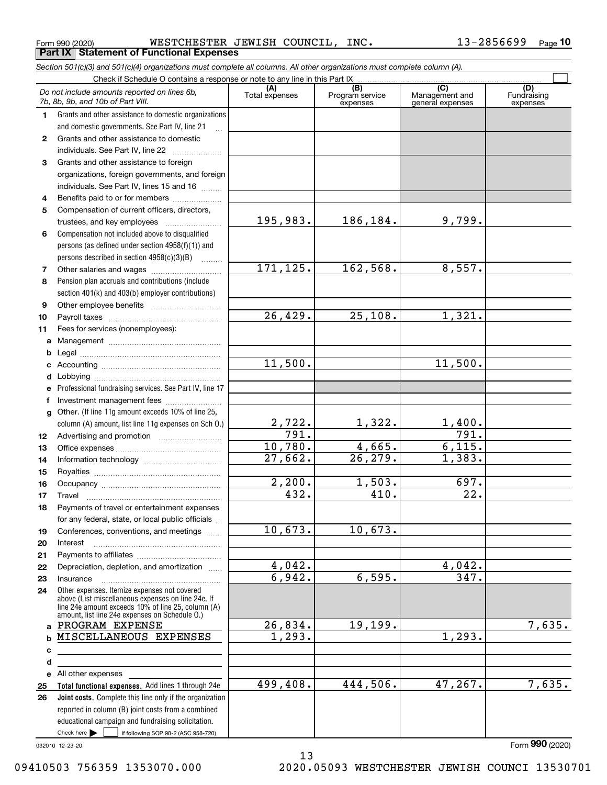Form 990 (2020) WESTCHESTER JEWISH COUNCIL,INC. 13-2856699 <sub>Page</sub> **Part IX Statement of Functional Expenses**

|              | Section 501(c)(3) and 501(c)(4) organizations must complete all columns. All other organizations must complete column (A).                                                                                 |                       |                                    |                                           |                                |
|--------------|------------------------------------------------------------------------------------------------------------------------------------------------------------------------------------------------------------|-----------------------|------------------------------------|-------------------------------------------|--------------------------------|
|              | Check if Schedule O contains a response or note to any line in this Part IX                                                                                                                                |                       |                                    |                                           |                                |
|              | Do not include amounts reported on lines 6b,<br>7b, 8b, 9b, and 10b of Part VIII.                                                                                                                          | (A)<br>Total expenses | (B)<br>Program service<br>expenses | (C)<br>Management and<br>general expenses | (D)<br>Fundraising<br>expenses |
| 1.           | Grants and other assistance to domestic organizations                                                                                                                                                      |                       |                                    |                                           |                                |
|              | and domestic governments. See Part IV, line 21                                                                                                                                                             |                       |                                    |                                           |                                |
| $\mathbf{2}$ | Grants and other assistance to domestic                                                                                                                                                                    |                       |                                    |                                           |                                |
|              | individuals. See Part IV, line 22                                                                                                                                                                          |                       |                                    |                                           |                                |
| 3            | Grants and other assistance to foreign                                                                                                                                                                     |                       |                                    |                                           |                                |
|              | organizations, foreign governments, and foreign                                                                                                                                                            |                       |                                    |                                           |                                |
|              | individuals. See Part IV, lines 15 and 16                                                                                                                                                                  |                       |                                    |                                           |                                |
| 4            | Benefits paid to or for members                                                                                                                                                                            |                       |                                    |                                           |                                |
| 5            | Compensation of current officers, directors,                                                                                                                                                               |                       |                                    |                                           |                                |
|              | trustees, and key employees                                                                                                                                                                                | 195,983.              | 186,184.                           | 9,799.                                    |                                |
| 6            | Compensation not included above to disqualified                                                                                                                                                            |                       |                                    |                                           |                                |
|              | persons (as defined under section 4958(f)(1)) and                                                                                                                                                          |                       |                                    |                                           |                                |
|              | persons described in section 4958(c)(3)(B)                                                                                                                                                                 |                       |                                    |                                           |                                |
| 7            |                                                                                                                                                                                                            | 171,125.              | 162,568.                           | 8,557.                                    |                                |
| 8            | Pension plan accruals and contributions (include                                                                                                                                                           |                       |                                    |                                           |                                |
|              | section 401(k) and 403(b) employer contributions)                                                                                                                                                          |                       |                                    |                                           |                                |
| 9            |                                                                                                                                                                                                            |                       |                                    |                                           |                                |
| 10           |                                                                                                                                                                                                            | $\overline{26,429}$ . | 25,108.                            | 1,321.                                    |                                |
| 11           | Fees for services (nonemployees):                                                                                                                                                                          |                       |                                    |                                           |                                |
| a            |                                                                                                                                                                                                            |                       |                                    |                                           |                                |
| b            |                                                                                                                                                                                                            |                       |                                    |                                           |                                |
| c            |                                                                                                                                                                                                            | 11,500.               |                                    | 11,500.                                   |                                |
| d            |                                                                                                                                                                                                            |                       |                                    |                                           |                                |
| e            | Professional fundraising services. See Part IV, line 17                                                                                                                                                    |                       |                                    |                                           |                                |
| f            | Investment management fees                                                                                                                                                                                 |                       |                                    |                                           |                                |
| g            | Other. (If line 11g amount exceeds 10% of line 25,                                                                                                                                                         |                       |                                    |                                           |                                |
|              | column (A) amount, list line 11g expenses on Sch O.)                                                                                                                                                       | 2,722.                | 1,322.                             | 1,400.                                    |                                |
| 12           |                                                                                                                                                                                                            | 791.                  |                                    | 791.                                      |                                |
| 13           |                                                                                                                                                                                                            | 10,780.               | 4,665.                             | 6,115.                                    |                                |
| 14           |                                                                                                                                                                                                            | 27,662.               | 26, 279.                           | 1,383.                                    |                                |
| 15           |                                                                                                                                                                                                            |                       |                                    |                                           |                                |
| 16           |                                                                                                                                                                                                            | 2,200.                | 1,503.                             | 697.                                      |                                |
| 17           |                                                                                                                                                                                                            | $\overline{432}$ .    | 410.                               | $\overline{22}$ .                         |                                |
| 18           | Payments of travel or entertainment expenses                                                                                                                                                               |                       |                                    |                                           |                                |
|              | for any federal, state, or local public officials                                                                                                                                                          |                       |                                    |                                           |                                |
| 19           | Conferences, conventions, and meetings                                                                                                                                                                     | 10,673.               | 10,673.                            |                                           |                                |
| 20           | Interest                                                                                                                                                                                                   |                       |                                    |                                           |                                |
| 21           |                                                                                                                                                                                                            |                       |                                    |                                           |                                |
| 22           | Depreciation, depletion, and amortization                                                                                                                                                                  | 4,042.                |                                    | 4,042.                                    |                                |
| 23           | Insurance                                                                                                                                                                                                  | 6,942.                | 6,595.                             | 347.                                      |                                |
| 24           | Other expenses. Itemize expenses not covered<br>above (List miscellaneous expenses on line 24e. If<br>line 24e amount exceeds 10% of line 25, column (A)<br>amount, list line 24e expenses on Schedule O.) |                       |                                    |                                           |                                |
| $\mathbf{a}$ | PROGRAM EXPENSE                                                                                                                                                                                            | 26,834.               | 19, 199.                           |                                           | 7,635.                         |
| b            | MISCELLANEOUS EXPENSES                                                                                                                                                                                     | $\overline{1,293}$ .  |                                    | $\overline{1,293}$ .                      |                                |
| c            |                                                                                                                                                                                                            |                       |                                    |                                           |                                |
| d            |                                                                                                                                                                                                            |                       |                                    |                                           |                                |
| е            | All other expenses                                                                                                                                                                                         |                       |                                    |                                           |                                |
| 25           | Total functional expenses. Add lines 1 through 24e                                                                                                                                                         | 499,408.              | 444,506.                           | 47,267.                                   | 7,635.                         |
| 26           | Joint costs. Complete this line only if the organization                                                                                                                                                   |                       |                                    |                                           |                                |
|              | reported in column (B) joint costs from a combined                                                                                                                                                         |                       |                                    |                                           |                                |
|              | educational campaign and fundraising solicitation.                                                                                                                                                         |                       |                                    |                                           |                                |
|              | Check here $\blacktriangleright$<br>if following SOP 98-2 (ASC 958-720)<br>$\sim$ 1                                                                                                                        |                       |                                    |                                           |                                |

13

032010 12-23-20

Form (2020) **990**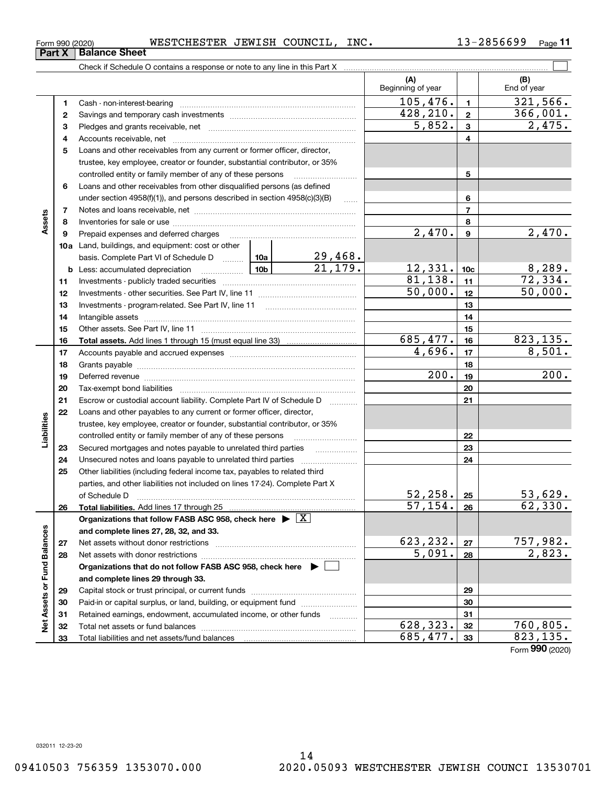| Form 990 (2020) | WESTCHESTER JEWISH COUNCIL, |  |  | $_{\tt INC.}$ | 13-2856699 | Page |
|-----------------|-----------------------------|--|--|---------------|------------|------|
|-----------------|-----------------------------|--|--|---------------|------------|------|

|                             |          | Check if Schedule O contains a response or note to any line in this Part X         |                           |                          |                  |                                |
|-----------------------------|----------|------------------------------------------------------------------------------------|---------------------------|--------------------------|------------------|--------------------------------|
|                             |          |                                                                                    |                           | (A)<br>Beginning of year |                  | (B)<br>End of year             |
|                             | 1        |                                                                                    |                           | 105,476.                 | $\mathbf{1}$     | 321,566.                       |
|                             | 2        |                                                                                    |                           | 428, 210.                | $\overline{2}$   | 366,001.                       |
|                             | 3        |                                                                                    |                           | 5,852.                   | 3                | 2,475.                         |
|                             | 4        |                                                                                    |                           |                          | 4                |                                |
|                             | 5        | Loans and other receivables from any current or former officer, director,          |                           |                          |                  |                                |
|                             |          | trustee, key employee, creator or founder, substantial contributor, or 35%         |                           |                          |                  |                                |
|                             |          | controlled entity or family member of any of these persons                         |                           |                          | 5                |                                |
|                             | 6        | Loans and other receivables from other disqualified persons (as defined            |                           |                          |                  |                                |
|                             |          | under section $4958(f)(1)$ , and persons described in section $4958(c)(3)(B)$      | $\ldots$                  |                          | 6                |                                |
|                             | 7        |                                                                                    |                           |                          | 7                |                                |
| Assets                      | 8        |                                                                                    |                           |                          | 8                |                                |
|                             | 9        | Prepaid expenses and deferred charges                                              |                           | $\overline{2}$ , 470.    | $\boldsymbol{9}$ | 2,470.                         |
|                             |          | <b>10a</b> Land, buildings, and equipment: cost or other                           |                           |                          |                  |                                |
|                             |          | basis. Complete Part VI of Schedule D  10a                                         | $\frac{29,468}{21,179}$ . |                          |                  |                                |
|                             | b        | <u>  10b</u><br>Less: accumulated depreciation                                     |                           | 12,331.                  | 10 <sub>c</sub>  | $\frac{8,289}{72,334}$ .       |
|                             | 11       |                                                                                    |                           | 81,138.                  | 11               |                                |
|                             | 12       |                                                                                    |                           | 50,000.                  | 12               | 50,000.                        |
|                             | 13       |                                                                                    |                           |                          | 13               |                                |
|                             | 14       |                                                                                    |                           |                          | 14               |                                |
|                             | 15       |                                                                                    |                           |                          | 15               |                                |
|                             | 16       |                                                                                    |                           | 685,477.                 | 16               | 823, 135.                      |
|                             | 17       |                                                                                    |                           | 4,696.                   | 17               | 8,501.                         |
|                             | 18       |                                                                                    |                           |                          | 18               | 200.                           |
|                             | 19       |                                                                                    |                           | 200.                     | 19               |                                |
|                             | 20       |                                                                                    |                           |                          | 20               |                                |
|                             | 21       | Escrow or custodial account liability. Complete Part IV of Schedule D              |                           |                          | 21               |                                |
|                             | 22       | Loans and other payables to any current or former officer, director,               |                           |                          |                  |                                |
| Liabilities                 |          | trustee, key employee, creator or founder, substantial contributor, or 35%         |                           |                          |                  |                                |
|                             |          | controlled entity or family member of any of these persons                         |                           |                          | 22<br>23         |                                |
|                             | 23<br>24 | Secured mortgages and notes payable to unrelated third parties                     |                           |                          | 24               |                                |
|                             | 25       | Other liabilities (including federal income tax, payables to related third         |                           |                          |                  |                                |
|                             |          | parties, and other liabilities not included on lines 17-24). Complete Part X       |                           |                          |                  |                                |
|                             |          | of Schedule D                                                                      |                           | 52, 258.                 | 25               | 53,629.                        |
|                             | 26       | Total liabilities. Add lines 17 through 25.                                        |                           | $\overline{57, 154.}$    | 26               | 62,330.                        |
|                             |          | Organizations that follow FASB ASC 958, check here $\blacktriangleright \boxed{X}$ |                           |                          |                  |                                |
|                             |          | and complete lines 27, 28, 32, and 33.                                             |                           |                          |                  |                                |
|                             | 27       | Net assets without donor restrictions                                              |                           | 623, 232.                | 27               | <u>757,982.</u>                |
|                             | 28       |                                                                                    |                           | 5,091.                   | 28               | $\overline{2}$ , 823.          |
|                             |          | Organizations that do not follow FASB ASC 958, check here ▶ [                      |                           |                          |                  |                                |
|                             |          | and complete lines 29 through 33.                                                  |                           |                          |                  |                                |
| Net Assets or Fund Balances | 29       |                                                                                    |                           |                          | 29               |                                |
|                             | 30       | Paid-in or capital surplus, or land, building, or equipment fund                   |                           |                          | 30               |                                |
|                             | 31       | Retained earnings, endowment, accumulated income, or other funds                   |                           |                          | 31               |                                |
|                             | 32       | Total net assets or fund balances                                                  |                           | 628,323.                 | 32               | 760,805.                       |
|                             | 33       | Total liabilities and net assets/fund balances                                     |                           | 685,477.                 | 33               | 823,135.<br>$000 \, \text{km}$ |

Form (2020) **990**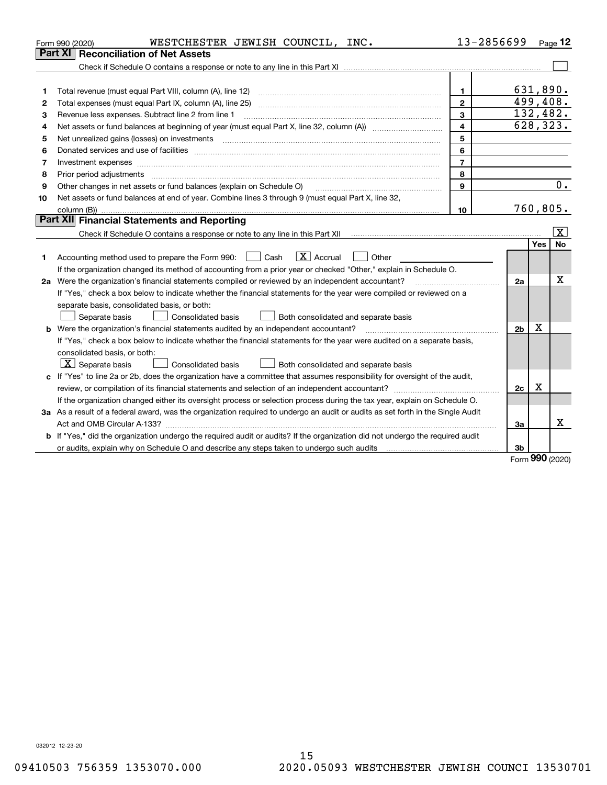|    | WESTCHESTER JEWISH COUNCIL, INC.<br>Form 990 (2020)                                                                                                                                                                            | 13-2856699     |                |          | Page $12$               |
|----|--------------------------------------------------------------------------------------------------------------------------------------------------------------------------------------------------------------------------------|----------------|----------------|----------|-------------------------|
|    | Part XI<br><b>Reconciliation of Net Assets</b>                                                                                                                                                                                 |                |                |          |                         |
|    |                                                                                                                                                                                                                                |                |                |          |                         |
|    |                                                                                                                                                                                                                                |                |                |          |                         |
| 1  |                                                                                                                                                                                                                                | 1.             |                | 631,890. |                         |
| 2  |                                                                                                                                                                                                                                | $\overline{2}$ |                |          | 499,408.                |
| 3  | Revenue less expenses. Subtract line 2 from line 1                                                                                                                                                                             | 3              |                |          | 132,482.                |
| 4  |                                                                                                                                                                                                                                | 4              |                |          | 628,323.                |
| 5  |                                                                                                                                                                                                                                | 5              |                |          |                         |
| 6  |                                                                                                                                                                                                                                | 6              |                |          |                         |
| 7  | Investment expenses www.communication.com/www.communication.com/www.communication.com/www.com                                                                                                                                  | $\overline{7}$ |                |          |                         |
| 8  | Prior period adjustments                                                                                                                                                                                                       | 8              |                |          |                         |
| 9  | Other changes in net assets or fund balances (explain on Schedule O)                                                                                                                                                           | 9              |                |          | 0.                      |
| 10 | Net assets or fund balances at end of year. Combine lines 3 through 9 (must equal Part X, line 32,                                                                                                                             |                |                |          |                         |
|    |                                                                                                                                                                                                                                | 10             |                |          | 760, 805.               |
|    | Part XII Financial Statements and Reporting                                                                                                                                                                                    |                |                |          |                         |
|    |                                                                                                                                                                                                                                |                |                |          | $\overline{\mathbf{x}}$ |
|    |                                                                                                                                                                                                                                |                |                | Yes      | No                      |
| 1  | $\boxed{\text{X}}$ Accrual<br>Accounting method used to prepare the Form 990: <u>June</u> Cash<br>Other<br>$\mathbf{1}$                                                                                                        |                |                |          |                         |
|    | If the organization changed its method of accounting from a prior year or checked "Other," explain in Schedule O.                                                                                                              |                |                |          |                         |
|    | 2a Were the organization's financial statements compiled or reviewed by an independent accountant?                                                                                                                             |                | 2a             |          | X                       |
|    | If "Yes," check a box below to indicate whether the financial statements for the year were compiled or reviewed on a                                                                                                           |                |                |          |                         |
|    | separate basis, consolidated basis, or both:                                                                                                                                                                                   |                |                |          |                         |
|    | Separate basis<br>Both consolidated and separate basis<br>Consolidated basis                                                                                                                                                   |                |                |          |                         |
|    | <b>b</b> Were the organization's financial statements audited by an independent accountant?                                                                                                                                    |                | 2 <sub>b</sub> | X        |                         |
|    | If "Yes," check a box below to indicate whether the financial statements for the year were audited on a separate basis,                                                                                                        |                |                |          |                         |
|    | consolidated basis, or both:                                                                                                                                                                                                   |                |                |          |                         |
|    | $\lfloor x \rfloor$ Separate basis<br><b>Consolidated basis</b><br>Both consolidated and separate basis                                                                                                                        |                |                |          |                         |
|    | c If "Yes" to line 2a or 2b, does the organization have a committee that assumes responsibility for oversight of the audit,                                                                                                    |                |                |          |                         |
|    |                                                                                                                                                                                                                                |                | 2c             | х        |                         |
|    | If the organization changed either its oversight process or selection process during the tax year, explain on Schedule O.                                                                                                      |                |                |          |                         |
|    | 3a As a result of a federal award, was the organization required to undergo an audit or audits as set forth in the Single Audit                                                                                                |                |                |          |                         |
|    |                                                                                                                                                                                                                                |                | За             |          | х                       |
|    | <b>b</b> If "Yes," did the organization undergo the required audit or audits? If the organization did not undergo the required audit                                                                                           |                |                |          |                         |
|    | or audits, explain why on Schedule O and describe any steps taken to undergo such audits [11] our contract to the stream to and the stream of the stream of the stream of the stream of the stream of the stream of the stream |                | 3b             |          |                         |
|    |                                                                                                                                                                                                                                |                |                | nnn      |                         |

Form (2020) **990**

032012 12-23-20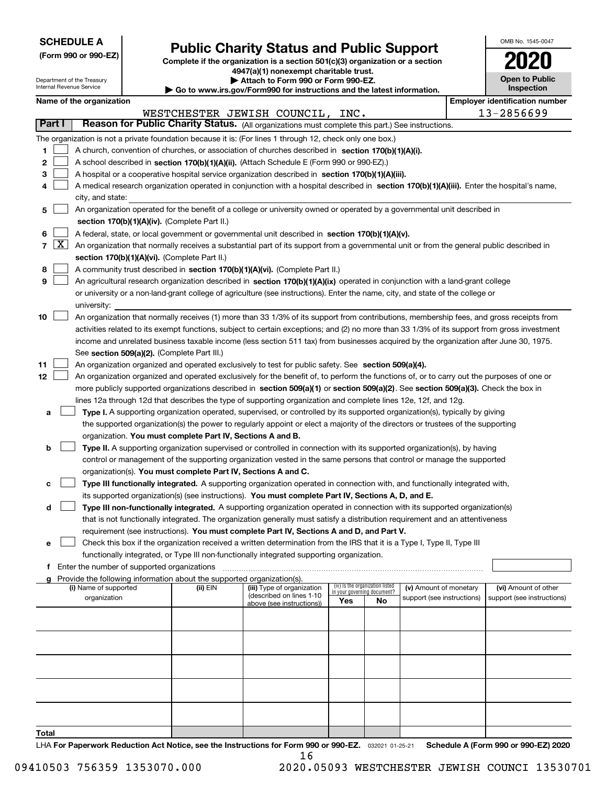| <b>SCHEDULE A</b> |
|-------------------|
|-------------------|

**(Form 990 or 990-EZ)**

## **Public Charity Status and Public Support**

**Complete if the organization is a section 501(c)(3) organization or a section 4947(a)(1) nonexempt charitable trust. | Attach to Form 990 or Form 990-EZ.** 

|  | ο www.irs.αον/Form990 for instructions and the latest information. |  |  |
|--|--------------------------------------------------------------------|--|--|

| OMB No. 1545-0047                   |
|-------------------------------------|
| 2020                                |
| <b>Open to Public</b><br>Inspection |

|                  | Department of the Treasury<br>▶ Attach to Form 990 or Form 990-EZ.<br>Internal Revenue Service<br>Go to www.irs.gov/Form990 for instructions and the latest information.                                                                                                                                                                                                                                                                                                                                                                                                                                                                                                                                                                                                                                                                                                                                                                                                                                                       |  |                                       | <b>Open to Public</b><br><b>Inspection</b>  |                                                                                    |                                                                                                                                                                                                                                                                                                                                                                                                                                   |                                    |                                       |                                                      |  |                                                    |
|------------------|--------------------------------------------------------------------------------------------------------------------------------------------------------------------------------------------------------------------------------------------------------------------------------------------------------------------------------------------------------------------------------------------------------------------------------------------------------------------------------------------------------------------------------------------------------------------------------------------------------------------------------------------------------------------------------------------------------------------------------------------------------------------------------------------------------------------------------------------------------------------------------------------------------------------------------------------------------------------------------------------------------------------------------|--|---------------------------------------|---------------------------------------------|------------------------------------------------------------------------------------|-----------------------------------------------------------------------------------------------------------------------------------------------------------------------------------------------------------------------------------------------------------------------------------------------------------------------------------------------------------------------------------------------------------------------------------|------------------------------------|---------------------------------------|------------------------------------------------------|--|----------------------------------------------------|
|                  |                                                                                                                                                                                                                                                                                                                                                                                                                                                                                                                                                                                                                                                                                                                                                                                                                                                                                                                                                                                                                                |  | Name of the organization              |                                             |                                                                                    |                                                                                                                                                                                                                                                                                                                                                                                                                                   |                                    |                                       |                                                      |  | <b>Employer identification number</b>              |
|                  |                                                                                                                                                                                                                                                                                                                                                                                                                                                                                                                                                                                                                                                                                                                                                                                                                                                                                                                                                                                                                                |  |                                       |                                             |                                                                                    | WESTCHESTER JEWISH COUNCIL, INC.                                                                                                                                                                                                                                                                                                                                                                                                  |                                    |                                       |                                                      |  | 13-2856699                                         |
|                  | Part I                                                                                                                                                                                                                                                                                                                                                                                                                                                                                                                                                                                                                                                                                                                                                                                                                                                                                                                                                                                                                         |  |                                       |                                             |                                                                                    |                                                                                                                                                                                                                                                                                                                                                                                                                                   |                                    |                                       |                                                      |  |                                                    |
| 1<br>2<br>з<br>4 | Reason for Public Charity Status. (All organizations must complete this part.) See instructions.<br>The organization is not a private foundation because it is: (For lines 1 through 12, check only one box.)<br>A church, convention of churches, or association of churches described in section 170(b)(1)(A)(i).<br>A school described in section 170(b)(1)(A)(ii). (Attach Schedule E (Form 990 or 990-EZ).)<br>A hospital or a cooperative hospital service organization described in section 170(b)(1)(A)(iii).<br>A medical research organization operated in conjunction with a hospital described in section 170(b)(1)(A)(iii). Enter the hospital's name,<br>city, and state:                                                                                                                                                                                                                                                                                                                                        |  |                                       |                                             |                                                                                    |                                                                                                                                                                                                                                                                                                                                                                                                                                   |                                    |                                       |                                                      |  |                                                    |
| 5                |                                                                                                                                                                                                                                                                                                                                                                                                                                                                                                                                                                                                                                                                                                                                                                                                                                                                                                                                                                                                                                |  |                                       |                                             |                                                                                    | An organization operated for the benefit of a college or university owned or operated by a governmental unit described in                                                                                                                                                                                                                                                                                                         |                                    |                                       |                                                      |  |                                                    |
| 6<br>8<br>9      | section 170(b)(1)(A)(iv). (Complete Part II.)<br>A federal, state, or local government or governmental unit described in section 170(b)(1)(A)(v).<br>$7 \mid X \mid$<br>An organization that normally receives a substantial part of its support from a governmental unit or from the general public described in<br>section 170(b)(1)(A)(vi). (Complete Part II.)<br>A community trust described in section 170(b)(1)(A)(vi). (Complete Part II.)<br>An agricultural research organization described in section 170(b)(1)(A)(ix) operated in conjunction with a land-grant college<br>or university or a non-land-grant college of agriculture (see instructions). Enter the name, city, and state of the college or                                                                                                                                                                                                                                                                                                          |  |                                       |                                             |                                                                                    |                                                                                                                                                                                                                                                                                                                                                                                                                                   |                                    |                                       |                                                      |  |                                                    |
| 10               |                                                                                                                                                                                                                                                                                                                                                                                                                                                                                                                                                                                                                                                                                                                                                                                                                                                                                                                                                                                                                                |  | university:                           |                                             |                                                                                    | An organization that normally receives (1) more than 33 1/3% of its support from contributions, membership fees, and gross receipts from<br>activities related to its exempt functions, subject to certain exceptions; and (2) no more than 33 1/3% of its support from gross investment<br>income and unrelated business taxable income (less section 511 tax) from businesses acquired by the organization after June 30, 1975. |                                    |                                       |                                                      |  |                                                    |
| 11<br>12         | See section 509(a)(2). (Complete Part III.)<br>An organization organized and operated exclusively to test for public safety. See section 509(a)(4).<br>An organization organized and operated exclusively for the benefit of, to perform the functions of, or to carry out the purposes of one or<br>more publicly supported organizations described in section 509(a)(1) or section 509(a)(2). See section 509(a)(3). Check the box in<br>lines 12a through 12d that describes the type of supporting organization and complete lines 12e, 12f, and 12g.<br>Type I. A supporting organization operated, supervised, or controlled by its supported organization(s), typically by giving<br>а<br>the supported organization(s) the power to regularly appoint or elect a majority of the directors or trustees of the supporting<br>organization. You must complete Part IV, Sections A and B.<br>Type II. A supporting organization supervised or controlled in connection with its supported organization(s), by having<br>b |  |                                       |                                             |                                                                                    |                                                                                                                                                                                                                                                                                                                                                                                                                                   |                                    |                                       |                                                      |  |                                                    |
|                  | control or management of the supporting organization vested in the same persons that control or manage the supported<br>organization(s). You must complete Part IV, Sections A and C.<br>Type III functionally integrated. A supporting organization operated in connection with, and functionally integrated with,<br>c<br>its supported organization(s) (see instructions). You must complete Part IV, Sections A, D, and E.<br>Type III non-functionally integrated. A supporting organization operated in connection with its supported organization(s)<br>d<br>that is not functionally integrated. The organization generally must satisfy a distribution requirement and an attentiveness<br>requirement (see instructions). You must complete Part IV, Sections A and D, and Part V.<br>Check this box if the organization received a written determination from the IRS that it is a Type I, Type II, Type III<br>е                                                                                                   |  |                                       |                                             |                                                                                    |                                                                                                                                                                                                                                                                                                                                                                                                                                   |                                    |                                       |                                                      |  |                                                    |
|                  |                                                                                                                                                                                                                                                                                                                                                                                                                                                                                                                                                                                                                                                                                                                                                                                                                                                                                                                                                                                                                                |  |                                       |                                             |                                                                                    | functionally integrated, or Type III non-functionally integrated supporting organization.                                                                                                                                                                                                                                                                                                                                         |                                    |                                       |                                                      |  |                                                    |
|                  |                                                                                                                                                                                                                                                                                                                                                                                                                                                                                                                                                                                                                                                                                                                                                                                                                                                                                                                                                                                                                                |  |                                       | Enter the number of supported organizations |                                                                                    |                                                                                                                                                                                                                                                                                                                                                                                                                                   |                                    |                                       |                                                      |  |                                                    |
|                  |                                                                                                                                                                                                                                                                                                                                                                                                                                                                                                                                                                                                                                                                                                                                                                                                                                                                                                                                                                                                                                |  | (i) Name of supported<br>organization |                                             | Provide the following information about the supported organization(s).<br>(ii) EIN | (iii) Type of organization<br>(described on lines 1-10<br>above (see instructions))                                                                                                                                                                                                                                                                                                                                               | in your governing document?<br>Yes | (iv) Is the organization listed<br>No | (v) Amount of monetary<br>support (see instructions) |  | (vi) Amount of other<br>support (see instructions) |
|                  |                                                                                                                                                                                                                                                                                                                                                                                                                                                                                                                                                                                                                                                                                                                                                                                                                                                                                                                                                                                                                                |  |                                       |                                             |                                                                                    |                                                                                                                                                                                                                                                                                                                                                                                                                                   |                                    |                                       |                                                      |  |                                                    |
|                  |                                                                                                                                                                                                                                                                                                                                                                                                                                                                                                                                                                                                                                                                                                                                                                                                                                                                                                                                                                                                                                |  |                                       |                                             |                                                                                    |                                                                                                                                                                                                                                                                                                                                                                                                                                   |                                    |                                       |                                                      |  |                                                    |
|                  |                                                                                                                                                                                                                                                                                                                                                                                                                                                                                                                                                                                                                                                                                                                                                                                                                                                                                                                                                                                                                                |  |                                       |                                             |                                                                                    |                                                                                                                                                                                                                                                                                                                                                                                                                                   |                                    |                                       |                                                      |  |                                                    |
|                  |                                                                                                                                                                                                                                                                                                                                                                                                                                                                                                                                                                                                                                                                                                                                                                                                                                                                                                                                                                                                                                |  |                                       |                                             |                                                                                    |                                                                                                                                                                                                                                                                                                                                                                                                                                   |                                    |                                       |                                                      |  |                                                    |
|                  |                                                                                                                                                                                                                                                                                                                                                                                                                                                                                                                                                                                                                                                                                                                                                                                                                                                                                                                                                                                                                                |  |                                       |                                             |                                                                                    |                                                                                                                                                                                                                                                                                                                                                                                                                                   |                                    |                                       |                                                      |  |                                                    |

**Total**

LHA For Paperwork Reduction Act Notice, see the Instructions for Form 990 or 990-EZ. <sub>032021</sub> o1-25-21 Schedule A (Form 990 or 990-EZ) 2020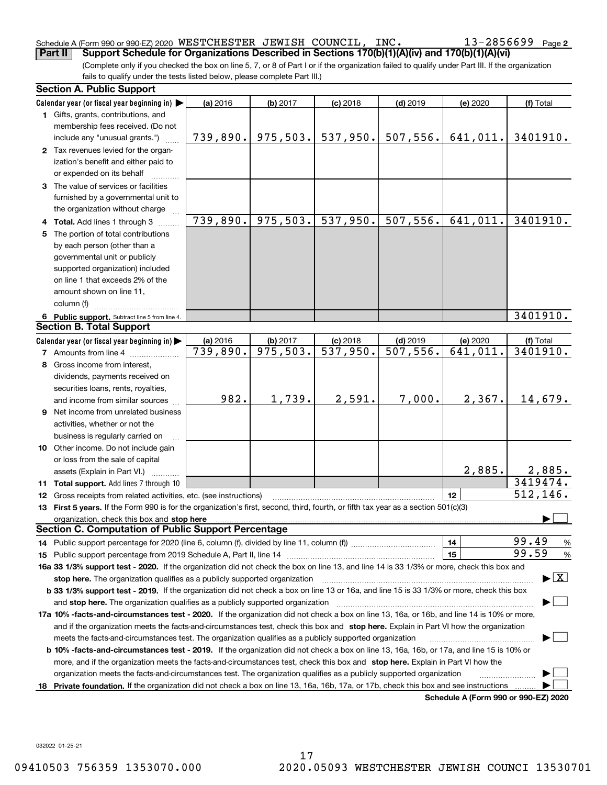#### Schedule A (Form 990 or 990-EZ) 2020 WESTCHESTER JEWISH COUNCIL,INC。 I3-Z856699 Page **Part II Support Schedule for Organizations Described in Sections 170(b)(1)(A)(iv) and 170(b)(1)(A)(vi)** WESTCHESTER JEWISH COUNCIL, INC. 13-2856699

 $13 - 2856699$  Page 2

(Complete only if you checked the box on line 5, 7, or 8 of Part I or if the organization failed to qualify under Part III. If the organization fails to qualify under the tests listed below, please complete Part III.)

|    | <b>Section A. Public Support</b>                                                                                                               |                        |                        |                        |                        |                                      |               |
|----|------------------------------------------------------------------------------------------------------------------------------------------------|------------------------|------------------------|------------------------|------------------------|--------------------------------------|---------------|
|    | Calendar year (or fiscal year beginning in)                                                                                                    | (a) 2016               | (b) 2017               | $(c)$ 2018             | $(d)$ 2019             | (e) 2020                             | (f) Total     |
|    | 1 Gifts, grants, contributions, and                                                                                                            |                        |                        |                        |                        |                                      |               |
|    | membership fees received. (Do not                                                                                                              |                        |                        |                        |                        |                                      |               |
|    | include any "unusual grants.")                                                                                                                 | 739,890.               | 975,503.               | 537,950.               | 507,556.               | 641,011.                             | 3401910.      |
|    | 2 Tax revenues levied for the organ-                                                                                                           |                        |                        |                        |                        |                                      |               |
|    | ization's benefit and either paid to                                                                                                           |                        |                        |                        |                        |                                      |               |
|    | or expended on its behalf                                                                                                                      |                        |                        |                        |                        |                                      |               |
|    | 3 The value of services or facilities                                                                                                          |                        |                        |                        |                        |                                      |               |
|    | furnished by a governmental unit to                                                                                                            |                        |                        |                        |                        |                                      |               |
|    | the organization without charge                                                                                                                |                        |                        |                        |                        |                                      |               |
|    | 4 Total. Add lines 1 through 3                                                                                                                 | 739,890.               | 975,503.               | 537,950.               | 507,556.               | 641,011.                             | 3401910.      |
|    | 5 The portion of total contributions                                                                                                           |                        |                        |                        |                        |                                      |               |
|    | by each person (other than a                                                                                                                   |                        |                        |                        |                        |                                      |               |
|    | governmental unit or publicly                                                                                                                  |                        |                        |                        |                        |                                      |               |
|    | supported organization) included                                                                                                               |                        |                        |                        |                        |                                      |               |
|    | on line 1 that exceeds 2% of the                                                                                                               |                        |                        |                        |                        |                                      |               |
|    | amount shown on line 11,                                                                                                                       |                        |                        |                        |                        |                                      |               |
|    | column (f)                                                                                                                                     |                        |                        |                        |                        |                                      |               |
|    | 6 Public support. Subtract line 5 from line 4.                                                                                                 |                        |                        |                        |                        |                                      | 3401910.      |
|    | <b>Section B. Total Support</b>                                                                                                                |                        |                        |                        |                        |                                      |               |
|    | Calendar year (or fiscal year beginning in)                                                                                                    | (a) 2016               | (b) 2017               | $(c)$ 2018             | $(d)$ 2019             | (e) 2020                             | (f) Total     |
|    | <b>7</b> Amounts from line 4                                                                                                                   | $\overline{739,890}$ . | $\overline{975,503}$ . | $\overline{537,950}$ . | $\overline{507,556}$ . | $\overline{641,011}$ .               | 3401910.      |
|    | 8 Gross income from interest,                                                                                                                  |                        |                        |                        |                        |                                      |               |
|    | dividends, payments received on                                                                                                                |                        |                        |                        |                        |                                      |               |
|    | securities loans, rents, royalties,                                                                                                            |                        |                        |                        |                        |                                      |               |
|    | and income from similar sources                                                                                                                | 982.                   | 1,739.                 | 2,591.                 | 7,000.                 | 2,367.                               | 14,679.       |
|    | 9 Net income from unrelated business                                                                                                           |                        |                        |                        |                        |                                      |               |
|    | activities, whether or not the                                                                                                                 |                        |                        |                        |                        |                                      |               |
|    | business is regularly carried on                                                                                                               |                        |                        |                        |                        |                                      |               |
|    | 10 Other income. Do not include gain                                                                                                           |                        |                        |                        |                        |                                      |               |
|    | or loss from the sale of capital                                                                                                               |                        |                        |                        |                        |                                      |               |
|    | assets (Explain in Part VI.)                                                                                                                   |                        |                        |                        |                        | 2,885.                               | <u>2,885.</u> |
|    | 11 Total support. Add lines 7 through 10                                                                                                       |                        |                        |                        |                        |                                      | 3419474.      |
|    | 12 Gross receipts from related activities, etc. (see instructions)                                                                             |                        |                        |                        |                        | 12                                   | 512, 146.     |
|    | 13 First 5 years. If the Form 990 is for the organization's first, second, third, fourth, or fifth tax year as a section 501(c)(3)             |                        |                        |                        |                        |                                      |               |
|    | organization, check this box and stop here                                                                                                     |                        |                        |                        |                        |                                      |               |
|    | <b>Section C. Computation of Public Support Percentage</b>                                                                                     |                        |                        |                        |                        |                                      |               |
|    |                                                                                                                                                |                        |                        |                        |                        | 14                                   | 99.49<br>%    |
|    |                                                                                                                                                |                        |                        |                        |                        | 15                                   | 99.59<br>$\%$ |
|    | 16a 33 1/3% support test - 2020. If the organization did not check the box on line 13, and line 14 is 33 1/3% or more, check this box and      |                        |                        |                        |                        |                                      |               |
|    | $\blacktriangleright$ $\boxed{\text{X}}$<br>stop here. The organization qualifies as a publicly supported organization                         |                        |                        |                        |                        |                                      |               |
|    | b 33 1/3% support test - 2019. If the organization did not check a box on line 13 or 16a, and line 15 is 33 1/3% or more, check this box       |                        |                        |                        |                        |                                      |               |
|    | and stop here. The organization qualifies as a publicly supported organization                                                                 |                        |                        |                        |                        |                                      |               |
|    | 17a 10% -facts-and-circumstances test - 2020. If the organization did not check a box on line 13, 16a, or 16b, and line 14 is 10% or more,     |                        |                        |                        |                        |                                      |               |
|    | and if the organization meets the facts-and-circumstances test, check this box and stop here. Explain in Part VI how the organization          |                        |                        |                        |                        |                                      |               |
|    | meets the facts-and-circumstances test. The organization qualifies as a publicly supported organization                                        |                        |                        |                        |                        |                                      |               |
|    | <b>b 10% -facts-and-circumstances test - 2019.</b> If the organization did not check a box on line 13, 16a, 16b, or 17a, and line 15 is 10% or |                        |                        |                        |                        |                                      |               |
|    | more, and if the organization meets the facts-and-circumstances test, check this box and stop here. Explain in Part VI how the                 |                        |                        |                        |                        |                                      |               |
|    | organization meets the facts-and-circumstances test. The organization qualifies as a publicly supported organization                           |                        |                        |                        |                        |                                      |               |
| 18 | Private foundation. If the organization did not check a box on line 13, 16a, 16b, 17a, or 17b, check this box and see instructions             |                        |                        |                        |                        |                                      |               |
|    |                                                                                                                                                |                        |                        |                        |                        | Schedule A (Form 990 or 990-F7) 2020 |               |

**Schedule A (Form 990 or 990-EZ) 2020**

032022 01-25-21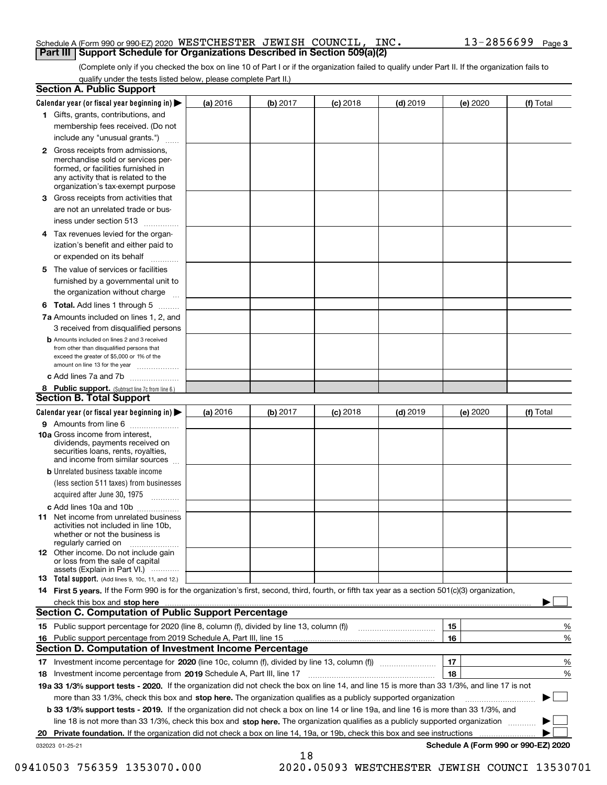#### Schedule A (Form 990 or 990-EZ) 2020 <code>WESTCHESTER JEWISH COUNCIL, INC</code> .  $13$   $2856699$  <code>Page</code> **Part III Support Schedule for Organizations Described in Section 509(a)(2)**

(Complete only if you checked the box on line 10 of Part I or if the organization failed to qualify under Part II. If the organization fails to qualify under the tests listed below, please complete Part II.)

|    | <b>Section A. Public Support</b>                                                                                                                                                                                              |          |          |            |            |          |                                      |
|----|-------------------------------------------------------------------------------------------------------------------------------------------------------------------------------------------------------------------------------|----------|----------|------------|------------|----------|--------------------------------------|
|    | Calendar year (or fiscal year beginning in) $\blacktriangleright$                                                                                                                                                             | (a) 2016 | (b) 2017 | $(c)$ 2018 | $(d)$ 2019 | (e) 2020 | (f) Total                            |
|    | 1 Gifts, grants, contributions, and                                                                                                                                                                                           |          |          |            |            |          |                                      |
|    | membership fees received. (Do not                                                                                                                                                                                             |          |          |            |            |          |                                      |
|    | include any "unusual grants.")                                                                                                                                                                                                |          |          |            |            |          |                                      |
|    | 2 Gross receipts from admissions,<br>merchandise sold or services per-<br>formed, or facilities furnished in<br>any activity that is related to the<br>organization's tax-exempt purpose                                      |          |          |            |            |          |                                      |
|    | 3 Gross receipts from activities that<br>are not an unrelated trade or bus-                                                                                                                                                   |          |          |            |            |          |                                      |
|    | iness under section 513                                                                                                                                                                                                       |          |          |            |            |          |                                      |
|    | 4 Tax revenues levied for the organ-                                                                                                                                                                                          |          |          |            |            |          |                                      |
|    | ization's benefit and either paid to<br>or expended on its behalf<br>.                                                                                                                                                        |          |          |            |            |          |                                      |
|    | 5 The value of services or facilities                                                                                                                                                                                         |          |          |            |            |          |                                      |
|    | furnished by a governmental unit to                                                                                                                                                                                           |          |          |            |            |          |                                      |
|    | the organization without charge                                                                                                                                                                                               |          |          |            |            |          |                                      |
|    | <b>6 Total.</b> Add lines 1 through 5                                                                                                                                                                                         |          |          |            |            |          |                                      |
|    | 7a Amounts included on lines 1, 2, and                                                                                                                                                                                        |          |          |            |            |          |                                      |
|    | 3 received from disqualified persons                                                                                                                                                                                          |          |          |            |            |          |                                      |
|    | <b>b</b> Amounts included on lines 2 and 3 received<br>from other than disqualified persons that<br>exceed the greater of \$5,000 or 1% of the<br>amount on line 13 for the year                                              |          |          |            |            |          |                                      |
|    | c Add lines 7a and 7b                                                                                                                                                                                                         |          |          |            |            |          |                                      |
|    | 8 Public support. (Subtract line 7c from line 6.)                                                                                                                                                                             |          |          |            |            |          |                                      |
|    | <b>Section B. Total Support</b>                                                                                                                                                                                               |          |          |            |            |          |                                      |
|    | Calendar year (or fiscal year beginning in) $\blacktriangleright$                                                                                                                                                             | (a) 2016 | (b) 2017 | $(c)$ 2018 | $(d)$ 2019 | (e) 2020 | (f) Total                            |
|    | 9 Amounts from line 6                                                                                                                                                                                                         |          |          |            |            |          |                                      |
|    | 10a Gross income from interest,<br>dividends, payments received on<br>securities loans, rents, royalties,<br>and income from similar sources                                                                                  |          |          |            |            |          |                                      |
|    | <b>b</b> Unrelated business taxable income<br>(less section 511 taxes) from businesses                                                                                                                                        |          |          |            |            |          |                                      |
|    | acquired after June 30, 1975                                                                                                                                                                                                  |          |          |            |            |          |                                      |
|    | c Add lines 10a and 10b                                                                                                                                                                                                       |          |          |            |            |          |                                      |
|    | 11 Net income from unrelated business<br>activities not included in line 10b,<br>whether or not the business is<br>regularly carried on                                                                                       |          |          |            |            |          |                                      |
|    | 12 Other income. Do not include gain<br>or loss from the sale of capital<br>assets (Explain in Part VI.)                                                                                                                      |          |          |            |            |          |                                      |
|    | <b>13</b> Total support. (Add lines 9, 10c, 11, and 12.)                                                                                                                                                                      |          |          |            |            |          |                                      |
|    | 14 First 5 years. If the Form 990 is for the organization's first, second, third, fourth, or fifth tax year as a section 501(c)(3) organization,                                                                              |          |          |            |            |          |                                      |
|    | check this box and stop here with the continuum control to the control of the state of the state of the control of the state of the control of the control of the control of the control of the control of the control of the |          |          |            |            |          |                                      |
|    | <b>Section C. Computation of Public Support Percentage</b>                                                                                                                                                                    |          |          |            |            |          |                                      |
|    | 15 Public support percentage for 2020 (line 8, column (f), divided by line 13, column (f))                                                                                                                                    |          |          |            |            | 15       | %                                    |
|    | 16 Public support percentage from 2019 Schedule A, Part III, line 15                                                                                                                                                          |          |          |            |            | 16       | %                                    |
|    | <b>Section D. Computation of Investment Income Percentage</b>                                                                                                                                                                 |          |          |            |            |          |                                      |
|    | 17 Investment income percentage for 2020 (line 10c, column (f), divided by line 13, column (f))                                                                                                                               |          |          |            |            | 17       | %                                    |
|    | <b>18</b> Investment income percentage from <b>2019</b> Schedule A, Part III, line 17                                                                                                                                         |          |          |            |            | 18       | %                                    |
|    | 19a 33 1/3% support tests - 2020. If the organization did not check the box on line 14, and line 15 is more than 33 1/3%, and line 17 is not                                                                                  |          |          |            |            |          |                                      |
|    | more than 33 1/3%, check this box and stop here. The organization qualifies as a publicly supported organization                                                                                                              |          |          |            |            |          | ▶                                    |
|    | b 33 1/3% support tests - 2019. If the organization did not check a box on line 14 or line 19a, and line 16 is more than 33 1/3%, and                                                                                         |          |          |            |            |          |                                      |
|    | line 18 is not more than 33 1/3%, check this box and stop here. The organization qualifies as a publicly supported organization                                                                                               |          |          |            |            |          |                                      |
| 20 | <b>Private foundation.</b> If the organization did not check a box on line 14, 19a, or 19b, check this box and see instructions                                                                                               |          |          |            |            |          |                                      |
|    | 032023 01-25-21                                                                                                                                                                                                               |          | 18       |            |            |          | Schedule A (Form 990 or 990-EZ) 2020 |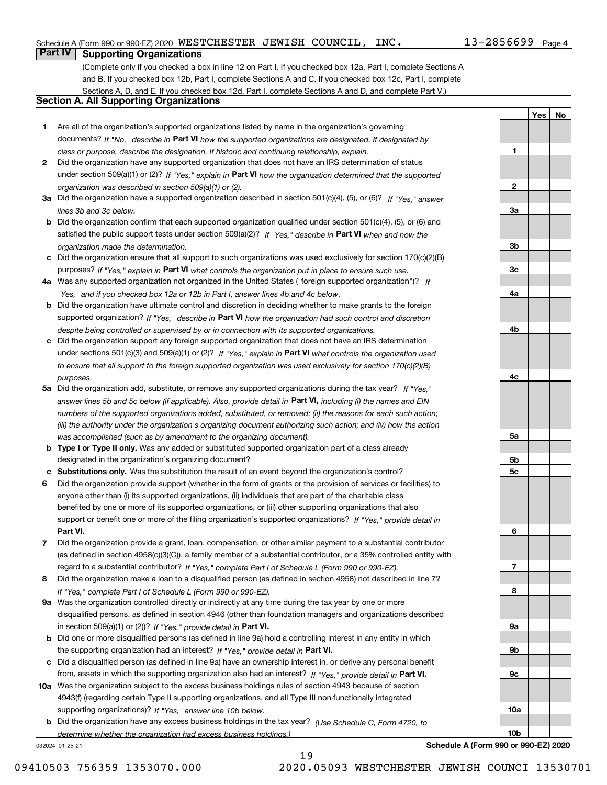#### Schedule A (Form 990 or 990-EZ) 2020 <code>WESTCHESTER JEWISH COUNCIL, INC</code> .  $13$   $2856699$  <code>Page</code>

### **Part IV Supporting Organizations**

(Complete only if you checked a box in line 12 on Part I. If you checked box 12a, Part I, complete Sections A and B. If you checked box 12b, Part I, complete Sections A and C. If you checked box 12c, Part I, complete Sections A, D, and E. If you checked box 12d, Part I, complete Sections A and D, and complete Part V.)

### **Section A. All Supporting Organizations**

- **1** Are all of the organization's supported organizations listed by name in the organization's governing documents? If "No," describe in **Part VI** how the supported organizations are designated. If designated by *class or purpose, describe the designation. If historic and continuing relationship, explain.*
- **2** Did the organization have any supported organization that does not have an IRS determination of status under section 509(a)(1) or (2)? If "Yes," explain in Part VI how the organization determined that the supported *organization was described in section 509(a)(1) or (2).*
- **3a** Did the organization have a supported organization described in section 501(c)(4), (5), or (6)? If "Yes," answer *lines 3b and 3c below.*
- **b** Did the organization confirm that each supported organization qualified under section 501(c)(4), (5), or (6) and satisfied the public support tests under section 509(a)(2)? If "Yes," describe in **Part VI** when and how the *organization made the determination.*
- **c**Did the organization ensure that all support to such organizations was used exclusively for section 170(c)(2)(B) purposes? If "Yes," explain in **Part VI** what controls the organization put in place to ensure such use.
- **4a***If* Was any supported organization not organized in the United States ("foreign supported organization")? *"Yes," and if you checked box 12a or 12b in Part I, answer lines 4b and 4c below.*
- **b** Did the organization have ultimate control and discretion in deciding whether to make grants to the foreign supported organization? If "Yes," describe in **Part VI** how the organization had such control and discretion *despite being controlled or supervised by or in connection with its supported organizations.*
- **c** Did the organization support any foreign supported organization that does not have an IRS determination under sections 501(c)(3) and 509(a)(1) or (2)? If "Yes," explain in **Part VI** what controls the organization used *to ensure that all support to the foreign supported organization was used exclusively for section 170(c)(2)(B) purposes.*
- **5a** Did the organization add, substitute, or remove any supported organizations during the tax year? If "Yes," answer lines 5b and 5c below (if applicable). Also, provide detail in **Part VI,** including (i) the names and EIN *numbers of the supported organizations added, substituted, or removed; (ii) the reasons for each such action; (iii) the authority under the organization's organizing document authorizing such action; and (iv) how the action was accomplished (such as by amendment to the organizing document).*
- **b** Type I or Type II only. Was any added or substituted supported organization part of a class already designated in the organization's organizing document?
- **cSubstitutions only.**  Was the substitution the result of an event beyond the organization's control?
- **6** Did the organization provide support (whether in the form of grants or the provision of services or facilities) to **Part VI.** *If "Yes," provide detail in* support or benefit one or more of the filing organization's supported organizations? anyone other than (i) its supported organizations, (ii) individuals that are part of the charitable class benefited by one or more of its supported organizations, or (iii) other supporting organizations that also
- **7**Did the organization provide a grant, loan, compensation, or other similar payment to a substantial contributor *If "Yes," complete Part I of Schedule L (Form 990 or 990-EZ).* regard to a substantial contributor? (as defined in section 4958(c)(3)(C)), a family member of a substantial contributor, or a 35% controlled entity with
- **8** Did the organization make a loan to a disqualified person (as defined in section 4958) not described in line 7? *If "Yes," complete Part I of Schedule L (Form 990 or 990-EZ).*
- **9a** Was the organization controlled directly or indirectly at any time during the tax year by one or more in section 509(a)(1) or (2))? If "Yes," *provide detail in* <code>Part VI.</code> disqualified persons, as defined in section 4946 (other than foundation managers and organizations described
- **b** Did one or more disqualified persons (as defined in line 9a) hold a controlling interest in any entity in which the supporting organization had an interest? If "Yes," provide detail in P**art VI**.
- **c**Did a disqualified person (as defined in line 9a) have an ownership interest in, or derive any personal benefit from, assets in which the supporting organization also had an interest? If "Yes," provide detail in P**art VI.**
- **10a** Was the organization subject to the excess business holdings rules of section 4943 because of section supporting organizations)? If "Yes," answer line 10b below. 4943(f) (regarding certain Type II supporting organizations, and all Type III non-functionally integrated
- **b** Did the organization have any excess business holdings in the tax year? (Use Schedule C, Form 4720, to *determine whether the organization had excess business holdings.)*

19

032024 01-25-21

**Schedule A (Form 990 or 990-EZ) 2020**

09410503 756359 1353070.000 2020.05093 WESTCHESTER JEWISH COUNCI 13530701

**1**

**2**

**3a**

**3b**

**3c**

**4a**

**4b**

**4c**

**5a**

**5b5c**

**6**

**7**

**8**

**9a**

**9b**

**9c**

**10a**

**10b**

**YesNo**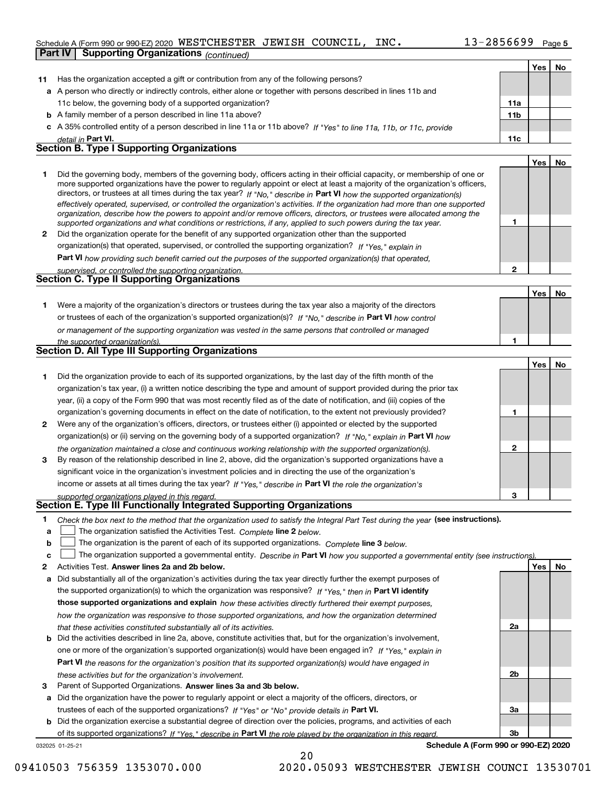#### Schedule A (Form 990 or 990-EZ) 2020 <code>WESTCHESTER JEWISH COUNCIL, INC</code> .  $13$   $2856699$  <code>Page</code> **Part IV Supporting Organizations** *(continued)*

**Yes No**

| 11 | Has the organization accepted a gift or contribution from any of the following persons?                                                                                                                                                                  |              |     |    |
|----|----------------------------------------------------------------------------------------------------------------------------------------------------------------------------------------------------------------------------------------------------------|--------------|-----|----|
|    | a A person who directly or indirectly controls, either alone or together with persons described in lines 11b and                                                                                                                                         |              |     |    |
|    | 11c below, the governing body of a supported organization?                                                                                                                                                                                               | 11a          |     |    |
|    | <b>b</b> A family member of a person described in line 11a above?                                                                                                                                                                                        | 11b          |     |    |
|    | c A 35% controlled entity of a person described in line 11a or 11b above? If "Yes" to line 11a, 11b, or 11c, provide                                                                                                                                     |              |     |    |
|    | detail in Part VI.                                                                                                                                                                                                                                       | 11c          |     |    |
|    | <b>Section B. Type I Supporting Organizations</b>                                                                                                                                                                                                        |              |     |    |
|    |                                                                                                                                                                                                                                                          |              | Yes | No |
| 1  | Did the governing body, members of the governing body, officers acting in their official capacity, or membership of one or                                                                                                                               |              |     |    |
|    | more supported organizations have the power to regularly appoint or elect at least a majority of the organization's officers,<br>directors, or trustees at all times during the tax year? If "No," describe in Part VI how the supported organization(s) |              |     |    |
|    | effectively operated, supervised, or controlled the organization's activities. If the organization had more than one supported                                                                                                                           |              |     |    |
|    | organization, describe how the powers to appoint and/or remove officers, directors, or trustees were allocated among the                                                                                                                                 |              |     |    |
|    | supported organizations and what conditions or restrictions, if any, applied to such powers during the tax year.                                                                                                                                         | 1            |     |    |
| 2  | Did the organization operate for the benefit of any supported organization other than the supported                                                                                                                                                      |              |     |    |
|    | organization(s) that operated, supervised, or controlled the supporting organization? If "Yes," explain in                                                                                                                                               |              |     |    |
|    | Part VI how providing such benefit carried out the purposes of the supported organization(s) that operated,                                                                                                                                              |              |     |    |
|    | supervised, or controlled the supporting organization.<br><b>Section C. Type II Supporting Organizations</b>                                                                                                                                             | $\mathbf{2}$ |     |    |
|    |                                                                                                                                                                                                                                                          |              |     |    |
|    |                                                                                                                                                                                                                                                          |              | Yes | No |
| 1  | Were a majority of the organization's directors or trustees during the tax year also a majority of the directors                                                                                                                                         |              |     |    |
|    | or trustees of each of the organization's supported organization(s)? If "No." describe in Part VI how control                                                                                                                                            |              |     |    |
|    | or management of the supporting organization was vested in the same persons that controlled or managed                                                                                                                                                   | 1            |     |    |
|    | the supported organization(s).<br><b>Section D. All Type III Supporting Organizations</b>                                                                                                                                                                |              |     |    |
|    |                                                                                                                                                                                                                                                          |              | Yes | No |
| 1  | Did the organization provide to each of its supported organizations, by the last day of the fifth month of the                                                                                                                                           |              |     |    |
|    | organization's tax year, (i) a written notice describing the type and amount of support provided during the prior tax                                                                                                                                    |              |     |    |
|    | year, (ii) a copy of the Form 990 that was most recently filed as of the date of notification, and (iii) copies of the                                                                                                                                   |              |     |    |
|    | organization's governing documents in effect on the date of notification, to the extent not previously provided?                                                                                                                                         | 1            |     |    |
| 2  | Were any of the organization's officers, directors, or trustees either (i) appointed or elected by the supported                                                                                                                                         |              |     |    |
|    | organization(s) or (ii) serving on the governing body of a supported organization? If "No," explain in Part VI how                                                                                                                                       |              |     |    |
|    | the organization maintained a close and continuous working relationship with the supported organization(s).                                                                                                                                              | 2            |     |    |
| 3  | By reason of the relationship described in line 2, above, did the organization's supported organizations have a                                                                                                                                          |              |     |    |
|    | significant voice in the organization's investment policies and in directing the use of the organization's                                                                                                                                               |              |     |    |
|    | income or assets at all times during the tax year? If "Yes," describe in Part VI the role the organization's                                                                                                                                             |              |     |    |
|    | supported organizations played in this regard.                                                                                                                                                                                                           | з            |     |    |
|    | Section E. Type III Functionally Integrated Supporting Organizations                                                                                                                                                                                     |              |     |    |
|    | Check the box next to the method that the organization used to satisfy the Integral Part Test during the year (see instructions).                                                                                                                        |              |     |    |
| a  | The organization satisfied the Activities Test. Complete line 2 below.                                                                                                                                                                                   |              |     |    |
| b  | The organization is the parent of each of its supported organizations. Complete line 3 below.                                                                                                                                                            |              |     |    |
| c  | The organization supported a governmental entity. Describe in Part VI how you supported a governmental entity (see instructions)                                                                                                                         |              |     |    |
| 2  | Activities Test. Answer lines 2a and 2b below.                                                                                                                                                                                                           |              | Yes | No |
| a  | Did substantially all of the organization's activities during the tax year directly further the exempt purposes of                                                                                                                                       |              |     |    |
|    | the supported organization(s) to which the organization was responsive? If "Yes," then in Part VI identify                                                                                                                                               |              |     |    |
|    | those supported organizations and explain how these activities directly furthered their exempt purposes,                                                                                                                                                 |              |     |    |
|    | how the organization was responsive to those supported organizations, and how the organization determined                                                                                                                                                |              |     |    |
|    | that these activities constituted substantially all of its activities.                                                                                                                                                                                   | 2a           |     |    |
|    | <b>b</b> Did the activities described in line 2a, above, constitute activities that, but for the organization's involvement,                                                                                                                             |              |     |    |
|    | one or more of the organization's supported organization(s) would have been engaged in? If "Yes," explain in                                                                                                                                             |              |     |    |
|    | <b>Part VI</b> the reasons for the organization's position that its supported organization(s) would have engaged in                                                                                                                                      |              |     |    |
| 3  | these activities but for the organization's involvement.<br>Parent of Supported Organizations. Answer lines 3a and 3b below.                                                                                                                             | 2b           |     |    |
| a  | Did the organization have the power to regularly appoint or elect a majority of the officers, directors, or                                                                                                                                              |              |     |    |
|    | trustees of each of the supported organizations? If "Yes" or "No" provide details in Part VI.                                                                                                                                                            | За           |     |    |
|    | <b>b</b> Did the organization exercise a substantial degree of direction over the policies, programs, and activities of each                                                                                                                             |              |     |    |
|    | of its supported organizations? If "Yes." describe in Part VI the role played by the organization in this regard.                                                                                                                                        | 3b           |     |    |
|    | Schedule A (Form 990 or 990-EZ) 2020<br>032025 01-25-21                                                                                                                                                                                                  |              |     |    |

20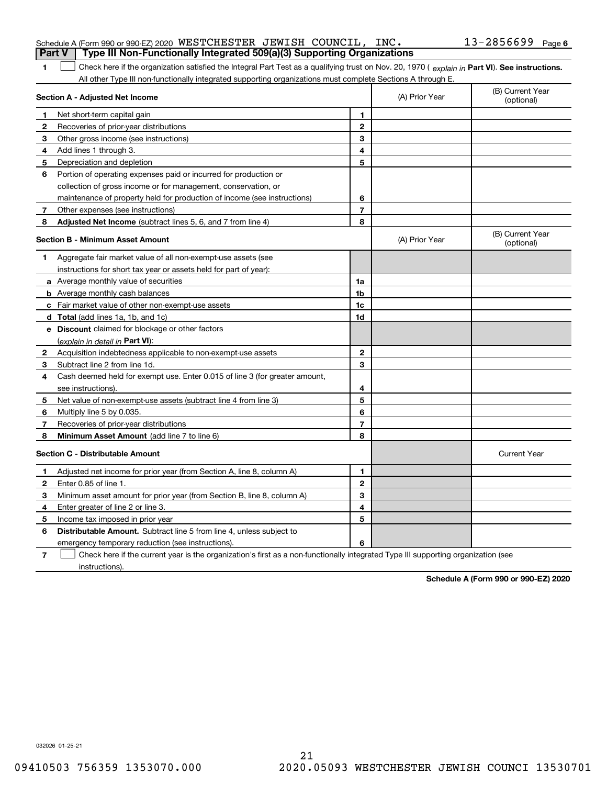|                                         | Schedule A (Form 990 or 990-EZ) 2020 WESTCHESTER JEWISH COUNCIL, INC.<br>Type III Non-Functionally Integrated 509(a)(3) Supporting Organizations                                                                                                              |                |                | $13 - 2856699$ Page 6          |
|-----------------------------------------|---------------------------------------------------------------------------------------------------------------------------------------------------------------------------------------------------------------------------------------------------------------|----------------|----------------|--------------------------------|
|                                         | <b>Part V</b>                                                                                                                                                                                                                                                 |                |                |                                |
| 1                                       | Check here if the organization satisfied the Integral Part Test as a qualifying trust on Nov. 20, 1970 (explain in Part VI). See instructions.<br>All other Type III non-functionally integrated supporting organizations must complete Sections A through E. |                |                |                                |
|                                         | Section A - Adjusted Net Income                                                                                                                                                                                                                               |                | (A) Prior Year | (B) Current Year<br>(optional) |
| 1                                       | Net short term capital gain                                                                                                                                                                                                                                   | 1              |                |                                |
| 2                                       | Recoveries of prior year distributions                                                                                                                                                                                                                        | $\overline{2}$ |                |                                |
| 3                                       | Other gross income (see instructions)                                                                                                                                                                                                                         | 3              |                |                                |
| 4                                       | Add lines 1 through 3.                                                                                                                                                                                                                                        | 4              |                |                                |
| 5                                       | Depreciation and depletion                                                                                                                                                                                                                                    | 5              |                |                                |
| 6                                       | Portion of operating expenses paid or incurred for production or                                                                                                                                                                                              |                |                |                                |
|                                         | collection of gross income or for management, conservation, or                                                                                                                                                                                                |                |                |                                |
|                                         | maintenance of property held for production of income (see instructions)                                                                                                                                                                                      | 6              |                |                                |
| 7                                       | Other expenses (see instructions)                                                                                                                                                                                                                             | $\overline{7}$ |                |                                |
| 8                                       | Adjusted Net Income (subtract lines 5, 6, and 7 from line 4)                                                                                                                                                                                                  | 8              |                |                                |
| <b>Section B - Minimum Asset Amount</b> |                                                                                                                                                                                                                                                               |                | (A) Prior Year | (B) Current Year<br>(optional) |
| 1.                                      | Aggregate fair market value of all non-exempt-use assets (see                                                                                                                                                                                                 |                |                |                                |
|                                         | instructions for short tax year or assets held for part of year):                                                                                                                                                                                             |                |                |                                |
|                                         | a Average monthly value of securities                                                                                                                                                                                                                         | 1a             |                |                                |
|                                         | <b>b</b> Average monthly cash balances                                                                                                                                                                                                                        | 1b             |                |                                |
|                                         | c Fair market value of other non-exempt-use assets                                                                                                                                                                                                            | 1c             |                |                                |
|                                         | d Total (add lines 1a, 1b, and 1c)                                                                                                                                                                                                                            | 1d             |                |                                |
|                                         | <b>e</b> Discount claimed for blockage or other factors                                                                                                                                                                                                       |                |                |                                |
|                                         | (explain in detail in Part VI):                                                                                                                                                                                                                               |                |                |                                |
| $\mathbf{2}$                            | Acquisition indebtedness applicable to non-exempt-use assets                                                                                                                                                                                                  | $\mathbf{2}$   |                |                                |
| 3                                       | Subtract line 2 from line 1d.                                                                                                                                                                                                                                 | 3              |                |                                |
| 4                                       | Cash deemed held for exempt use. Enter 0.015 of line 3 (for greater amount,                                                                                                                                                                                   |                |                |                                |
|                                         | see instructions).                                                                                                                                                                                                                                            | 4              |                |                                |
| 5                                       | Net value of non-exempt-use assets (subtract line 4 from line 3)                                                                                                                                                                                              | 5              |                |                                |
| 6                                       | Multiply line 5 by 0.035.                                                                                                                                                                                                                                     | 6              |                |                                |
| 7                                       | Recoveries of prior-year distributions                                                                                                                                                                                                                        | 7              |                |                                |
| 8                                       | Minimum Asset Amount (add line 7 to line 6)                                                                                                                                                                                                                   | 8              |                |                                |
|                                         | <b>Section C - Distributable Amount</b>                                                                                                                                                                                                                       |                |                | <b>Current Year</b>            |
| 1                                       | Adjusted net income for prior year (from Section A, line 8, column A)                                                                                                                                                                                         | 1              |                |                                |
| $\overline{2}$                          | Enter 0.85 of line 1.                                                                                                                                                                                                                                         | $\mathbf{2}$   |                |                                |
| 3                                       | Minimum asset amount for prior year (from Section B, line 8, column A)                                                                                                                                                                                        | 3              |                |                                |
| 4                                       | Enter greater of line 2 or line 3.                                                                                                                                                                                                                            | 4              |                |                                |
| 5                                       | Income tax imposed in prior year                                                                                                                                                                                                                              | 5              |                |                                |
| 6                                       | <b>Distributable Amount.</b> Subtract line 5 from line 4, unless subject to                                                                                                                                                                                   |                |                |                                |
|                                         | emergency temporary reduction (see instructions).                                                                                                                                                                                                             | 6              |                |                                |
|                                         | . Observate the contract of the component of the contract the                                                                                                                                                                                                 |                |                |                                |

**7** Check here if the current year is the organization's first as a non-functionally integrated Type III supporting organization (see instructions).

**Schedule A (Form 990 or 990-EZ) 2020**

032026 01-25-21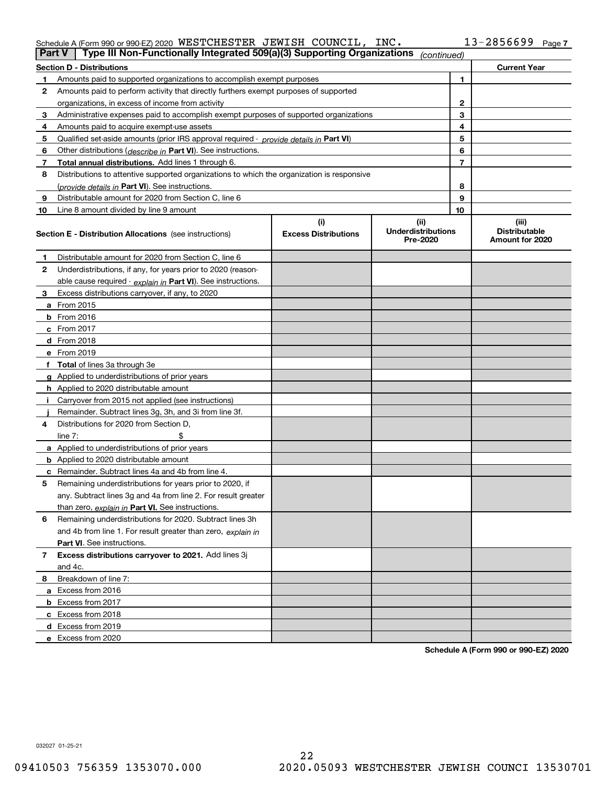### Schedule A (Form 990 or 990-EZ) 2020 <code>WESTCHESTER JEWISH COUNCIL, INC</code> .  $13$   $2856699$  <code>Page</code>

| <b>Part V</b>  | Type III Non-Functionally Integrated 509(a)(3) Supporting Organizations                    |                                    | (continued)                                   |              |                                                  |
|----------------|--------------------------------------------------------------------------------------------|------------------------------------|-----------------------------------------------|--------------|--------------------------------------------------|
|                | <b>Section D - Distributions</b>                                                           |                                    |                                               |              | <b>Current Year</b>                              |
| 1.             | Amounts paid to supported organizations to accomplish exempt purposes                      |                                    |                                               | 1            |                                                  |
| 2              | Amounts paid to perform activity that directly furthers exempt purposes of supported       |                                    |                                               |              |                                                  |
|                | organizations, in excess of income from activity                                           |                                    |                                               | $\mathbf{2}$ |                                                  |
| 3              | Administrative expenses paid to accomplish exempt purposes of supported organizations      |                                    |                                               | 3            |                                                  |
| 4              | Amounts paid to acquire exempt-use assets                                                  |                                    |                                               | 4            |                                                  |
| 5              | Qualified set-aside amounts (prior IRS approval required - provide details in Part VI)     |                                    |                                               | 5            |                                                  |
| 6              | Other distributions ( <i>describe in</i> Part VI). See instructions.                       |                                    |                                               | 6            |                                                  |
| 7              | Total annual distributions. Add lines 1 through 6.                                         |                                    |                                               | 7            |                                                  |
| 8              | Distributions to attentive supported organizations to which the organization is responsive |                                    |                                               |              |                                                  |
|                | (provide details in Part VI). See instructions.                                            |                                    |                                               | 8            |                                                  |
| 9              | Distributable amount for 2020 from Section C, line 6                                       |                                    |                                               | 9            |                                                  |
| 10             | Line 8 amount divided by line 9 amount                                                     |                                    |                                               | 10           |                                                  |
|                | <b>Section E - Distribution Allocations</b> (see instructions)                             | (i)<br><b>Excess Distributions</b> | (ii)<br><b>Underdistributions</b><br>Pre-2020 |              | (iii)<br><b>Distributable</b><br>Amount for 2020 |
| 1              | Distributable amount for 2020 from Section C, line 6                                       |                                    |                                               |              |                                                  |
| 2              | Underdistributions, if any, for years prior to 2020 (reason-                               |                                    |                                               |              |                                                  |
|                | able cause required - explain in Part VI). See instructions.                               |                                    |                                               |              |                                                  |
| 3              | Excess distributions carryover, if any, to 2020                                            |                                    |                                               |              |                                                  |
|                | a From 2015                                                                                |                                    |                                               |              |                                                  |
|                | <b>b</b> From 2016                                                                         |                                    |                                               |              |                                                  |
|                | $c$ From 2017                                                                              |                                    |                                               |              |                                                  |
|                | d From 2018                                                                                |                                    |                                               |              |                                                  |
|                | e From 2019                                                                                |                                    |                                               |              |                                                  |
|                | f Total of lines 3a through 3e                                                             |                                    |                                               |              |                                                  |
|                | g Applied to underdistributions of prior years                                             |                                    |                                               |              |                                                  |
|                | <b>h</b> Applied to 2020 distributable amount                                              |                                    |                                               |              |                                                  |
|                | Carryover from 2015 not applied (see instructions)                                         |                                    |                                               |              |                                                  |
|                | Remainder. Subtract lines 3g, 3h, and 3i from line 3f.                                     |                                    |                                               |              |                                                  |
| 4              | Distributions for 2020 from Section D,                                                     |                                    |                                               |              |                                                  |
|                | line $7:$                                                                                  |                                    |                                               |              |                                                  |
|                | a Applied to underdistributions of prior years                                             |                                    |                                               |              |                                                  |
|                | <b>b</b> Applied to 2020 distributable amount                                              |                                    |                                               |              |                                                  |
|                | c Remainder. Subtract lines 4a and 4b from line 4.                                         |                                    |                                               |              |                                                  |
| 5              | Remaining underdistributions for years prior to 2020, if                                   |                                    |                                               |              |                                                  |
|                | any. Subtract lines 3g and 4a from line 2. For result greater                              |                                    |                                               |              |                                                  |
|                | than zero, explain in Part VI. See instructions.                                           |                                    |                                               |              |                                                  |
| 6              | Remaining underdistributions for 2020. Subtract lines 3h                                   |                                    |                                               |              |                                                  |
|                | and 4b from line 1. For result greater than zero, explain in                               |                                    |                                               |              |                                                  |
|                | Part VI. See instructions.                                                                 |                                    |                                               |              |                                                  |
| $\overline{7}$ | Excess distributions carryover to 2021. Add lines 3j                                       |                                    |                                               |              |                                                  |
|                | and 4c.                                                                                    |                                    |                                               |              |                                                  |
| 8              | Breakdown of line 7:                                                                       |                                    |                                               |              |                                                  |
|                | a Excess from 2016                                                                         |                                    |                                               |              |                                                  |
|                | <b>b</b> Excess from 2017                                                                  |                                    |                                               |              |                                                  |
|                | c Excess from 2018                                                                         |                                    |                                               |              |                                                  |
|                | d Excess from 2019                                                                         |                                    |                                               |              |                                                  |
|                | e Excess from 2020                                                                         |                                    |                                               |              |                                                  |

**Schedule A (Form 990 or 990-EZ) 2020**

032027 01-25-21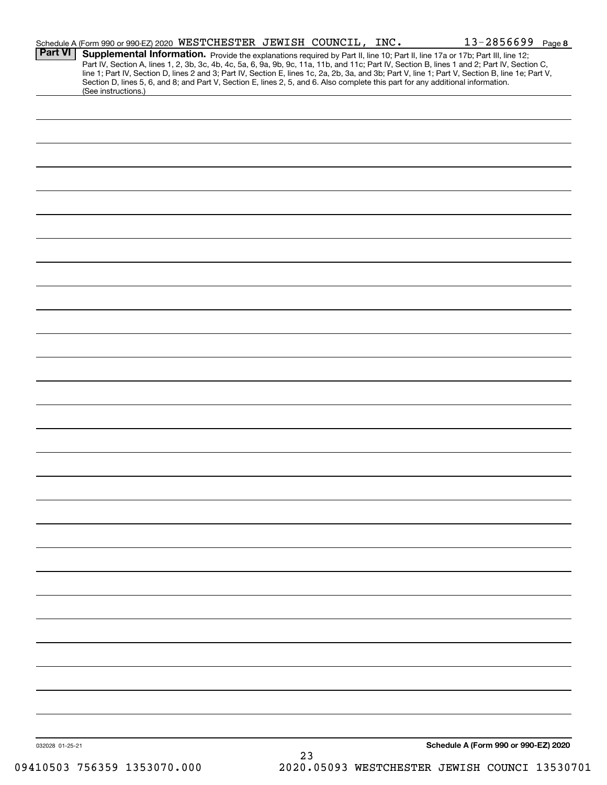|                 | Schedule A (Form 990 or 990-EZ) 2020 WESTCHESTER JEWISH COUNCIL, INC. |                                                                                                                                 |    |  | $13 - 2856699$ Page 8                                                                                                                                                                                                                                                                                                                                                                                                             |  |
|-----------------|-----------------------------------------------------------------------|---------------------------------------------------------------------------------------------------------------------------------|----|--|-----------------------------------------------------------------------------------------------------------------------------------------------------------------------------------------------------------------------------------------------------------------------------------------------------------------------------------------------------------------------------------------------------------------------------------|--|
| <b>Part VI</b>  |                                                                       |                                                                                                                                 |    |  | Supplemental Information. Provide the explanations required by Part II, line 10; Part II, line 17a or 17b; Part III, line 12;<br>Part IV, Section A, lines 1, 2, 3b, 3c, 4b, 4c, 5a, 6, 9a, 9b, 9c, 11a, 11b, and 11c; Part IV, Section B, lines 1 and 2; Part IV, Section C,<br>line 1; Part IV, Section D, lines 2 and 3; Part IV, Section E, lines 1c, 2a, 2b, 3a, and 3b; Part V, line 1; Part V, Section B, line 1e; Part V, |  |
|                 | (See instructions.)                                                   | Section D, lines 5, 6, and 8; and Part V, Section E, lines 2, 5, and 6. Also complete this part for any additional information. |    |  |                                                                                                                                                                                                                                                                                                                                                                                                                                   |  |
|                 |                                                                       |                                                                                                                                 |    |  |                                                                                                                                                                                                                                                                                                                                                                                                                                   |  |
|                 |                                                                       |                                                                                                                                 |    |  |                                                                                                                                                                                                                                                                                                                                                                                                                                   |  |
|                 |                                                                       |                                                                                                                                 |    |  |                                                                                                                                                                                                                                                                                                                                                                                                                                   |  |
|                 |                                                                       |                                                                                                                                 |    |  |                                                                                                                                                                                                                                                                                                                                                                                                                                   |  |
|                 |                                                                       |                                                                                                                                 |    |  |                                                                                                                                                                                                                                                                                                                                                                                                                                   |  |
|                 |                                                                       |                                                                                                                                 |    |  |                                                                                                                                                                                                                                                                                                                                                                                                                                   |  |
|                 |                                                                       |                                                                                                                                 |    |  |                                                                                                                                                                                                                                                                                                                                                                                                                                   |  |
|                 |                                                                       |                                                                                                                                 |    |  |                                                                                                                                                                                                                                                                                                                                                                                                                                   |  |
|                 |                                                                       |                                                                                                                                 |    |  |                                                                                                                                                                                                                                                                                                                                                                                                                                   |  |
|                 |                                                                       |                                                                                                                                 |    |  |                                                                                                                                                                                                                                                                                                                                                                                                                                   |  |
|                 |                                                                       |                                                                                                                                 |    |  |                                                                                                                                                                                                                                                                                                                                                                                                                                   |  |
|                 |                                                                       |                                                                                                                                 |    |  |                                                                                                                                                                                                                                                                                                                                                                                                                                   |  |
|                 |                                                                       |                                                                                                                                 |    |  |                                                                                                                                                                                                                                                                                                                                                                                                                                   |  |
|                 |                                                                       |                                                                                                                                 |    |  |                                                                                                                                                                                                                                                                                                                                                                                                                                   |  |
|                 |                                                                       |                                                                                                                                 |    |  |                                                                                                                                                                                                                                                                                                                                                                                                                                   |  |
|                 |                                                                       |                                                                                                                                 |    |  |                                                                                                                                                                                                                                                                                                                                                                                                                                   |  |
|                 |                                                                       |                                                                                                                                 |    |  |                                                                                                                                                                                                                                                                                                                                                                                                                                   |  |
|                 |                                                                       |                                                                                                                                 |    |  |                                                                                                                                                                                                                                                                                                                                                                                                                                   |  |
|                 |                                                                       |                                                                                                                                 |    |  |                                                                                                                                                                                                                                                                                                                                                                                                                                   |  |
|                 |                                                                       |                                                                                                                                 |    |  |                                                                                                                                                                                                                                                                                                                                                                                                                                   |  |
|                 |                                                                       |                                                                                                                                 |    |  |                                                                                                                                                                                                                                                                                                                                                                                                                                   |  |
|                 |                                                                       |                                                                                                                                 |    |  |                                                                                                                                                                                                                                                                                                                                                                                                                                   |  |
|                 |                                                                       |                                                                                                                                 |    |  |                                                                                                                                                                                                                                                                                                                                                                                                                                   |  |
|                 |                                                                       |                                                                                                                                 |    |  |                                                                                                                                                                                                                                                                                                                                                                                                                                   |  |
|                 |                                                                       |                                                                                                                                 |    |  |                                                                                                                                                                                                                                                                                                                                                                                                                                   |  |
|                 |                                                                       |                                                                                                                                 |    |  |                                                                                                                                                                                                                                                                                                                                                                                                                                   |  |
|                 |                                                                       |                                                                                                                                 |    |  |                                                                                                                                                                                                                                                                                                                                                                                                                                   |  |
|                 |                                                                       |                                                                                                                                 |    |  |                                                                                                                                                                                                                                                                                                                                                                                                                                   |  |
|                 |                                                                       |                                                                                                                                 |    |  |                                                                                                                                                                                                                                                                                                                                                                                                                                   |  |
|                 |                                                                       |                                                                                                                                 |    |  |                                                                                                                                                                                                                                                                                                                                                                                                                                   |  |
|                 |                                                                       |                                                                                                                                 |    |  |                                                                                                                                                                                                                                                                                                                                                                                                                                   |  |
|                 |                                                                       |                                                                                                                                 |    |  |                                                                                                                                                                                                                                                                                                                                                                                                                                   |  |
|                 |                                                                       |                                                                                                                                 |    |  |                                                                                                                                                                                                                                                                                                                                                                                                                                   |  |
|                 |                                                                       |                                                                                                                                 |    |  |                                                                                                                                                                                                                                                                                                                                                                                                                                   |  |
| 032028 01-25-21 |                                                                       |                                                                                                                                 |    |  | Schedule A (Form 990 or 990-EZ) 2020                                                                                                                                                                                                                                                                                                                                                                                              |  |
|                 |                                                                       |                                                                                                                                 | 23 |  |                                                                                                                                                                                                                                                                                                                                                                                                                                   |  |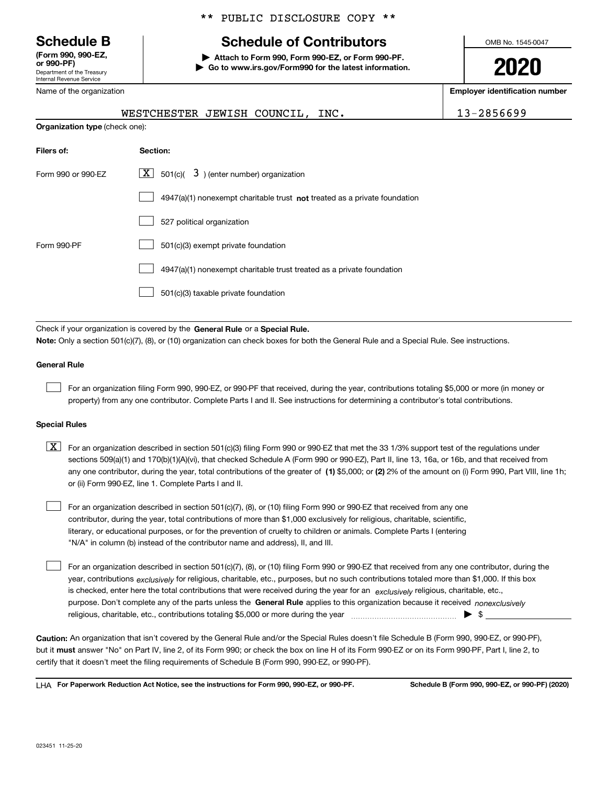Department of the Treasury Internal Revenue Service **(Form 990, 990-EZ, or 990-PF)**

Name of the organization

### \*\* PUBLIC DISCLOSURE COPY \*\*

## **Schedule B Schedule of Contributors**

**| Attach to Form 990, Form 990-EZ, or Form 990-PF. | Go to www.irs.gov/Form990 for the latest information.** OMB No. 1545-0047

**2020**

**Employer identification number**

|                                       | WESTCHESTER JEWISH COUNCIL, INC.                                             | 13-2856699 |
|---------------------------------------|------------------------------------------------------------------------------|------------|
| <b>Organization type (check one):</b> |                                                                              |            |
| Filers of:                            | Section:                                                                     |            |
| Form 990 or 990-EZ                    | $X$ 501(c)(<br>3) (enter number) organization                                |            |
|                                       | 4947(a)(1) nonexempt charitable trust not treated as a private foundation    |            |
|                                       | 527 political organization                                                   |            |
| Form 990-PF                           | 501(c)(3) exempt private foundation                                          |            |
|                                       | 4947(a)(1) nonexempt charitable trust treated as a private foundation        |            |
|                                       | 501(c)(3) taxable private foundation                                         |            |
|                                       |                                                                              |            |
|                                       | Check if your organization is covered by the General Rule or a Special Rule. |            |

**Note:**  Only a section 501(c)(7), (8), or (10) organization can check boxes for both the General Rule and a Special Rule. See instructions.

#### **General Rule**

 $\mathcal{L}^{\text{max}}$ 

For an organization filing Form 990, 990-EZ, or 990-PF that received, during the year, contributions totaling \$5,000 or more (in money or property) from any one contributor. Complete Parts I and II. See instructions for determining a contributor's total contributions.

#### **Special Rules**

any one contributor, during the year, total contributions of the greater of  $\,$  (1) \$5,000; or **(2)** 2% of the amount on (i) Form 990, Part VIII, line 1h;  $\boxed{\textbf{X}}$  For an organization described in section 501(c)(3) filing Form 990 or 990-EZ that met the 33 1/3% support test of the regulations under sections 509(a)(1) and 170(b)(1)(A)(vi), that checked Schedule A (Form 990 or 990-EZ), Part II, line 13, 16a, or 16b, and that received from or (ii) Form 990-EZ, line 1. Complete Parts I and II.

For an organization described in section 501(c)(7), (8), or (10) filing Form 990 or 990-EZ that received from any one contributor, during the year, total contributions of more than \$1,000 exclusively for religious, charitable, scientific, literary, or educational purposes, or for the prevention of cruelty to children or animals. Complete Parts I (entering "N/A" in column (b) instead of the contributor name and address), II, and III.  $\mathcal{L}^{\text{max}}$ 

purpose. Don't complete any of the parts unless the **General Rule** applies to this organization because it received *nonexclusively* year, contributions <sub>exclusively</sub> for religious, charitable, etc., purposes, but no such contributions totaled more than \$1,000. If this box is checked, enter here the total contributions that were received during the year for an  $\;$ exclusively religious, charitable, etc., For an organization described in section 501(c)(7), (8), or (10) filing Form 990 or 990-EZ that received from any one contributor, during the religious, charitable, etc., contributions totaling \$5,000 or more during the year  $\Box$ — $\Box$   $\Box$  $\mathcal{L}^{\text{max}}$ 

**Caution:**  An organization that isn't covered by the General Rule and/or the Special Rules doesn't file Schedule B (Form 990, 990-EZ, or 990-PF),  **must** but it answer "No" on Part IV, line 2, of its Form 990; or check the box on line H of its Form 990-EZ or on its Form 990-PF, Part I, line 2, to certify that it doesn't meet the filing requirements of Schedule B (Form 990, 990-EZ, or 990-PF).

**For Paperwork Reduction Act Notice, see the instructions for Form 990, 990-EZ, or 990-PF. Schedule B (Form 990, 990-EZ, or 990-PF) (2020)** LHA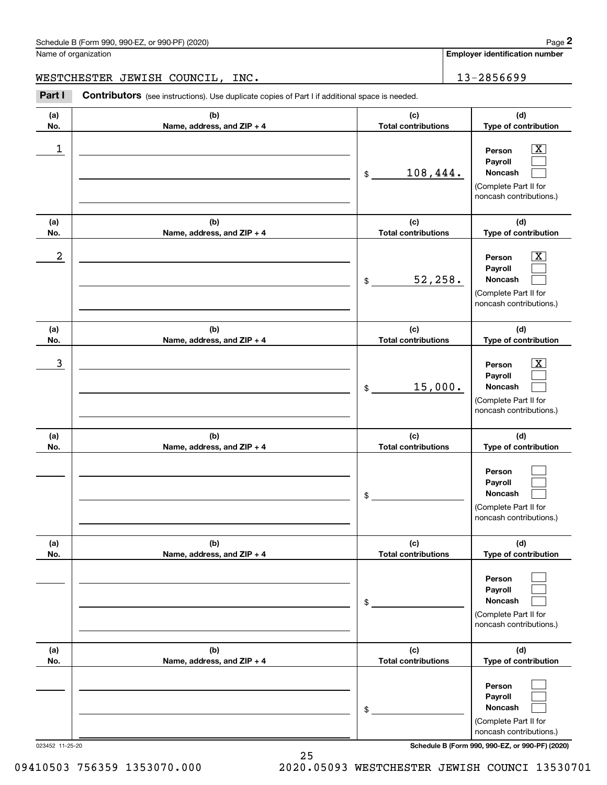| Schedule B (Form 990, 990-EZ, or 990-PF) (2020)<br>$\blacksquare$ | Page |
|-------------------------------------------------------------------|------|
|-------------------------------------------------------------------|------|

Name of organization

**Employer identification number**

WESTCHESTER JEWISH COUNCIL, INC. | 13-2856699

Chedule B (Form 990, 990-EZ, or 990-PF) (2020)<br>
lame of organization<br> **2Part I Contributors** (see instructions). Use duplicate copies of Part I if additional space is needed.<br> **2Part I Contributors** (see instructions).

| (a)<br>No. | (b)<br>Name, address, and ZIP + 4 | (c)<br><b>Total contributions</b> | (d)<br>Type of contribution                                                                               |
|------------|-----------------------------------|-----------------------------------|-----------------------------------------------------------------------------------------------------------|
| 1          |                                   | 108,444.<br>\$                    | $\overline{\text{X}}$<br>Person<br>Payroll<br>Noncash<br>(Complete Part II for<br>noncash contributions.) |
| (a)<br>No. | (b)<br>Name, address, and ZIP + 4 | (c)<br><b>Total contributions</b> | (d)<br>Type of contribution                                                                               |
| 2          |                                   | 52, 258.<br>\$                    | $\overline{\text{X}}$<br>Person<br>Payroll<br>Noncash<br>(Complete Part II for<br>noncash contributions.) |
| (a)<br>No. | (b)<br>Name, address, and ZIP + 4 | (c)<br><b>Total contributions</b> | (d)<br>Type of contribution                                                                               |
| 3          |                                   | 15,000.<br>\$                     | $\overline{\text{X}}$<br>Person<br>Payroll<br>Noncash<br>(Complete Part II for<br>noncash contributions.) |
| (a)<br>No. | (b)<br>Name, address, and ZIP + 4 | (c)<br><b>Total contributions</b> | (d)<br>Type of contribution                                                                               |
|            |                                   | \$                                | Person<br>Payroll<br><b>Noncash</b><br>(Complete Part II for<br>noncash contributions.)                   |
| (a)<br>No. | (b)<br>Name, address, and ZIP + 4 | (c)<br><b>Total contributions</b> | (d)<br>Type of contribution                                                                               |
|            |                                   | \$                                | Person<br>Payroll<br>Noncash<br>(Complete Part II for<br>noncash contributions.)                          |
| (a)<br>No. | (b)<br>Name, address, and ZIP + 4 | (c)<br><b>Total contributions</b> | (d)<br>Type of contribution                                                                               |
|            |                                   | \$                                | Person<br>Payroll<br>Noncash<br>(Complete Part II for<br>noncash contributions.)                          |

023452 11-25-20 **Schedule B (Form 990, 990-EZ, or 990-PF) (2020)**

09410503 756359 1353070.000 2020.05093 WESTCHESTER JEWISH COUNCI 13530701

25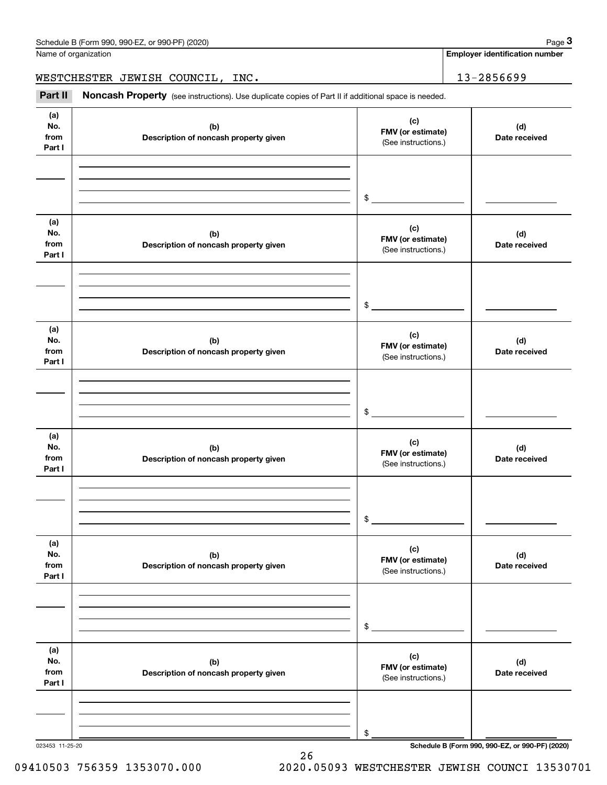| Schedule B (Form 990, 990-EZ, or 990-PF) (2020) | Page |
|-------------------------------------------------|------|
|-------------------------------------------------|------|

Name of organization

**Employer identification number**

WESTCHESTER JEWISH COUNCIL, INC. 13-2856699

(see instructions). Use duplicate copies of Part II if additional space is needed.<br> **28Part II Noncash Property** (see instructions). Use duplicate copies of Part II if additional space is needed.<br> **28Part II Noncash Pr** 

| (a)<br>No.<br>from<br>Part I | (b)<br>Description of noncash property given | (c)<br>FMV (or estimate)<br>(See instructions.) | (d)<br>Date received |
|------------------------------|----------------------------------------------|-------------------------------------------------|----------------------|
|                              |                                              | $\frac{1}{2}$                                   |                      |
| (a)<br>No.<br>from<br>Part I | (b)<br>Description of noncash property given | (c)<br>FMV (or estimate)<br>(See instructions.) | (d)<br>Date received |
|                              |                                              | $\frac{1}{2}$                                   |                      |
| (a)<br>No.<br>from<br>Part I | (b)<br>Description of noncash property given | (c)<br>FMV (or estimate)<br>(See instructions.) | (d)<br>Date received |
|                              |                                              | $\frac{1}{2}$                                   |                      |
| (a)<br>No.<br>from<br>Part I | (b)<br>Description of noncash property given | (c)<br>FMV (or estimate)<br>(See instructions.) | (d)<br>Date received |
|                              |                                              | $\mathsf{\$}$                                   |                      |
| (a)<br>No.<br>from<br>Part I | (b)<br>Description of noncash property given | (c)<br>FMV (or estimate)<br>(See instructions.) | (d)<br>Date received |
|                              |                                              | \$                                              |                      |
| (a)<br>No.<br>from<br>Part I | (b)<br>Description of noncash property given | (c)<br>FMV (or estimate)<br>(See instructions.) | (d)<br>Date received |
|                              |                                              | \$                                              |                      |

26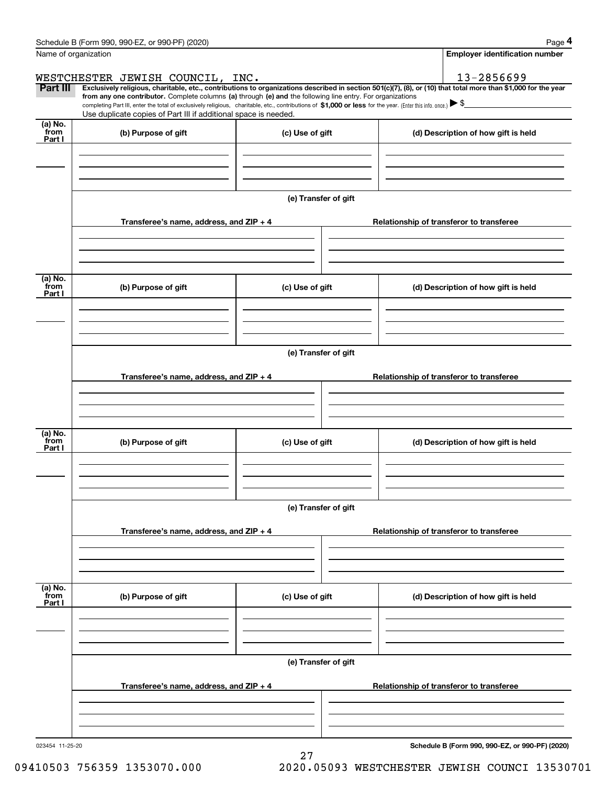|                           | Schedule B (Form 990, 990-EZ, or 990-PF) (2020)                                                                                                                                                                                                                              |                      | Page 4                                          |
|---------------------------|------------------------------------------------------------------------------------------------------------------------------------------------------------------------------------------------------------------------------------------------------------------------------|----------------------|-------------------------------------------------|
| Name of organization      |                                                                                                                                                                                                                                                                              |                      | Employer identification number                  |
|                           | WESTCHESTER JEWISH COUNCIL, INC.                                                                                                                                                                                                                                             |                      | 13-2856699                                      |
| Part III                  | Exclusively religious, charitable, etc., contributions to organizations described in section 501(c)(7), (8), or (10) that total more than \$1,000 for the year<br>from any one contributor. Complete columns (a) through (e) and the following line entry. For organizations |                      |                                                 |
|                           | completing Part III, enter the total of exclusively religious, charitable, etc., contributions of \$1,000 or less for the year. (Enter this info. once.) $\blacktriangleright$ \$<br>Use duplicate copies of Part III if additional space is needed.                         |                      |                                                 |
| (a) No.                   |                                                                                                                                                                                                                                                                              |                      |                                                 |
| from<br>Part I            | (b) Purpose of gift                                                                                                                                                                                                                                                          | (c) Use of gift      | (d) Description of how gift is held             |
|                           |                                                                                                                                                                                                                                                                              |                      |                                                 |
|                           |                                                                                                                                                                                                                                                                              |                      |                                                 |
|                           |                                                                                                                                                                                                                                                                              |                      |                                                 |
|                           |                                                                                                                                                                                                                                                                              | (e) Transfer of gift |                                                 |
|                           | Transferee's name, address, and ZIP + 4                                                                                                                                                                                                                                      |                      | Relationship of transferor to transferee        |
|                           |                                                                                                                                                                                                                                                                              |                      |                                                 |
|                           |                                                                                                                                                                                                                                                                              |                      |                                                 |
|                           |                                                                                                                                                                                                                                                                              |                      |                                                 |
| (a) No.<br>from           | (b) Purpose of gift                                                                                                                                                                                                                                                          | (c) Use of gift      | (d) Description of how gift is held             |
| Part I                    |                                                                                                                                                                                                                                                                              |                      |                                                 |
|                           |                                                                                                                                                                                                                                                                              |                      |                                                 |
|                           |                                                                                                                                                                                                                                                                              |                      |                                                 |
|                           |                                                                                                                                                                                                                                                                              | (e) Transfer of gift |                                                 |
|                           |                                                                                                                                                                                                                                                                              |                      |                                                 |
|                           | Transferee's name, address, and ZIP + 4                                                                                                                                                                                                                                      |                      | Relationship of transferor to transferee        |
|                           |                                                                                                                                                                                                                                                                              |                      |                                                 |
|                           |                                                                                                                                                                                                                                                                              |                      |                                                 |
| (a) No.                   |                                                                                                                                                                                                                                                                              |                      |                                                 |
| from<br>Part I            | (b) Purpose of gift                                                                                                                                                                                                                                                          | (c) Use of gift      | (d) Description of how gift is held             |
|                           |                                                                                                                                                                                                                                                                              |                      |                                                 |
|                           |                                                                                                                                                                                                                                                                              |                      |                                                 |
|                           |                                                                                                                                                                                                                                                                              |                      |                                                 |
|                           |                                                                                                                                                                                                                                                                              | (e) Transfer of gift |                                                 |
|                           | Transferee's name, address, and ZIP + 4                                                                                                                                                                                                                                      |                      | Relationship of transferor to transferee        |
|                           |                                                                                                                                                                                                                                                                              |                      |                                                 |
|                           |                                                                                                                                                                                                                                                                              |                      |                                                 |
|                           |                                                                                                                                                                                                                                                                              |                      |                                                 |
| (a) No.<br>from<br>Part I | (b) Purpose of gift                                                                                                                                                                                                                                                          | (c) Use of gift      | (d) Description of how gift is held             |
|                           |                                                                                                                                                                                                                                                                              |                      |                                                 |
|                           |                                                                                                                                                                                                                                                                              |                      |                                                 |
|                           |                                                                                                                                                                                                                                                                              |                      |                                                 |
|                           |                                                                                                                                                                                                                                                                              | (e) Transfer of gift |                                                 |
|                           |                                                                                                                                                                                                                                                                              |                      |                                                 |
|                           | Transferee's name, address, and $ZIP + 4$                                                                                                                                                                                                                                    |                      | Relationship of transferor to transferee        |
|                           |                                                                                                                                                                                                                                                                              |                      |                                                 |
|                           |                                                                                                                                                                                                                                                                              |                      |                                                 |
| 023454 11-25-20           |                                                                                                                                                                                                                                                                              |                      | Schedule B (Form 990, 990-EZ, or 990-PF) (2020) |

27

**Schedule B (Form 990, 990-EZ, or 990-PF) (2020)**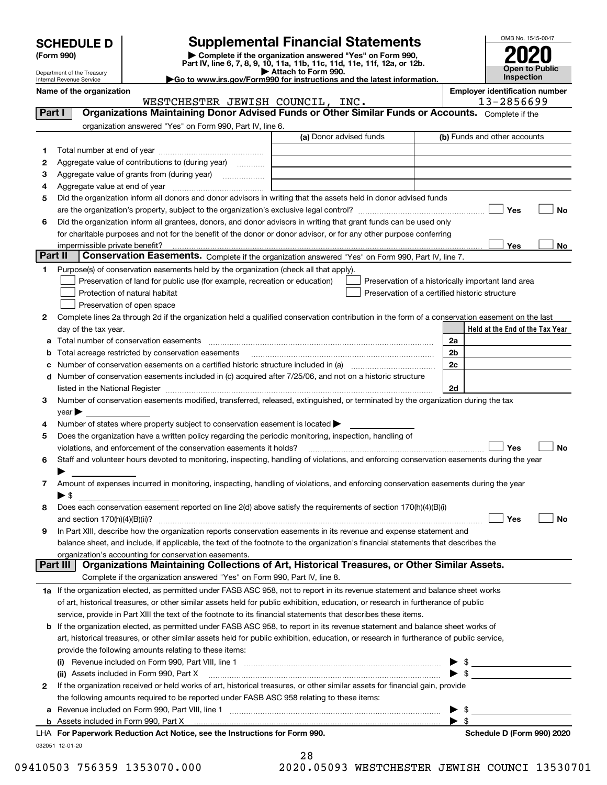| <b>SCHEDULE D</b> |  |
|-------------------|--|
|-------------------|--|

# **SCHEDULE D Supplemental Financial Statements**

(Form 990)<br>
Pepartment of the Treasury<br>
Department of the Treasury<br>
Department of the Treasury<br>
Department of the Treasury<br> **Co to www.irs.gov/Form990 for instructions and the latest information.**<br> **Co to www.irs.gov/Form9** 



Department of the Treasury Internal Revenue Service **Name of the organization Employer identification number**

|         | WESTCHESTER JEWISH COUNCIL, INC.                                                                                                                                  | 13-2856699                                         |    |
|---------|-------------------------------------------------------------------------------------------------------------------------------------------------------------------|----------------------------------------------------|----|
| Part I  | Organizations Maintaining Donor Advised Funds or Other Similar Funds or Accounts. Complete if the                                                                 |                                                    |    |
|         | organization answered "Yes" on Form 990, Part IV, line 6.                                                                                                         |                                                    |    |
|         | (a) Donor advised funds                                                                                                                                           | (b) Funds and other accounts                       |    |
| 1       |                                                                                                                                                                   |                                                    |    |
| 2       | Aggregate value of contributions to (during year)                                                                                                                 |                                                    |    |
| з       | Aggregate value of grants from (during year)                                                                                                                      |                                                    |    |
| 4       |                                                                                                                                                                   |                                                    |    |
| 5       | Did the organization inform all donors and donor advisors in writing that the assets held in donor advised funds                                                  |                                                    |    |
|         |                                                                                                                                                                   | Yes                                                | No |
| 6       | Did the organization inform all grantees, donors, and donor advisors in writing that grant funds can be used only                                                 |                                                    |    |
|         | for charitable purposes and not for the benefit of the donor or donor advisor, or for any other purpose conferring                                                |                                                    |    |
|         | impermissible private benefit?                                                                                                                                    | Yes                                                | No |
| Part II | Conservation Easements. Complete if the organization answered "Yes" on Form 990, Part IV, line 7.                                                                 |                                                    |    |
| 1       | Purpose(s) of conservation easements held by the organization (check all that apply).                                                                             |                                                    |    |
|         | Preservation of land for public use (for example, recreation or education)                                                                                        | Preservation of a historically important land area |    |
|         | Protection of natural habitat                                                                                                                                     | Preservation of a certified historic structure     |    |
|         | Preservation of open space                                                                                                                                        |                                                    |    |
| 2       | Complete lines 2a through 2d if the organization held a qualified conservation contribution in the form of a conservation easement on the last                    |                                                    |    |
|         | day of the tax year.                                                                                                                                              | Held at the End of the Tax Year                    |    |
| а       | Total number of conservation easements                                                                                                                            | 2a                                                 |    |
|         | Total acreage restricted by conservation easements                                                                                                                | 2 <sub>b</sub>                                     |    |
|         | Number of conservation easements on a certified historic structure included in (a) manufacture included in (a)                                                    | 2c                                                 |    |
| d       | Number of conservation easements included in (c) acquired after 7/25/06, and not on a historic structure                                                          |                                                    |    |
|         |                                                                                                                                                                   | 2d                                                 |    |
| 3       | Number of conservation easements modified, transferred, released, extinguished, or terminated by the organization during the tax                                  |                                                    |    |
|         | year                                                                                                                                                              |                                                    |    |
| 4       | Number of states where property subject to conservation easement is located >                                                                                     |                                                    |    |
| 5       | Does the organization have a written policy regarding the periodic monitoring, inspection, handling of                                                            |                                                    |    |
|         | violations, and enforcement of the conservation easements it holds?                                                                                               | Yes                                                | No |
| 6       | Staff and volunteer hours devoted to monitoring, inspecting, handling of violations, and enforcing conservation easements during the year                         |                                                    |    |
|         |                                                                                                                                                                   |                                                    |    |
| 7       | Amount of expenses incurred in monitoring, inspecting, handling of violations, and enforcing conservation easements during the year                               |                                                    |    |
|         | $\blacktriangleright$ S                                                                                                                                           |                                                    |    |
| 8       | Does each conservation easement reported on line 2(d) above satisfy the requirements of section 170(h)(4)(B)(i)                                                   |                                                    |    |
|         |                                                                                                                                                                   | Yes                                                | No |
| 9       | In Part XIII, describe how the organization reports conservation easements in its revenue and expense statement and                                               |                                                    |    |
|         | balance sheet, and include, if applicable, the text of the footnote to the organization's financial statements that describes the                                 |                                                    |    |
|         |                                                                                                                                                                   |                                                    |    |
|         | organization's accounting for conservation easements.<br>Organizations Maintaining Collections of Art, Historical Treasures, or Other Similar Assets.<br>Part III |                                                    |    |
|         | Complete if the organization answered "Yes" on Form 990, Part IV, line 8.                                                                                         |                                                    |    |
|         | 1a If the organization elected, as permitted under FASB ASC 958, not to report in its revenue statement and balance sheet works                                   |                                                    |    |
|         | of art, historical treasures, or other similar assets held for public exhibition, education, or research in furtherance of public                                 |                                                    |    |
|         | service, provide in Part XIII the text of the footnote to its financial statements that describes these items.                                                    |                                                    |    |
|         |                                                                                                                                                                   |                                                    |    |
| b       | If the organization elected, as permitted under FASB ASC 958, to report in its revenue statement and balance sheet works of                                       |                                                    |    |
|         | art, historical treasures, or other similar assets held for public exhibition, education, or research in furtherance of public service,                           |                                                    |    |
|         | provide the following amounts relating to these items:                                                                                                            |                                                    |    |
|         | (i)                                                                                                                                                               | -\$<br>$\blacktriangleright$ \$                    |    |
|         | (ii) Assets included in Form 990, Part X                                                                                                                          |                                                    |    |
| 2       | If the organization received or held works of art, historical treasures, or other similar assets for financial gain, provide                                      |                                                    |    |
|         | the following amounts required to be reported under FASB ASC 958 relating to these items:                                                                         |                                                    |    |
| а       | Revenue included on Form 990, Part VIII, line 1 [2000] [2000] [2000] [2000] [3000] [3000] [3000] [3000] [3000                                                     | - \$                                               |    |
|         |                                                                                                                                                                   | - \$                                               |    |
|         | LHA For Paperwork Reduction Act Notice, see the Instructions for Form 990.                                                                                        | Schedule D (Form 990) 2020                         |    |
|         | 032051 12-01-20<br>28                                                                                                                                             |                                                    |    |

28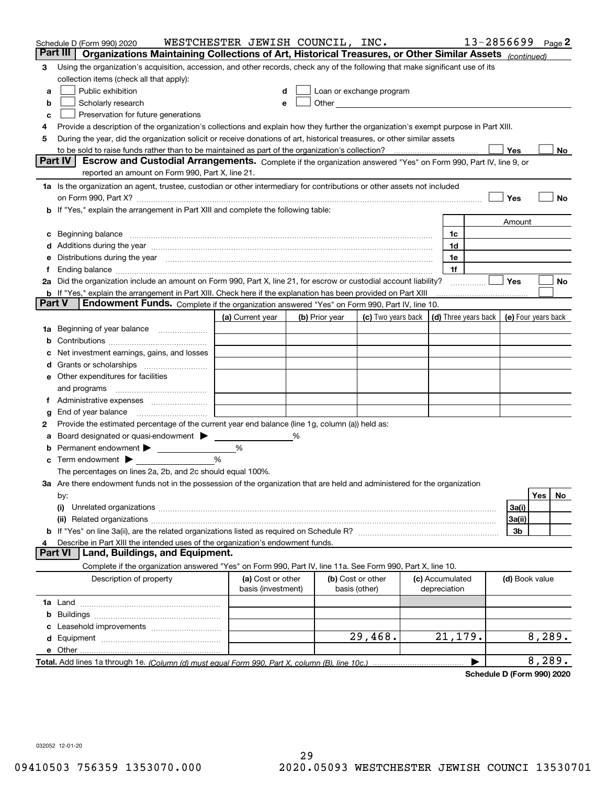|        | Schedule D (Form 990) 2020<br>Part III<br>Organizations Maintaining Collections of Art, Historical Treasures, or Other Similar Assets (continued)                                                                              | WESTCHESTER JEWISH COUNCIL, INC.        |   |                |                                    |                                 | 13-2856699 |                     |        | Page 2 |
|--------|--------------------------------------------------------------------------------------------------------------------------------------------------------------------------------------------------------------------------------|-----------------------------------------|---|----------------|------------------------------------|---------------------------------|------------|---------------------|--------|--------|
| 3      | Using the organization's acquisition, accession, and other records, check any of the following that make significant use of its                                                                                                |                                         |   |                |                                    |                                 |            |                     |        |        |
|        | collection items (check all that apply):                                                                                                                                                                                       |                                         |   |                |                                    |                                 |            |                     |        |        |
| а      | Public exhibition                                                                                                                                                                                                              | d                                       |   |                | Loan or exchange program           |                                 |            |                     |        |        |
| b      | Scholarly research                                                                                                                                                                                                             |                                         | e |                |                                    |                                 |            |                     |        |        |
| с      | Preservation for future generations                                                                                                                                                                                            |                                         |   |                |                                    |                                 |            |                     |        |        |
| 4      | Provide a description of the organization's collections and explain how they further the organization's exempt purpose in Part XIII.                                                                                           |                                         |   |                |                                    |                                 |            |                     |        |        |
| 5      | During the year, did the organization solicit or receive donations of art, historical treasures, or other similar assets                                                                                                       |                                         |   |                |                                    |                                 |            |                     |        |        |
|        | to be sold to raise funds rather than to be maintained as part of the organization's collection?                                                                                                                               |                                         |   |                |                                    |                                 |            | Yes                 |        | No     |
|        | Escrow and Custodial Arrangements. Complete if the organization answered "Yes" on Form 990, Part IV, line 9, or<br><b>Part IV</b>                                                                                              |                                         |   |                |                                    |                                 |            |                     |        |        |
|        | reported an amount on Form 990, Part X, line 21.                                                                                                                                                                               |                                         |   |                |                                    |                                 |            |                     |        |        |
|        | 1a Is the organization an agent, trustee, custodian or other intermediary for contributions or other assets not included                                                                                                       |                                         |   |                |                                    |                                 |            |                     |        |        |
|        | on Form 990, Part X? [11] matter and the contract of the contract of the contract of the contract of the contract of the contract of the contract of the contract of the contract of the contract of the contract of the contr |                                         |   |                |                                    |                                 |            | Yes                 |        | No     |
|        | b If "Yes," explain the arrangement in Part XIII and complete the following table:                                                                                                                                             |                                         |   |                |                                    |                                 |            |                     |        |        |
|        |                                                                                                                                                                                                                                |                                         |   |                |                                    |                                 |            | Amount              |        |        |
|        | c Beginning balance measurements and the contract of the contract of the contract of the contract of the contract of the contract of the contract of the contract of the contract of the contract of the contract of the contr |                                         |   |                |                                    | 1c                              |            |                     |        |        |
|        |                                                                                                                                                                                                                                |                                         |   |                |                                    | 1d                              |            |                     |        |        |
|        | e Distributions during the year manufactured and an according to the distributions during the year manufactured and the state of the state of the state of the state of the state of the state of the state of the state of th |                                         |   |                |                                    | 1e                              |            |                     |        |        |
|        |                                                                                                                                                                                                                                |                                         |   |                |                                    | 1f                              |            |                     |        |        |
|        | 2a Did the organization include an amount on Form 990, Part X, line 21, for escrow or custodial account liability?                                                                                                             |                                         |   |                |                                    |                                 |            | Yes                 |        | No     |
|        | <b>b</b> If "Yes," explain the arrangement in Part XIII. Check here if the explanation has been provided on Part XIII                                                                                                          |                                         |   |                |                                    |                                 |            |                     |        |        |
| Part V | Endowment Funds. Complete if the organization answered "Yes" on Form 990, Part IV, line 10.                                                                                                                                    |                                         |   |                |                                    |                                 |            |                     |        |        |
|        |                                                                                                                                                                                                                                | (a) Current year                        |   | (b) Prior year | (c) Two years back                 | (d) Three years back            |            | (e) Four years back |        |        |
|        | 1a Beginning of year balance                                                                                                                                                                                                   |                                         |   |                |                                    |                                 |            |                     |        |        |
| b      |                                                                                                                                                                                                                                |                                         |   |                |                                    |                                 |            |                     |        |        |
| c      | Net investment earnings, gains, and losses                                                                                                                                                                                     |                                         |   |                |                                    |                                 |            |                     |        |        |
|        |                                                                                                                                                                                                                                |                                         |   |                |                                    |                                 |            |                     |        |        |
|        | e Other expenditures for facilities                                                                                                                                                                                            |                                         |   |                |                                    |                                 |            |                     |        |        |
|        | and programs                                                                                                                                                                                                                   |                                         |   |                |                                    |                                 |            |                     |        |        |
|        |                                                                                                                                                                                                                                |                                         |   |                |                                    |                                 |            |                     |        |        |
| g      |                                                                                                                                                                                                                                |                                         |   |                |                                    |                                 |            |                     |        |        |
| 2      | Provide the estimated percentage of the current year end balance (line 1g, column (a)) held as:                                                                                                                                |                                         |   |                |                                    |                                 |            |                     |        |        |
| а      | Board designated or quasi-endowment > _____                                                                                                                                                                                    |                                         | % |                |                                    |                                 |            |                     |        |        |
| b      | Permanent endowment > 1                                                                                                                                                                                                        | %                                       |   |                |                                    |                                 |            |                     |        |        |
|        | <b>c</b> Term endowment $\blacktriangleright$                                                                                                                                                                                  | %                                       |   |                |                                    |                                 |            |                     |        |        |
|        | The percentages on lines 2a, 2b, and 2c should equal 100%.                                                                                                                                                                     |                                         |   |                |                                    |                                 |            |                     |        |        |
|        | 3a Are there endowment funds not in the possession of the organization that are held and administered for the organization                                                                                                     |                                         |   |                |                                    |                                 |            |                     |        |        |
|        | by:                                                                                                                                                                                                                            |                                         |   |                |                                    |                                 |            |                     | Yes    | No     |
|        | (i)                                                                                                                                                                                                                            |                                         |   |                |                                    |                                 |            | 3a(i)               |        |        |
|        |                                                                                                                                                                                                                                |                                         |   |                |                                    |                                 |            | 3a(ii)              |        |        |
|        |                                                                                                                                                                                                                                |                                         |   |                |                                    |                                 |            | 3b                  |        |        |
| 4      | Describe in Part XIII the intended uses of the organization's endowment funds.                                                                                                                                                 |                                         |   |                |                                    |                                 |            |                     |        |        |
|        | Land, Buildings, and Equipment.<br><b>Part VI</b>                                                                                                                                                                              |                                         |   |                |                                    |                                 |            |                     |        |        |
|        | Complete if the organization answered "Yes" on Form 990, Part IV, line 11a. See Form 990, Part X, line 10.                                                                                                                     |                                         |   |                |                                    |                                 |            |                     |        |        |
|        | Description of property                                                                                                                                                                                                        | (a) Cost or other<br>basis (investment) |   |                | (b) Cost or other<br>basis (other) | (c) Accumulated<br>depreciation |            | (d) Book value      |        |        |
|        |                                                                                                                                                                                                                                |                                         |   |                |                                    |                                 |            |                     |        |        |
| b      |                                                                                                                                                                                                                                |                                         |   |                |                                    |                                 |            |                     |        |        |
| с      |                                                                                                                                                                                                                                |                                         |   |                |                                    |                                 |            |                     |        |        |
|        |                                                                                                                                                                                                                                |                                         |   |                | 29,468.                            | 21, 179.                        |            |                     | 8,289. |        |
|        |                                                                                                                                                                                                                                |                                         |   |                |                                    |                                 |            |                     |        |        |
|        |                                                                                                                                                                                                                                |                                         |   |                |                                    |                                 |            |                     | 8,289. |        |
|        |                                                                                                                                                                                                                                |                                         |   |                |                                    |                                 |            |                     |        |        |

**Schedule D (Form 990) 2020**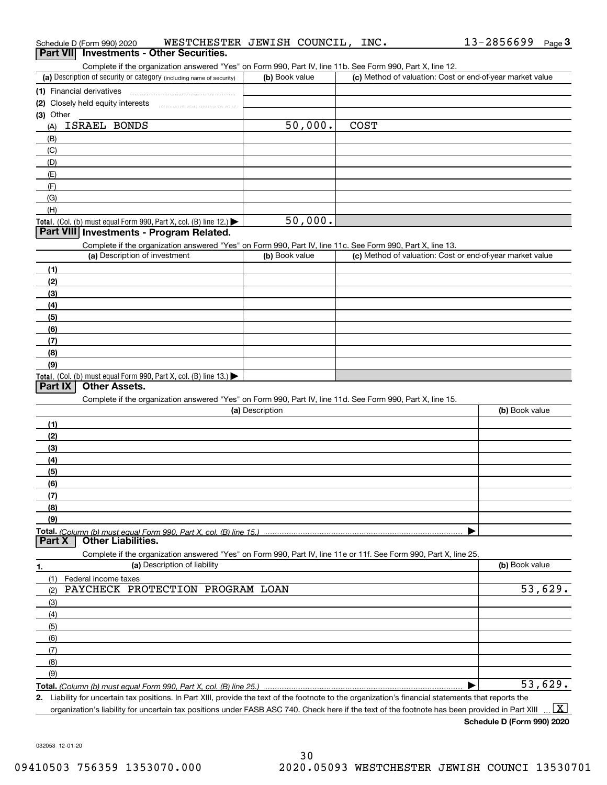| Schedule D (Form 990) 2020                                                                                                                                                                                                 | WESTCHESTER JEWISH COUNCIL, | INC.        | 13-2856699<br>$Page$ <sup>3</sup>                         |
|----------------------------------------------------------------------------------------------------------------------------------------------------------------------------------------------------------------------------|-----------------------------|-------------|-----------------------------------------------------------|
| <b>Investments - Other Securities.</b><br><b>Part VII</b>                                                                                                                                                                  |                             |             |                                                           |
| Complete if the organization answered "Yes" on Form 990, Part IV, line 11b. See Form 990, Part X, line 12.                                                                                                                 |                             |             |                                                           |
| (a) Description of security or category (including name of security)                                                                                                                                                       | (b) Book value              |             | (c) Method of valuation: Cost or end-of-year market value |
| (1) Financial derivatives                                                                                                                                                                                                  |                             |             |                                                           |
| (2) Closely held equity interests                                                                                                                                                                                          |                             |             |                                                           |
| (3) Other                                                                                                                                                                                                                  |                             |             |                                                           |
| ISRAEL BONDS<br>(A)                                                                                                                                                                                                        | 50,000.                     | <b>COST</b> |                                                           |
| (B)                                                                                                                                                                                                                        |                             |             |                                                           |
| (C)                                                                                                                                                                                                                        |                             |             |                                                           |
| (D)                                                                                                                                                                                                                        |                             |             |                                                           |
| (E)                                                                                                                                                                                                                        |                             |             |                                                           |
| (F)                                                                                                                                                                                                                        |                             |             |                                                           |
| (G)                                                                                                                                                                                                                        |                             |             |                                                           |
| (H)                                                                                                                                                                                                                        |                             |             |                                                           |
| Total. (Col. (b) must equal Form 990, Part X, col. (B) line 12.)                                                                                                                                                           | 50,000.                     |             |                                                           |
| Part VIII Investments - Program Related.                                                                                                                                                                                   |                             |             |                                                           |
| Complete if the organization answered "Yes" on Form 990, Part IV, line 11c. See Form 990, Part X, line 13.                                                                                                                 |                             |             |                                                           |
| (a) Description of investment                                                                                                                                                                                              | (b) Book value              |             | (c) Method of valuation: Cost or end-of-year market value |
| (1)                                                                                                                                                                                                                        |                             |             |                                                           |
| (2)                                                                                                                                                                                                                        |                             |             |                                                           |
| (3)                                                                                                                                                                                                                        |                             |             |                                                           |
| (4)                                                                                                                                                                                                                        |                             |             |                                                           |
| (5)                                                                                                                                                                                                                        |                             |             |                                                           |
| (6)                                                                                                                                                                                                                        |                             |             |                                                           |
| (7)                                                                                                                                                                                                                        |                             |             |                                                           |
| (8)                                                                                                                                                                                                                        |                             |             |                                                           |
| (9)                                                                                                                                                                                                                        |                             |             |                                                           |
| Total. (Col. (b) must equal Form 990, Part X, col. (B) line 13.)                                                                                                                                                           |                             |             |                                                           |
| <b>Other Assets.</b><br>Part IX                                                                                                                                                                                            |                             |             |                                                           |
| Complete if the organization answered "Yes" on Form 990, Part IV, line 11d. See Form 990, Part X, line 15.                                                                                                                 |                             |             |                                                           |
|                                                                                                                                                                                                                            | (a) Description             |             | (b) Book value                                            |
| (1)                                                                                                                                                                                                                        |                             |             |                                                           |
| (2)                                                                                                                                                                                                                        |                             |             |                                                           |
| (3)                                                                                                                                                                                                                        |                             |             |                                                           |
| (4)                                                                                                                                                                                                                        |                             |             |                                                           |
| (5)                                                                                                                                                                                                                        |                             |             |                                                           |
| (6)                                                                                                                                                                                                                        |                             |             |                                                           |
| (7)                                                                                                                                                                                                                        |                             |             |                                                           |
| (8)                                                                                                                                                                                                                        |                             |             |                                                           |
| (9)                                                                                                                                                                                                                        |                             |             |                                                           |
|                                                                                                                                                                                                                            |                             |             |                                                           |
| <b>Other Liabilities.</b><br>Part X                                                                                                                                                                                        |                             |             |                                                           |
| Complete if the organization answered "Yes" on Form 990, Part IV, line 11e or 11f. See Form 990, Part X, line 25.                                                                                                          |                             |             |                                                           |
| (a) Description of liability<br>1.                                                                                                                                                                                         |                             |             | (b) Book value                                            |
| (1)<br>Federal income taxes                                                                                                                                                                                                |                             |             |                                                           |
| PAYCHECK PROTECTION PROGRAM LOAN<br>(2)                                                                                                                                                                                    |                             |             | 53,629.                                                   |
| (3)                                                                                                                                                                                                                        |                             |             |                                                           |
| (4)                                                                                                                                                                                                                        |                             |             |                                                           |
| (5)                                                                                                                                                                                                                        |                             |             |                                                           |
| (6)                                                                                                                                                                                                                        |                             |             |                                                           |
| (7)                                                                                                                                                                                                                        |                             |             |                                                           |
| (8)                                                                                                                                                                                                                        |                             |             |                                                           |
| (9)                                                                                                                                                                                                                        |                             |             |                                                           |
|                                                                                                                                                                                                                            |                             |             | 53,629.                                                   |
| Total. (Column (b) must equal Form 990, Part X, col. (B) line 25.)<br>2. Liability for uncertain tax positions. In Part XIII, provide the text of the footnote to the organization's financial statements that reports the |                             |             |                                                           |
|                                                                                                                                                                                                                            |                             |             |                                                           |

organization's liability for uncertain tax positions under FASB ASC 740. Check here if the text of the footnote has been provided in Part XIII

**Schedule D (Form 990) 2020**

13-2856699 Page 3

 $\boxed{\text{X}}$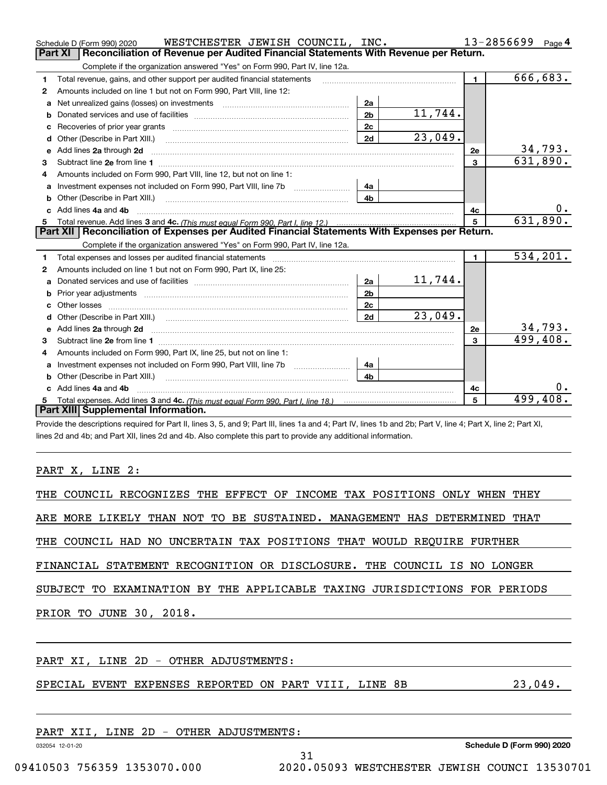|    | WESTCHESTER JEWISH COUNCIL, INC.<br>Schedule D (Form 990) 2020                                                                                                                                                                      |                |         |                | 13-2856699 | Page 4    |
|----|-------------------------------------------------------------------------------------------------------------------------------------------------------------------------------------------------------------------------------------|----------------|---------|----------------|------------|-----------|
|    | Reconciliation of Revenue per Audited Financial Statements With Revenue per Return.<br>Part XI                                                                                                                                      |                |         |                |            |           |
|    | Complete if the organization answered "Yes" on Form 990, Part IV, line 12a.                                                                                                                                                         |                |         |                |            |           |
| 1  | Total revenue, gains, and other support per audited financial statements                                                                                                                                                            |                |         | $\blacksquare$ |            | 666,683.  |
| 2  | Amounts included on line 1 but not on Form 990, Part VIII, line 12:                                                                                                                                                                 |                |         |                |            |           |
| a  |                                                                                                                                                                                                                                     | 2a             |         |                |            |           |
| b  |                                                                                                                                                                                                                                     | 2 <sub>b</sub> | 11,744. |                |            |           |
| с  |                                                                                                                                                                                                                                     | 2c             |         |                |            |           |
| d  | Other (Describe in Part XIII.)                                                                                                                                                                                                      | 2d             | 23,049. |                |            |           |
| e  | Add lines 2a through 2d                                                                                                                                                                                                             |                |         | 2e             |            | 34,793.   |
| 3  |                                                                                                                                                                                                                                     |                |         | $\mathbf{3}$   |            | 631,890.  |
|    | Amounts included on Form 990, Part VIII, line 12, but not on line 1:                                                                                                                                                                |                |         |                |            |           |
| a  |                                                                                                                                                                                                                                     | 4a             |         |                |            |           |
| b  | Other (Describe in Part XIII.)                                                                                                                                                                                                      | 4 <sub>b</sub> |         |                |            |           |
| c. | Add lines 4a and 4b                                                                                                                                                                                                                 |                |         | 4с             |            | 0.        |
|    |                                                                                                                                                                                                                                     |                |         | 5              |            | 631,890.  |
|    | Part XII   Reconciliation of Expenses per Audited Financial Statements With Expenses per Return.                                                                                                                                    |                |         |                |            |           |
|    | Complete if the organization answered "Yes" on Form 990, Part IV, line 12a.                                                                                                                                                         |                |         |                |            |           |
| 1  |                                                                                                                                                                                                                                     |                |         | $\mathbf{1}$   |            | 534, 201. |
| 2  | Amounts included on line 1 but not on Form 990, Part IX, line 25:                                                                                                                                                                   |                |         |                |            |           |
| a  |                                                                                                                                                                                                                                     | 2a             | 11,744. |                |            |           |
|    |                                                                                                                                                                                                                                     | 2 <sub>b</sub> |         |                |            |           |
|    |                                                                                                                                                                                                                                     | 2c             |         |                |            |           |
| d  |                                                                                                                                                                                                                                     | 2d             | 23,049. |                |            |           |
| e  | Add lines 2a through 2d <b>minimum contained a contract and a</b> contract a contract of the contract of the contract of the contract of the contract of the contract of the contract of the contract of the contract of the contra |                |         | <b>2e</b>      |            | 34,793.   |
| 3  |                                                                                                                                                                                                                                     |                |         | $\overline{3}$ |            | 499,408.  |
| 4  | Amounts included on Form 990, Part IX, line 25, but not on line 1:                                                                                                                                                                  |                |         |                |            |           |
| a  | Investment expenses not included on Form 990, Part VIII, line 7b [1000000000000000000000000000000000                                                                                                                                | 4a             |         |                |            |           |
| b  |                                                                                                                                                                                                                                     | 4 <sub>h</sub> |         |                |            |           |
|    | c Add lines 4a and 4b                                                                                                                                                                                                               |                |         | 4c             |            |           |
|    |                                                                                                                                                                                                                                     |                |         | 5              |            | 499,408.  |
|    | Part XIII Supplemental Information.                                                                                                                                                                                                 |                |         |                |            |           |
|    | Provide the descriptions required for Part II, lines 3, 5, and 9; Part III, lines 1a and 4; Part IV, lines 1b and 2b; Part V, line 4; Part X, line 2; Part XI,                                                                      |                |         |                |            |           |
|    | lines 2d and 4b; and Part XII, lines 2d and 4b. Also complete this part to provide any additional information.                                                                                                                      |                |         |                |            |           |

## PART X, LINE 2:

| THE COUNCIL RECOGNIZES THE EFFECT OF INCOME TAX POSITIONS ONLY WHEN THEY  |         |
|---------------------------------------------------------------------------|---------|
| ARE MORE LIKELY THAN NOT TO BE SUSTAINED. MANAGEMENT HAS DETERMINED THAT  |         |
| THE COUNCIL HAD NO UNCERTAIN TAX POSITIONS THAT WOULD REQUIRE FURTHER     |         |
| FINANCIAL STATEMENT RECOGNITION OR DISCLOSURE. THE COUNCIL IS NO LONGER   |         |
| SUBJECT TO EXAMINATION BY THE APPLICABLE TAXING JURISDICTIONS FOR PERIODS |         |
| PRIOR TO JUNE 30, 2018.                                                   |         |
|                                                                           |         |
| PART XI, LINE 2D - OTHER ADJUSTMENTS:                                     |         |
| SPECIAL EVENT EXPENSES REPORTED ON PART VIII, LINE 8B                     | 23,049. |

| PART            | XII | LINE | 2D | $\overline{\phantom{m}}$ | OTHER | ADJUSTMENTS: |  |
|-----------------|-----|------|----|--------------------------|-------|--------------|--|
| 023054 13.01.20 |     |      |    |                          |       |              |  |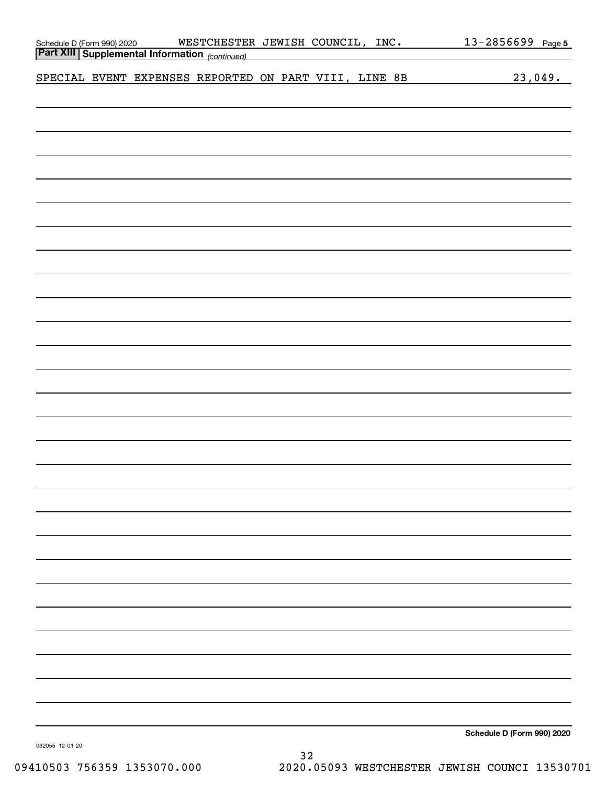|  | Schedule D (Form 990) 2020 WESTCHESTEI<br><b>Part XIII   Supplemental Information</b> (continued) | WESTCHESTER JEWISH COUNCIL, INC. |  |  |  | 13-2856699 Page 5          |
|--|---------------------------------------------------------------------------------------------------|----------------------------------|--|--|--|----------------------------|
|  |                                                                                                   |                                  |  |  |  |                            |
|  | SPECIAL EVENT EXPENSES REPORTED ON PART VIII, LINE 8B                                             |                                  |  |  |  | 23,049.                    |
|  |                                                                                                   |                                  |  |  |  |                            |
|  |                                                                                                   |                                  |  |  |  |                            |
|  |                                                                                                   |                                  |  |  |  |                            |
|  |                                                                                                   |                                  |  |  |  |                            |
|  |                                                                                                   |                                  |  |  |  |                            |
|  |                                                                                                   |                                  |  |  |  |                            |
|  |                                                                                                   |                                  |  |  |  |                            |
|  |                                                                                                   |                                  |  |  |  |                            |
|  |                                                                                                   |                                  |  |  |  |                            |
|  |                                                                                                   |                                  |  |  |  |                            |
|  |                                                                                                   |                                  |  |  |  |                            |
|  |                                                                                                   |                                  |  |  |  |                            |
|  |                                                                                                   |                                  |  |  |  |                            |
|  |                                                                                                   |                                  |  |  |  |                            |
|  |                                                                                                   |                                  |  |  |  |                            |
|  |                                                                                                   |                                  |  |  |  |                            |
|  |                                                                                                   |                                  |  |  |  |                            |
|  |                                                                                                   |                                  |  |  |  |                            |
|  |                                                                                                   |                                  |  |  |  |                            |
|  |                                                                                                   |                                  |  |  |  |                            |
|  |                                                                                                   |                                  |  |  |  |                            |
|  |                                                                                                   |                                  |  |  |  |                            |
|  |                                                                                                   |                                  |  |  |  |                            |
|  |                                                                                                   |                                  |  |  |  |                            |
|  |                                                                                                   |                                  |  |  |  |                            |
|  |                                                                                                   |                                  |  |  |  |                            |
|  |                                                                                                   |                                  |  |  |  |                            |
|  |                                                                                                   |                                  |  |  |  |                            |
|  |                                                                                                   |                                  |  |  |  |                            |
|  |                                                                                                   |                                  |  |  |  |                            |
|  |                                                                                                   |                                  |  |  |  |                            |
|  |                                                                                                   |                                  |  |  |  |                            |
|  |                                                                                                   |                                  |  |  |  |                            |
|  |                                                                                                   |                                  |  |  |  | Schedule D (Form 990) 2020 |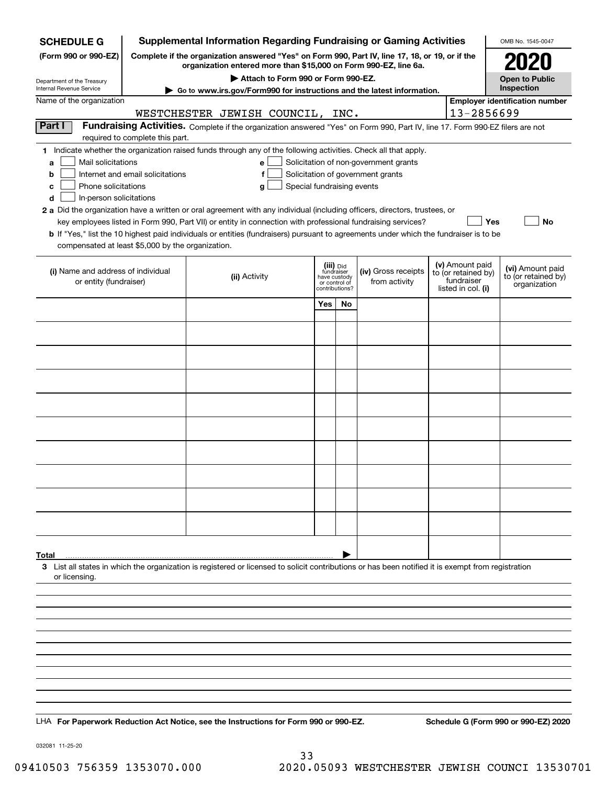| <b>SCHEDULE G</b>                                                               | <b>Supplemental Information Regarding Fundraising or Gaming Activities</b><br>OMB No. 1545-0047                                                                     |                                                                                                                                                    |                                                                            |    |                                       |  |                                                                            |                                                         |  |  |  |  |
|---------------------------------------------------------------------------------|---------------------------------------------------------------------------------------------------------------------------------------------------------------------|----------------------------------------------------------------------------------------------------------------------------------------------------|----------------------------------------------------------------------------|----|---------------------------------------|--|----------------------------------------------------------------------------|---------------------------------------------------------|--|--|--|--|
| (Form 990 or 990-EZ)                                                            | Complete if the organization answered "Yes" on Form 990, Part IV, line 17, 18, or 19, or if the<br>organization entered more than \$15,000 on Form 990-EZ, line 6a. |                                                                                                                                                    |                                                                            |    |                                       |  |                                                                            |                                                         |  |  |  |  |
| Department of the Treasury<br>Internal Revenue Service                          |                                                                                                                                                                     |                                                                                                                                                    | <b>Open to Public</b><br>Inspection                                        |    |                                       |  |                                                                            |                                                         |  |  |  |  |
| Name of the organization                                                        | $\blacktriangleright$ Go to www.irs.gov/Form990 for instructions and the latest information.                                                                        |                                                                                                                                                    | <b>Employer identification number</b>                                      |    |                                       |  |                                                                            |                                                         |  |  |  |  |
|                                                                                 | 13-2856699<br>WESTCHESTER JEWISH COUNCIL, INC.                                                                                                                      |                                                                                                                                                    |                                                                            |    |                                       |  |                                                                            |                                                         |  |  |  |  |
| Part I                                                                          |                                                                                                                                                                     | Fundraising Activities. Complete if the organization answered "Yes" on Form 990, Part IV, line 17. Form 990-EZ filers are not                      |                                                                            |    |                                       |  |                                                                            |                                                         |  |  |  |  |
|                                                                                 | required to complete this part.                                                                                                                                     | 1 Indicate whether the organization raised funds through any of the following activities. Check all that apply.                                    |                                                                            |    |                                       |  |                                                                            |                                                         |  |  |  |  |
| Mail solicitations<br>a                                                         |                                                                                                                                                                     | $\mathbf{e}$                                                                                                                                       |                                                                            |    | Solicitation of non-government grants |  |                                                                            |                                                         |  |  |  |  |
| Solicitation of government grants<br>Internet and email solicitations<br>b<br>f |                                                                                                                                                                     |                                                                                                                                                    |                                                                            |    |                                       |  |                                                                            |                                                         |  |  |  |  |
| с<br>d                                                                          | Phone solicitations<br>Special fundraising events<br>g<br>In-person solicitations                                                                                   |                                                                                                                                                    |                                                                            |    |                                       |  |                                                                            |                                                         |  |  |  |  |
|                                                                                 |                                                                                                                                                                     | 2 a Did the organization have a written or oral agreement with any individual (including officers, directors, trustees, or                         |                                                                            |    |                                       |  |                                                                            |                                                         |  |  |  |  |
|                                                                                 |                                                                                                                                                                     | key employees listed in Form 990, Part VII) or entity in connection with professional fundraising services?                                        |                                                                            |    |                                       |  | Yes                                                                        | No                                                      |  |  |  |  |
| compensated at least \$5,000 by the organization.                               |                                                                                                                                                                     | <b>b</b> If "Yes," list the 10 highest paid individuals or entities (fundraisers) pursuant to agreements under which the fundraiser is to be       |                                                                            |    |                                       |  |                                                                            |                                                         |  |  |  |  |
|                                                                                 |                                                                                                                                                                     |                                                                                                                                                    |                                                                            |    |                                       |  |                                                                            |                                                         |  |  |  |  |
| (i) Name and address of individual<br>or entity (fundraiser)                    |                                                                                                                                                                     | (ii) Activity                                                                                                                                      | (iii) Did<br>fundraiser<br>have custody<br>or control of<br>contributions? |    | (iv) Gross receipts<br>from activity  |  | (v) Amount paid<br>to (or retained by)<br>fundraiser<br>listed in col. (i) | (vi) Amount paid<br>to (or retained by)<br>organization |  |  |  |  |
|                                                                                 |                                                                                                                                                                     |                                                                                                                                                    | Yes                                                                        | No |                                       |  |                                                                            |                                                         |  |  |  |  |
|                                                                                 |                                                                                                                                                                     |                                                                                                                                                    |                                                                            |    |                                       |  |                                                                            |                                                         |  |  |  |  |
|                                                                                 |                                                                                                                                                                     |                                                                                                                                                    |                                                                            |    |                                       |  |                                                                            |                                                         |  |  |  |  |
|                                                                                 |                                                                                                                                                                     |                                                                                                                                                    |                                                                            |    |                                       |  |                                                                            |                                                         |  |  |  |  |
|                                                                                 |                                                                                                                                                                     |                                                                                                                                                    |                                                                            |    |                                       |  |                                                                            |                                                         |  |  |  |  |
|                                                                                 |                                                                                                                                                                     |                                                                                                                                                    |                                                                            |    |                                       |  |                                                                            |                                                         |  |  |  |  |
|                                                                                 |                                                                                                                                                                     |                                                                                                                                                    |                                                                            |    |                                       |  |                                                                            |                                                         |  |  |  |  |
|                                                                                 |                                                                                                                                                                     |                                                                                                                                                    |                                                                            |    |                                       |  |                                                                            |                                                         |  |  |  |  |
|                                                                                 |                                                                                                                                                                     |                                                                                                                                                    |                                                                            |    |                                       |  |                                                                            |                                                         |  |  |  |  |
|                                                                                 |                                                                                                                                                                     |                                                                                                                                                    |                                                                            |    |                                       |  |                                                                            |                                                         |  |  |  |  |
|                                                                                 |                                                                                                                                                                     |                                                                                                                                                    |                                                                            |    |                                       |  |                                                                            |                                                         |  |  |  |  |
|                                                                                 |                                                                                                                                                                     |                                                                                                                                                    |                                                                            |    |                                       |  |                                                                            |                                                         |  |  |  |  |
|                                                                                 |                                                                                                                                                                     |                                                                                                                                                    |                                                                            |    |                                       |  |                                                                            |                                                         |  |  |  |  |
|                                                                                 |                                                                                                                                                                     |                                                                                                                                                    |                                                                            |    |                                       |  |                                                                            |                                                         |  |  |  |  |
|                                                                                 |                                                                                                                                                                     |                                                                                                                                                    |                                                                            |    |                                       |  |                                                                            |                                                         |  |  |  |  |
| Total                                                                           |                                                                                                                                                                     | 3 List all states in which the organization is registered or licensed to solicit contributions or has been notified it is exempt from registration |                                                                            |    |                                       |  |                                                                            |                                                         |  |  |  |  |
| or licensing.                                                                   |                                                                                                                                                                     |                                                                                                                                                    |                                                                            |    |                                       |  |                                                                            |                                                         |  |  |  |  |
|                                                                                 |                                                                                                                                                                     |                                                                                                                                                    |                                                                            |    |                                       |  |                                                                            |                                                         |  |  |  |  |
|                                                                                 |                                                                                                                                                                     |                                                                                                                                                    |                                                                            |    |                                       |  |                                                                            |                                                         |  |  |  |  |
|                                                                                 |                                                                                                                                                                     |                                                                                                                                                    |                                                                            |    |                                       |  |                                                                            |                                                         |  |  |  |  |
|                                                                                 |                                                                                                                                                                     |                                                                                                                                                    |                                                                            |    |                                       |  |                                                                            |                                                         |  |  |  |  |
|                                                                                 |                                                                                                                                                                     |                                                                                                                                                    |                                                                            |    |                                       |  |                                                                            |                                                         |  |  |  |  |
|                                                                                 |                                                                                                                                                                     |                                                                                                                                                    |                                                                            |    |                                       |  |                                                                            |                                                         |  |  |  |  |
|                                                                                 |                                                                                                                                                                     |                                                                                                                                                    |                                                                            |    |                                       |  |                                                                            |                                                         |  |  |  |  |
|                                                                                 |                                                                                                                                                                     |                                                                                                                                                    |                                                                            |    |                                       |  |                                                                            |                                                         |  |  |  |  |
|                                                                                 |                                                                                                                                                                     | LHA For Paperwork Reduction Act Notice, see the Instructions for Form 990 or 990-EZ.                                                               |                                                                            |    |                                       |  |                                                                            | Schedule G (Form 990 or 990-EZ) 2020                    |  |  |  |  |

032081 11-25-20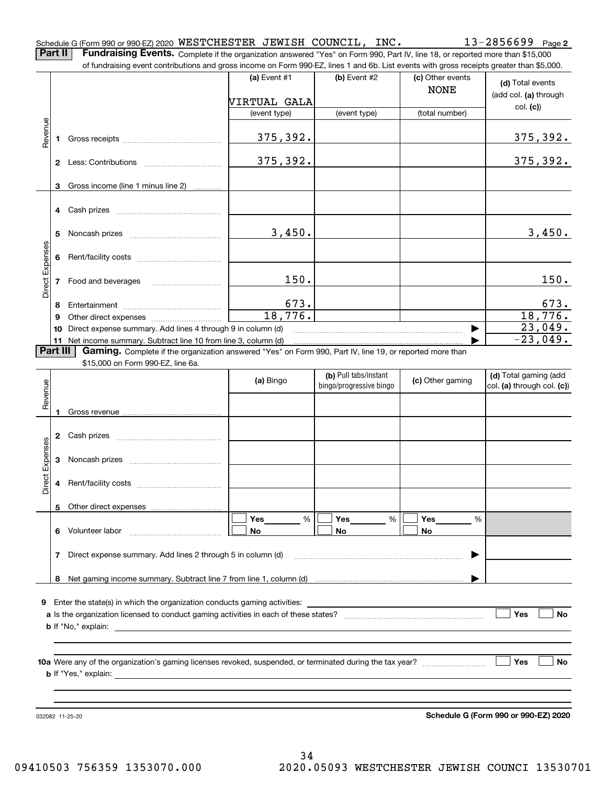|  | Schedule G (Form 990 or 990-EZ) 2020 $\,$ <code>WESTCHESTER <math>\,</math> JEWISH <code>COUNCIL</code> ,</code> |  | INC. | 2856699 | Page 2 |
|--|------------------------------------------------------------------------------------------------------------------|--|------|---------|--------|
|  |                                                                                                                  |  |      |         |        |

**Part II** | Fundraising Events. Complete if the organization answered "Yes" on Form 990, Part IV, line 18, or reported more than \$15,000 of fundraising event contributions and gross income on Form 990-EZ, lines 1 and 6b. List events with gross receipts greater than \$5,000.

|                 |              | of fundraising event contributions and gross income on Form 990-EZ, lines T and 6D. List events with gross receipts greater than \$5,000.                                   | (a) Event $#1$  | $(b)$ Event #2          | (c) Other events<br><b>NONE</b> | (d) Total events                  |
|-----------------|--------------|-----------------------------------------------------------------------------------------------------------------------------------------------------------------------------|-----------------|-------------------------|---------------------------------|-----------------------------------|
|                 |              |                                                                                                                                                                             | VIRTUAL GALA    |                         |                                 | (add col. (a) through             |
|                 |              |                                                                                                                                                                             | (event type)    | (event type)            | (total number)                  | col. (c)                          |
|                 |              |                                                                                                                                                                             |                 |                         |                                 |                                   |
| Revenue         | 1.           |                                                                                                                                                                             | 375,392.        |                         |                                 | 375,392.                          |
|                 |              |                                                                                                                                                                             | 375, 392.       |                         |                                 | 375, 392.                         |
|                 | 3            | Gross income (line 1 minus line 2)                                                                                                                                          |                 |                         |                                 |                                   |
|                 |              |                                                                                                                                                                             |                 |                         |                                 |                                   |
|                 |              |                                                                                                                                                                             |                 |                         |                                 |                                   |
|                 | 5.           |                                                                                                                                                                             | 3,450.          |                         |                                 | 3,450.                            |
|                 |              |                                                                                                                                                                             |                 |                         |                                 |                                   |
| Direct Expenses | 6            |                                                                                                                                                                             |                 |                         |                                 |                                   |
|                 |              |                                                                                                                                                                             |                 |                         |                                 |                                   |
|                 | $\mathbf{7}$ | Food and beverages                                                                                                                                                          | 150.            |                         |                                 | 150.                              |
|                 |              |                                                                                                                                                                             |                 |                         |                                 |                                   |
|                 | 8            |                                                                                                                                                                             | 673.<br>18,776. |                         |                                 | 673.<br>18,776.                   |
|                 | 9            |                                                                                                                                                                             |                 |                         |                                 |                                   |
|                 |              | 10 Direct expense summary. Add lines 4 through 9 in column (d)                                                                                                              |                 |                         |                                 | 23,049.<br>$\overline{-23}$ ,049. |
| <b>Part III</b> |              | 11 Net income summary. Subtract line 10 from line 3, column (d)<br>Gaming. Complete if the organization answered "Yes" on Form 990, Part IV, line 19, or reported more than |                 |                         |                                 |                                   |
|                 |              | \$15,000 on Form 990-EZ, line 6a.                                                                                                                                           |                 |                         |                                 |                                   |
|                 |              |                                                                                                                                                                             |                 | (b) Pull tabs/instant   |                                 | (d) Total gaming (add             |
| Revenue         |              |                                                                                                                                                                             | (a) Bingo       | bingo/progressive bingo | (c) Other gaming                | col. (a) through col. (c))        |
|                 |              |                                                                                                                                                                             |                 |                         |                                 |                                   |
|                 | 1.           |                                                                                                                                                                             |                 |                         |                                 |                                   |
|                 |              |                                                                                                                                                                             |                 |                         |                                 |                                   |
|                 |              |                                                                                                                                                                             |                 |                         |                                 |                                   |
|                 |              |                                                                                                                                                                             |                 |                         |                                 |                                   |
|                 | 3            |                                                                                                                                                                             |                 |                         |                                 |                                   |
| Direct Expenses |              |                                                                                                                                                                             |                 |                         |                                 |                                   |
|                 | 4            |                                                                                                                                                                             |                 |                         |                                 |                                   |
|                 |              | Other direct expenses                                                                                                                                                       |                 |                         |                                 |                                   |
|                 | 5            |                                                                                                                                                                             | %<br>Yes        | Yes<br>%                | Yes<br>%                        |                                   |
|                 |              | 6 Volunteer labor                                                                                                                                                           | No              | No                      | No                              |                                   |
|                 |              |                                                                                                                                                                             |                 |                         |                                 |                                   |
|                 | 7            | Direct expense summary. Add lines 2 through 5 in column (d)                                                                                                                 |                 |                         |                                 |                                   |
|                 |              |                                                                                                                                                                             |                 |                         |                                 |                                   |
|                 | 8            |                                                                                                                                                                             |                 |                         |                                 |                                   |
|                 |              |                                                                                                                                                                             |                 |                         |                                 |                                   |
| 9.              |              | Enter the state(s) in which the organization conducts gaming activities:                                                                                                    |                 |                         |                                 |                                   |
|                 |              |                                                                                                                                                                             |                 |                         |                                 | Yes<br>No                         |
|                 |              | <b>b</b> If "No," explain:                                                                                                                                                  |                 |                         |                                 |                                   |
|                 |              |                                                                                                                                                                             |                 |                         |                                 |                                   |
|                 |              |                                                                                                                                                                             |                 |                         |                                 | Yes                               |
|                 |              | <b>b</b> If "Yes," explain:                                                                                                                                                 |                 |                         |                                 | No                                |
|                 |              |                                                                                                                                                                             |                 |                         |                                 |                                   |
|                 |              |                                                                                                                                                                             |                 |                         |                                 |                                   |
|                 |              |                                                                                                                                                                             |                 |                         |                                 |                                   |

032082 11-25-20

**Schedule G (Form 990 or 990-EZ) 2020**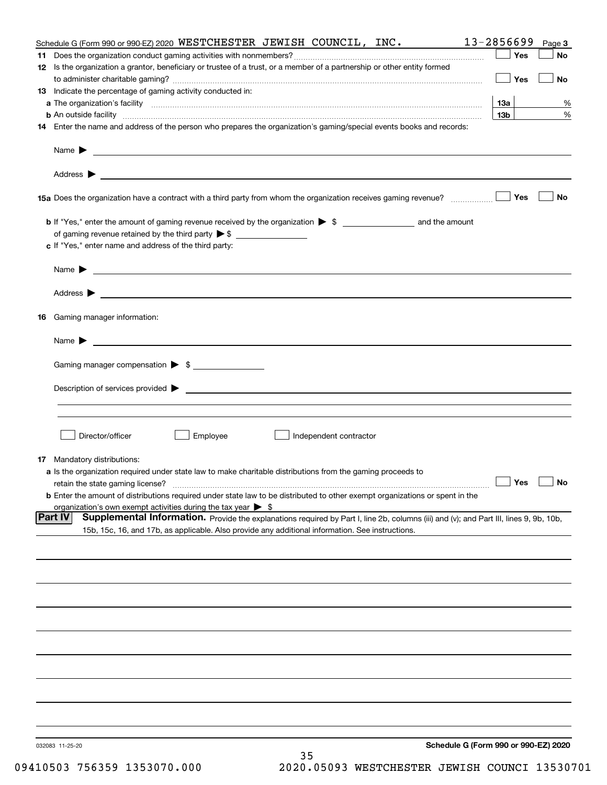|    | Schedule G (Form 990 or 990-EZ) 2020 WESTCHESTER JEWISH COUNCIL, INC.                                                                                                                                                                      | 13-2856699                           | Page 3 |
|----|--------------------------------------------------------------------------------------------------------------------------------------------------------------------------------------------------------------------------------------------|--------------------------------------|--------|
| 11 |                                                                                                                                                                                                                                            | Yes                                  | No     |
|    | 12 Is the organization a grantor, beneficiary or trustee of a trust, or a member of a partnership or other entity formed                                                                                                                   |                                      |        |
|    |                                                                                                                                                                                                                                            | Yes                                  | No     |
|    | 13 Indicate the percentage of gaming activity conducted in:                                                                                                                                                                                |                                      |        |
|    |                                                                                                                                                                                                                                            | 13а                                  | %      |
|    | <b>b</b> An outside facility <b>contained a contract and a contract of the contract of the contract of the contract of the contract of the contract of the contract of the contract of the contract of the contract of the contract o</b>  | 13 <sub>b</sub>                      | %      |
|    | 14 Enter the name and address of the person who prepares the organization's gaming/special events books and records:                                                                                                                       |                                      |        |
|    |                                                                                                                                                                                                                                            |                                      |        |
|    | Name $\blacktriangleright$<br><u>some started and the started and the started and the started and the started and the started and the started and</u>                                                                                      |                                      |        |
|    |                                                                                                                                                                                                                                            |                                      |        |
|    |                                                                                                                                                                                                                                            |                                      |        |
|    |                                                                                                                                                                                                                                            |                                      |        |
|    |                                                                                                                                                                                                                                            | Yes                                  | No     |
|    |                                                                                                                                                                                                                                            |                                      |        |
|    |                                                                                                                                                                                                                                            |                                      |        |
|    |                                                                                                                                                                                                                                            |                                      |        |
|    | c If "Yes," enter name and address of the third party:                                                                                                                                                                                     |                                      |        |
|    |                                                                                                                                                                                                                                            |                                      |        |
|    | Name $\blacktriangleright$<br><u> 1989 - Johann Barbara, marka a shekara ta 1989 - An tsara tsara tsara tsara tsara tsara tsara tsara tsara tsa</u>                                                                                        |                                      |        |
|    |                                                                                                                                                                                                                                            |                                      |        |
|    | Address ><br>the control of the control of the control of the control of the control of the control of the control of the control of the control of the control of the control of the control of the control of the control of the control |                                      |        |
|    |                                                                                                                                                                                                                                            |                                      |        |
|    | <b>16</b> Gaming manager information:                                                                                                                                                                                                      |                                      |        |
|    |                                                                                                                                                                                                                                            |                                      |        |
|    | Name $\blacktriangleright$                                                                                                                                                                                                                 |                                      |        |
|    |                                                                                                                                                                                                                                            |                                      |        |
|    | Gaming manager compensation > \$                                                                                                                                                                                                           |                                      |        |
|    |                                                                                                                                                                                                                                            |                                      |        |
|    |                                                                                                                                                                                                                                            |                                      |        |
|    |                                                                                                                                                                                                                                            |                                      |        |
|    |                                                                                                                                                                                                                                            |                                      |        |
|    | Director/officer<br>Employee<br>Independent contractor                                                                                                                                                                                     |                                      |        |
|    |                                                                                                                                                                                                                                            |                                      |        |
|    | <b>17</b> Mandatory distributions:                                                                                                                                                                                                         |                                      |        |
|    | a Is the organization required under state law to make charitable distributions from the gaming proceeds to                                                                                                                                |                                      |        |
|    | retain the state gaming license?                                                                                                                                                                                                           | $\Box$ Yes                           |        |
|    | <b>b</b> Enter the amount of distributions required under state law to be distributed to other exempt organizations or spent in the                                                                                                        |                                      |        |
|    | organization's own exempt activities during the tax year $\triangleright$ \$                                                                                                                                                               |                                      |        |
|    | <b>Part IV</b><br>Supplemental Information. Provide the explanations required by Part I, line 2b, columns (iii) and (v); and Part III, lines 9, 9b, 10b,                                                                                   |                                      |        |
|    | 15b, 15c, 16, and 17b, as applicable. Also provide any additional information. See instructions.                                                                                                                                           |                                      |        |
|    |                                                                                                                                                                                                                                            |                                      |        |
|    |                                                                                                                                                                                                                                            |                                      |        |
|    |                                                                                                                                                                                                                                            |                                      |        |
|    |                                                                                                                                                                                                                                            |                                      |        |
|    |                                                                                                                                                                                                                                            |                                      |        |
|    |                                                                                                                                                                                                                                            |                                      |        |
|    |                                                                                                                                                                                                                                            |                                      |        |
|    |                                                                                                                                                                                                                                            |                                      |        |
|    |                                                                                                                                                                                                                                            |                                      |        |
|    |                                                                                                                                                                                                                                            |                                      |        |
|    |                                                                                                                                                                                                                                            |                                      |        |
|    |                                                                                                                                                                                                                                            |                                      |        |
|    |                                                                                                                                                                                                                                            |                                      |        |
|    |                                                                                                                                                                                                                                            |                                      |        |
|    |                                                                                                                                                                                                                                            |                                      |        |
|    |                                                                                                                                                                                                                                            |                                      |        |
|    | 032083 11-25-20                                                                                                                                                                                                                            | Schedule G (Form 990 or 990-EZ) 2020 |        |
|    | 35                                                                                                                                                                                                                                         |                                      |        |
|    |                                                                                                                                                                                                                                            |                                      |        |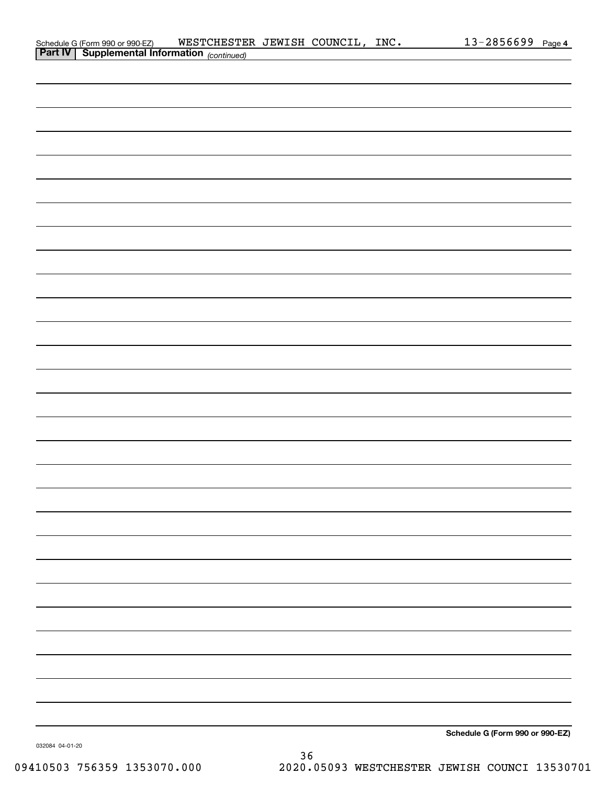| Schedule G (Form 990 or 990-EZ)                            | WESTCHESTER JEWISH COUNCIL, |  | INC. | $13 - 2856699$ Page 4 |  |
|------------------------------------------------------------|-----------------------------|--|------|-----------------------|--|
| <b>Part IV</b>   Supplemental Information $_{(continued)}$ |                             |  |      |                       |  |

| <b>Part IV Supplemental Information</b> (continued) |  |                                 |
|-----------------------------------------------------|--|---------------------------------|
|                                                     |  |                                 |
|                                                     |  |                                 |
|                                                     |  |                                 |
|                                                     |  |                                 |
|                                                     |  |                                 |
|                                                     |  |                                 |
|                                                     |  |                                 |
|                                                     |  |                                 |
|                                                     |  |                                 |
|                                                     |  |                                 |
|                                                     |  |                                 |
|                                                     |  |                                 |
|                                                     |  |                                 |
|                                                     |  |                                 |
|                                                     |  |                                 |
|                                                     |  |                                 |
|                                                     |  |                                 |
|                                                     |  |                                 |
|                                                     |  |                                 |
|                                                     |  |                                 |
|                                                     |  |                                 |
|                                                     |  |                                 |
|                                                     |  |                                 |
|                                                     |  |                                 |
|                                                     |  |                                 |
|                                                     |  |                                 |
|                                                     |  |                                 |
|                                                     |  |                                 |
|                                                     |  |                                 |
|                                                     |  |                                 |
|                                                     |  |                                 |
|                                                     |  |                                 |
|                                                     |  | Schedule G (Form 990 or 990-EZ) |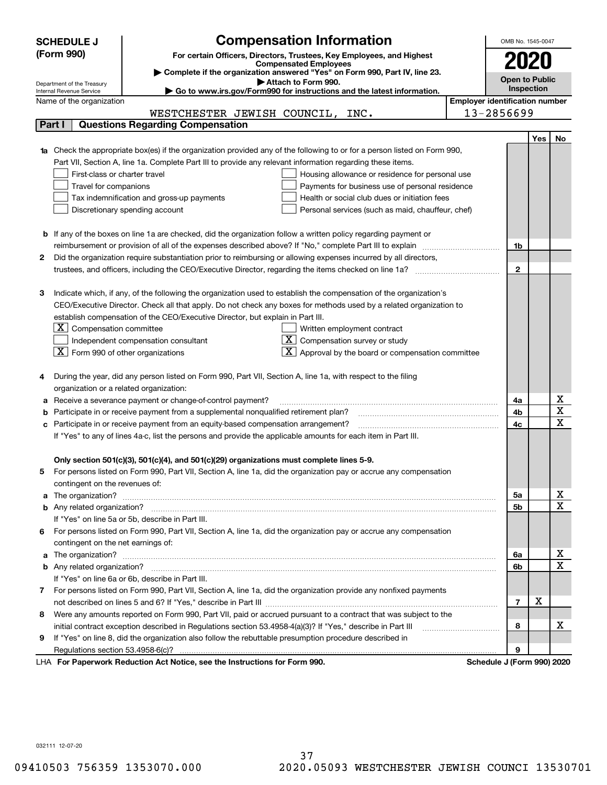|    | <b>SCHEDULE J</b>                                      | <b>Compensation Information</b>                                                                                                                                                                                                    |                                       | OMB No. 1545-0047          |            |                         |  |
|----|--------------------------------------------------------|------------------------------------------------------------------------------------------------------------------------------------------------------------------------------------------------------------------------------------|---------------------------------------|----------------------------|------------|-------------------------|--|
|    | (Form 990)                                             | For certain Officers, Directors, Trustees, Key Employees, and Highest                                                                                                                                                              |                                       |                            |            |                         |  |
|    |                                                        | <b>Compensated Employees</b>                                                                                                                                                                                                       |                                       |                            |            |                         |  |
|    |                                                        | Complete if the organization answered "Yes" on Form 990, Part IV, line 23.<br>Attach to Form 990.                                                                                                                                  |                                       | <b>Open to Public</b>      |            |                         |  |
|    | Department of the Treasury<br>Internal Revenue Service | Go to www.irs.gov/Form990 for instructions and the latest information.                                                                                                                                                             |                                       | Inspection                 |            |                         |  |
|    | Name of the organization                               |                                                                                                                                                                                                                                    | <b>Employer identification number</b> |                            |            |                         |  |
|    |                                                        | WESTCHESTER JEWISH COUNCIL, INC.                                                                                                                                                                                                   |                                       | 13-2856699                 |            |                         |  |
|    | Part I                                                 | <b>Questions Regarding Compensation</b>                                                                                                                                                                                            |                                       |                            |            |                         |  |
|    |                                                        |                                                                                                                                                                                                                                    |                                       |                            | <b>Yes</b> | No                      |  |
|    |                                                        | <b>1a</b> Check the appropriate box(es) if the organization provided any of the following to or for a person listed on Form 990,                                                                                                   |                                       |                            |            |                         |  |
|    |                                                        | Part VII, Section A, line 1a. Complete Part III to provide any relevant information regarding these items.                                                                                                                         |                                       |                            |            |                         |  |
|    | First-class or charter travel                          | Housing allowance or residence for personal use                                                                                                                                                                                    |                                       |                            |            |                         |  |
|    | Travel for companions                                  | Payments for business use of personal residence                                                                                                                                                                                    |                                       |                            |            |                         |  |
|    |                                                        | Tax indemnification and gross-up payments<br>Health or social club dues or initiation fees                                                                                                                                         |                                       |                            |            |                         |  |
|    |                                                        | Discretionary spending account<br>Personal services (such as maid, chauffeur, chef)                                                                                                                                                |                                       |                            |            |                         |  |
|    |                                                        |                                                                                                                                                                                                                                    |                                       |                            |            |                         |  |
|    |                                                        | <b>b</b> If any of the boxes on line 1a are checked, did the organization follow a written policy regarding payment or<br>reimbursement or provision of all of the expenses described above? If "No," complete Part III to explain |                                       | 1b                         |            |                         |  |
| 2  |                                                        | Did the organization require substantiation prior to reimbursing or allowing expenses incurred by all directors,                                                                                                                   |                                       |                            |            |                         |  |
|    |                                                        |                                                                                                                                                                                                                                    |                                       | $\mathbf{2}$               |            |                         |  |
|    |                                                        |                                                                                                                                                                                                                                    |                                       |                            |            |                         |  |
| з  |                                                        | Indicate which, if any, of the following the organization used to establish the compensation of the organization's                                                                                                                 |                                       |                            |            |                         |  |
|    |                                                        | CEO/Executive Director. Check all that apply. Do not check any boxes for methods used by a related organization to                                                                                                                 |                                       |                            |            |                         |  |
|    |                                                        | establish compensation of the CEO/Executive Director, but explain in Part III.                                                                                                                                                     |                                       |                            |            |                         |  |
|    | $ \mathbf{X} $ Compensation committee                  | Written employment contract                                                                                                                                                                                                        |                                       |                            |            |                         |  |
|    |                                                        | Compensation survey or study<br>Independent compensation consultant                                                                                                                                                                |                                       |                            |            |                         |  |
|    | $\boxed{\textbf{X}}$ Form 990 of other organizations   | Approval by the board or compensation committee                                                                                                                                                                                    |                                       |                            |            |                         |  |
|    |                                                        |                                                                                                                                                                                                                                    |                                       |                            |            |                         |  |
|    |                                                        | During the year, did any person listed on Form 990, Part VII, Section A, line 1a, with respect to the filing                                                                                                                       |                                       |                            |            |                         |  |
|    | organization or a related organization:                |                                                                                                                                                                                                                                    |                                       |                            |            |                         |  |
|    |                                                        | Receive a severance payment or change-of-control payment?                                                                                                                                                                          |                                       | 4a                         |            | x                       |  |
|    |                                                        | Participate in or receive payment from a supplemental nonqualified retirement plan?                                                                                                                                                |                                       | 4b                         |            | $\overline{\text{x}}$   |  |
| c  |                                                        | Participate in or receive payment from an equity-based compensation arrangement?                                                                                                                                                   |                                       | 4c                         |            | $\overline{\text{x}}$   |  |
|    |                                                        | If "Yes" to any of lines 4a-c, list the persons and provide the applicable amounts for each item in Part III.                                                                                                                      |                                       |                            |            |                         |  |
|    |                                                        |                                                                                                                                                                                                                                    |                                       |                            |            |                         |  |
|    |                                                        | Only section 501(c)(3), 501(c)(4), and 501(c)(29) organizations must complete lines 5-9.                                                                                                                                           |                                       |                            |            |                         |  |
| 5. |                                                        | For persons listed on Form 990, Part VII, Section A, line 1a, did the organization pay or accrue any compensation                                                                                                                  |                                       |                            |            |                         |  |
|    | contingent on the revenues of:                         |                                                                                                                                                                                                                                    |                                       |                            |            | <u>x</u>                |  |
|    |                                                        | a The organization? <b>Manual Community Community</b> Community Community Community Community Community Community Community                                                                                                        |                                       | 5a                         |            | $\overline{\mathbf{x}}$ |  |
|    |                                                        | If "Yes" on line 5a or 5b, describe in Part III.                                                                                                                                                                                   |                                       | 5b                         |            |                         |  |
|    |                                                        | For persons listed on Form 990, Part VII, Section A, line 1a, did the organization pay or accrue any compensation                                                                                                                  |                                       |                            |            |                         |  |
| 6. | contingent on the net earnings of:                     |                                                                                                                                                                                                                                    |                                       |                            |            |                         |  |
|    |                                                        |                                                                                                                                                                                                                                    |                                       | 6a                         |            | x                       |  |
|    |                                                        |                                                                                                                                                                                                                                    |                                       | 6b                         |            | $\overline{\mathbf{x}}$ |  |
|    |                                                        | If "Yes" on line 6a or 6b, describe in Part III.                                                                                                                                                                                   |                                       |                            |            |                         |  |
|    |                                                        | 7 For persons listed on Form 990, Part VII, Section A, line 1a, did the organization provide any nonfixed payments                                                                                                                 |                                       |                            |            |                         |  |
|    |                                                        |                                                                                                                                                                                                                                    |                                       | $\overline{7}$             | х          |                         |  |
| 8  |                                                        | Were any amounts reported on Form 990, Part VII, paid or accrued pursuant to a contract that was subject to the                                                                                                                    |                                       |                            |            |                         |  |
|    |                                                        |                                                                                                                                                                                                                                    |                                       | 8                          |            | х                       |  |
| 9  |                                                        | If "Yes" on line 8, did the organization also follow the rebuttable presumption procedure described in                                                                                                                             |                                       |                            |            |                         |  |
|    |                                                        |                                                                                                                                                                                                                                    |                                       | 9                          |            |                         |  |
|    |                                                        | rucerly Reduction Act Nation, see the Instructions for Form 000                                                                                                                                                                    |                                       | Pohodulo I (Form 000) 2020 |            |                         |  |

LHA For Paperwork Reduction Act Notice, see the Instructions for Form 990. Schedule J (Form 990) 2020

032111 12-07-20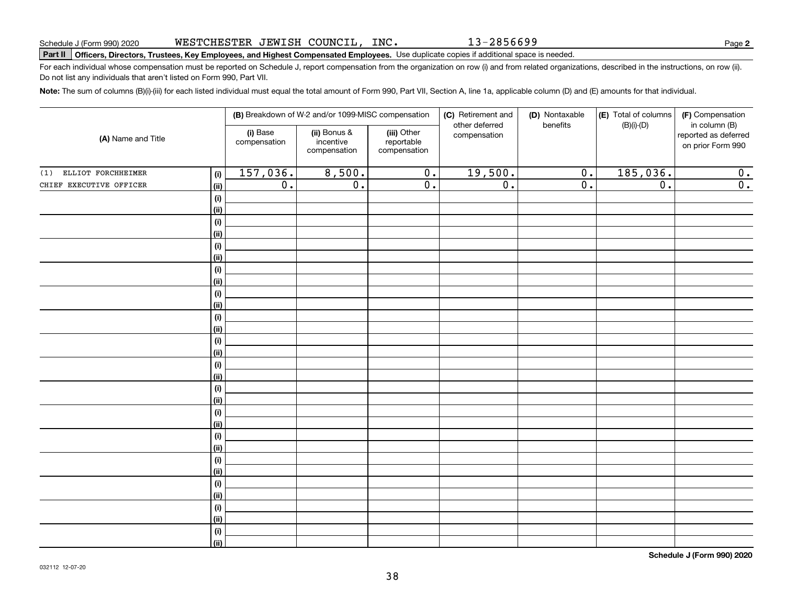**Note:**  The sum of columns (B)(i)-(iii) for each listed individual must equal the total amount of Form 990, Part VII, Section A, line 1a, applicable column (D) and (E) amounts for that individual.

WESTCHESTER JEWISH COUNCIL, INC.

| (A) Name and Title      |                              |                          | (B) Breakdown of W-2 and/or 1099-MISC compensation |                                           | (C) Retirement and             | (D) Nontaxable   | (E) Total of columns | (F) Compensation                                           |
|-------------------------|------------------------------|--------------------------|----------------------------------------------------|-------------------------------------------|--------------------------------|------------------|----------------------|------------------------------------------------------------|
|                         |                              | (i) Base<br>compensation | (ii) Bonus &<br>incentive<br>compensation          | (iii) Other<br>reportable<br>compensation | other deferred<br>compensation | benefits         | $(B)(i)$ - $(D)$     | in column (B)<br>reported as deferred<br>on prior Form 990 |
| (1) ELLIOT FORCHHEIMER  | (i)                          | 157,036.                 | 8,500.                                             | $\overline{0}$ .                          | 19,500.                        | $\overline{0}$ . | 185,036.             | 0.                                                         |
| CHIEF EXECUTIVE OFFICER | (ii)                         | $\overline{0}$ .         | $\overline{0}$ .                                   | $\overline{0}$ .                          | $\overline{0}$ .               | $\overline{0}$ . | $\overline{0}$ .     | $\overline{0}$ .                                           |
|                         | $(\sf{i})$                   |                          |                                                    |                                           |                                |                  |                      |                                                            |
|                         | (ii)                         |                          |                                                    |                                           |                                |                  |                      |                                                            |
|                         | $(\sf{i})$                   |                          |                                                    |                                           |                                |                  |                      |                                                            |
|                         | (ii)                         |                          |                                                    |                                           |                                |                  |                      |                                                            |
|                         | $\qquad \qquad \textbf{(i)}$ |                          |                                                    |                                           |                                |                  |                      |                                                            |
|                         | (ii)                         |                          |                                                    |                                           |                                |                  |                      |                                                            |
|                         | $(\sf{i})$                   |                          |                                                    |                                           |                                |                  |                      |                                                            |
|                         | (ii)                         |                          |                                                    |                                           |                                |                  |                      |                                                            |
|                         | $(\sf{i})$                   |                          |                                                    |                                           |                                |                  |                      |                                                            |
|                         | (i)                          |                          |                                                    |                                           |                                |                  |                      |                                                            |
|                         | $(\sf{i})$                   |                          |                                                    |                                           |                                |                  |                      |                                                            |
|                         | (ii)                         |                          |                                                    |                                           |                                |                  |                      |                                                            |
|                         | (i)                          |                          |                                                    |                                           |                                |                  |                      |                                                            |
|                         | (ii)                         |                          |                                                    |                                           |                                |                  |                      |                                                            |
|                         | $(\sf{i})$                   |                          |                                                    |                                           |                                |                  |                      |                                                            |
|                         | (ii)                         |                          |                                                    |                                           |                                |                  |                      |                                                            |
|                         | $(\sf{i})$                   |                          |                                                    |                                           |                                |                  |                      |                                                            |
|                         | (ii)                         |                          |                                                    |                                           |                                |                  |                      |                                                            |
|                         | $(\sf{i})$                   |                          |                                                    |                                           |                                |                  |                      |                                                            |
|                         | (ii)                         |                          |                                                    |                                           |                                |                  |                      |                                                            |
|                         | $(\sf{i})$<br>(ii)           |                          |                                                    |                                           |                                |                  |                      |                                                            |
|                         | $(\sf{i})$                   |                          |                                                    |                                           |                                |                  |                      |                                                            |
|                         | (ii)                         |                          |                                                    |                                           |                                |                  |                      |                                                            |
|                         | (i)                          |                          |                                                    |                                           |                                |                  |                      |                                                            |
|                         | (ii)                         |                          |                                                    |                                           |                                |                  |                      |                                                            |
|                         | $(\sf{i})$                   |                          |                                                    |                                           |                                |                  |                      |                                                            |
|                         | (ii)                         |                          |                                                    |                                           |                                |                  |                      |                                                            |
|                         | (i)                          |                          |                                                    |                                           |                                |                  |                      |                                                            |
|                         | (ii)                         |                          |                                                    |                                           |                                |                  |                      |                                                            |
|                         |                              |                          |                                                    |                                           |                                |                  |                      |                                                            |

**Schedule J (Form 990) 2020**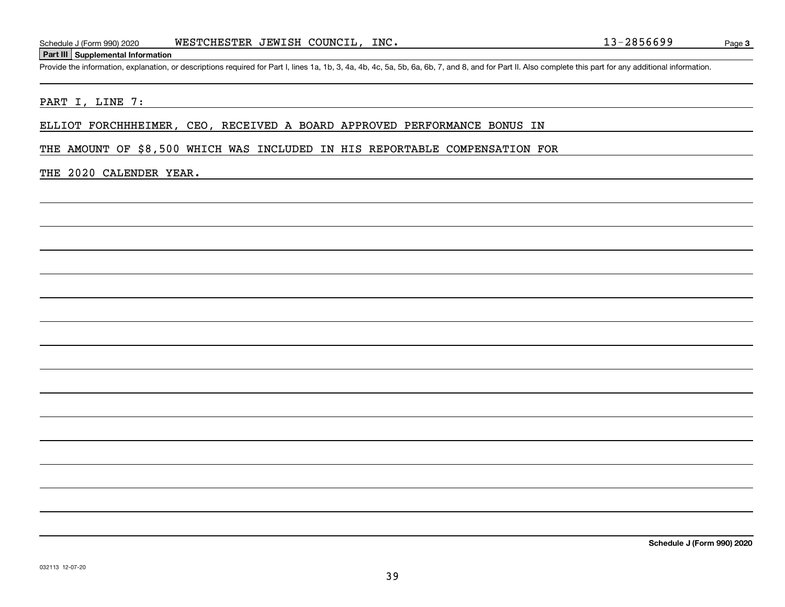#### **Part III Supplemental Information**

Schedule J (Form 990) 2020 WESTCHESTER JEWISH COUNCIL, INC.<br>Part III Supplemental Information<br>Provide the information, explanation, or descriptions required for Part I, lines 1a, 1b, 3, 4a, 4b, 4c, 5a, 5b, 6a, 6b, 7, and 8

#### PART I, LINE 7:

ELLIOT FORCHHHEIMER, CEO, RECEIVED A BOARD APPROVED PERFORMANCE BONUS IN

THE AMOUNT OF \$8,500 WHICH WAS INCLUDED IN HIS REPORTABLE COMPENSATION FOR

### THE 2020 CALENDER YEAR.

**Schedule J (Form 990) 2020**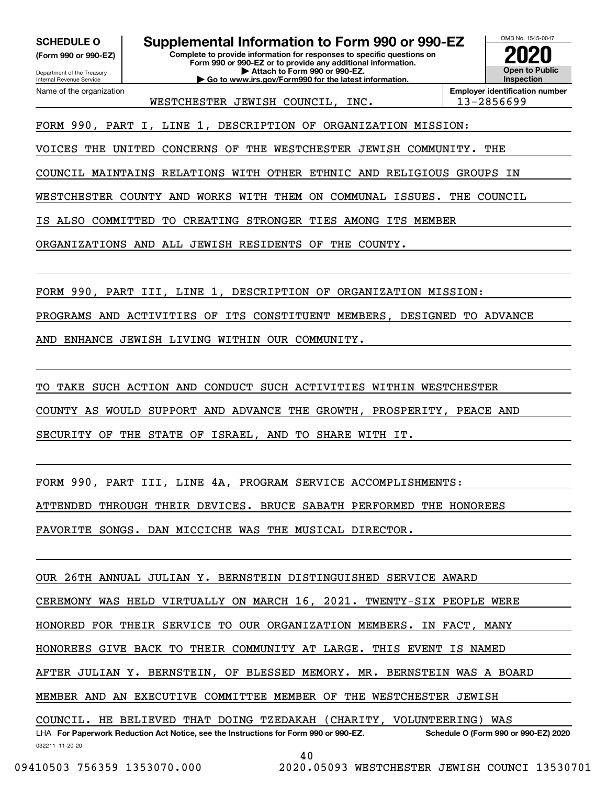**(Form 990 or 990-EZ)**

Department of the Treasury Internal Revenue Service Name of the organization

**SCHEDULE O Supplemental Information to Form 990 or 990-EZ**

**Complete to provide information for responses to specific questions on Form 990 or 990-EZ or to provide any additional information. | Attach to Form 990 or 990-EZ. | Go to www.irs.gov/Form990 for the latest information.**

**Open to Public Inspection2020**

OMB No. 1545-0047

WESTCHESTER JEWISH COUNCIL, INC. | 13-2856699

**Employer identification number**

FORM 990, PART I, LINE 1, DESCRIPTION OF ORGANIZATION MISSION:

VOICES THE UNITED CONCERNS OF THE WESTCHESTER JEWISH COMMUNITY. THE

COUNCIL MAINTAINS RELATIONS WITH OTHER ETHNIC AND RELIGIOUS GROUPS IN

WESTCHESTER COUNTY AND WORKS WITH THEM ON COMMUNAL ISSUES. THE COUNCIL

IS ALSO COMMITTED TO CREATING STRONGER TIES AMONG ITS MEMBER

ORGANIZATIONS AND ALL JEWISH RESIDENTS OF THE COUNTY.

FORM 990, PART III, LINE 1, DESCRIPTION OF ORGANIZATION MISSION:

PROGRAMS AND ACTIVITIES OF ITS CONSTITUENT MEMBERS, DESIGNED TO ADVANCE

AND ENHANCE JEWISH LIVING WITHIN OUR COMMUNITY.

TO TAKE SUCH ACTION AND CONDUCT SUCH ACTIVITIES WITHIN WESTCHESTER

COUNTY AS WOULD SUPPORT AND ADVANCE THE GROWTH, PROSPERITY, PEACE AND

SECURITY OF THE STATE OF ISRAEL, AND TO SHARE WITH IT.

FORM 990, PART III, LINE 4A, PROGRAM SERVICE ACCOMPLISHMENTS:

ATTENDED THROUGH THEIR DEVICES. BRUCE SABATH PERFORMED THE HONOREES

FAVORITE SONGS. DAN MICCICHE WAS THE MUSICAL DIRECTOR.

OUR 26TH ANNUAL JULIAN Y. BERNSTEIN DISTINGUISHED SERVICE AWARD

CEREMONY WAS HELD VIRTUALLY ON MARCH 16, 2021. TWENTY-SIX PEOPLE WERE

HONORED FOR THEIR SERVICE TO OUR ORGANIZATION MEMBERS. IN FACT, MANY

HONOREES GIVE BACK TO THEIR COMMUNITY AT LARGE. THIS EVENT IS NAMED

AFTER JULIAN Y. BERNSTEIN, OF BLESSED MEMORY. MR. BERNSTEIN WAS A BOARD

MEMBER AND AN EXECUTIVE COMMITTEE MEMBER OF THE WESTCHESTER JEWISH

032211 11-20-20 LHA For Paperwork Reduction Act Notice, see the Instructions for Form 990 or 990-EZ. Schedule O (Form 990 or 990-EZ) 2020 COUNCIL. HE BELIEVED THAT DOING TZEDAKAH (CHARITY, VOLUNTEERING) WAS

40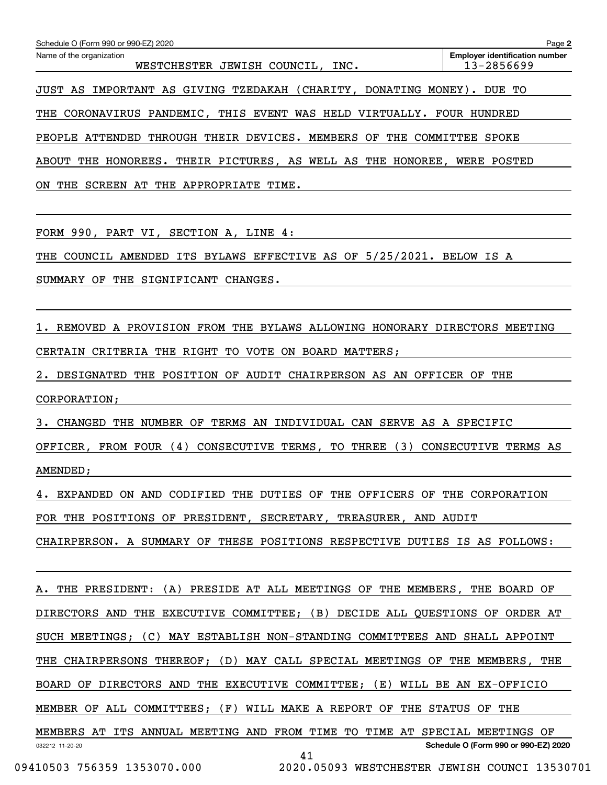| Schedule O (Form 990 or 990-EZ) 2020                                          | Page 2                                              |
|-------------------------------------------------------------------------------|-----------------------------------------------------|
| Name of the organization<br>WESTCHESTER JEWISH COUNCIL, INC.                  | <b>Employer identification number</b><br>13-2856699 |
| JUST AS IMPORTANT AS GIVING TZEDAKAH (CHARITY, DONATING MONEY). DUE TO        |                                                     |
| THE CORONAVIRUS PANDEMIC, THIS EVENT WAS HELD VIRTUALLY.                      | HUNDRED<br>FOUR                                     |
| THROUGH THEIR DEVICES. MEMBERS OF<br>THE COMMITTEE<br>PEOPLE ATTENDED         | SPOKE                                               |
| THEIR PICTURES, AS WELL AS THE HONOREE, WERE POSTED<br>THE HONOREES.<br>ABOUT |                                                     |
| THE APPROPRIATE<br>THE<br>ON<br>SCREEN AT<br>TIME.                            |                                                     |

FORM 990, PART VI, SECTION A, LINE 4:

THE COUNCIL AMENDED ITS BYLAWS EFFECTIVE AS OF 5/25/2021. BELOW IS A

SUMMARY OF THE SIGNIFICANT CHANGES.

1. REMOVED A PROVISION FROM THE BYLAWS ALLOWING HONORARY DIRECTORS MEETING CERTAIN CRITERIA THE RIGHT TO VOTE ON BOARD MATTERS;

2. DESIGNATED THE POSITION OF AUDIT CHAIRPERSON AS AN OFFICER OF THE CORPORATION;

3. CHANGED THE NUMBER OF TERMS AN INDIVIDUAL CAN SERVE AS A SPECIFIC

OFFICER, FROM FOUR (4) CONSECUTIVE TERMS, TO THREE (3) CONSECUTIVE TERMS AS AMENDED;

4. EXPANDED ON AND CODIFIED THE DUTIES OF THE OFFICERS OF THE CORPORATION FOR THE POSITIONS OF PRESIDENT, SECRETARY, TREASURER, AND AUDIT CHAIRPERSON. A SUMMARY OF THESE POSITIONS RESPECTIVE DUTIES IS AS FOLLOWS:

032212 11-20-20 **Schedule O (Form 990 or 990-EZ) 2020** A. THE PRESIDENT: (A) PRESIDE AT ALL MEETINGS OF THE MEMBERS, THE BOARD OF DIRECTORS AND THE EXECUTIVE COMMITTEE; (B) DECIDE ALL QUESTIONS OF ORDER AT SUCH MEETINGS; (C) MAY ESTABLISH NON-STANDING COMMITTEES AND SHALL APPOINT THE CHAIRPERSONS THEREOF; (D) MAY CALL SPECIAL MEETINGS OF THE MEMBERS, THE BOARD OF DIRECTORS AND THE EXECUTIVE COMMITTEE; (E) WILL BE AN EX-OFFICIO MEMBER OF ALL COMMITTEES; (F) WILL MAKE A REPORT OF THE STATUS OF THE MEMBERS AT ITS ANNUAL MEETING AND FROM TIME TO TIME AT SPECIAL MEETINGS OF 41

```
 09410503 756359 1353070.000 2020.05093 WESTCHESTER JEWISH COUNCI 13530701
```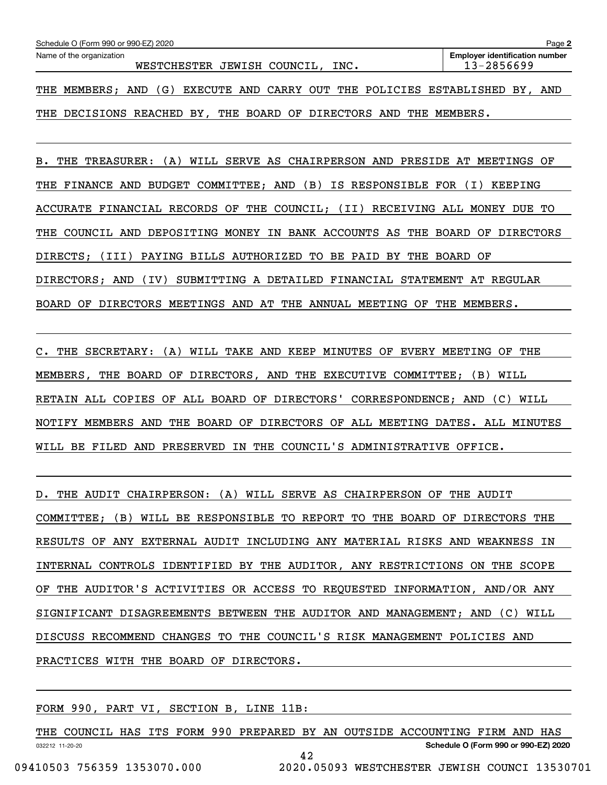| Schedule O (Form 990 or 990-EZ) 2020<br>Page 2 |            |                                  |  |  |  |  |                                                    |  |                                                         |  |     |
|------------------------------------------------|------------|----------------------------------|--|--|--|--|----------------------------------------------------|--|---------------------------------------------------------|--|-----|
| Name of the organization                       |            | WESTCHESTER JEWISH COUNCIL, INC. |  |  |  |  |                                                    |  | <b>Employer identification number</b><br>$13 - 2856699$ |  |     |
| THE MEMBERS;                                   | (G)<br>AND |                                  |  |  |  |  | EXECUTE AND CARRY OUT THE POLICIES ESTABLISHED BY, |  |                                                         |  | AND |

THE DECISIONS REACHED BY, THE BOARD OF DIRECTORS AND THE MEMBERS.

B. THE TREASURER: (A) WILL SERVE AS CHAIRPERSON AND PRESIDE AT MEETINGS OF THE FINANCE AND BUDGET COMMITTEE; AND (B) IS RESPONSIBLE FOR (I) KEEPING ACCURATE FINANCIAL RECORDS OF THE COUNCIL; (II) RECEIVING ALL MONEY DUE TO THE COUNCIL AND DEPOSITING MONEY IN BANK ACCOUNTS AS THE BOARD OF DIRECTORS DIRECTS; (III) PAYING BILLS AUTHORIZED TO BE PAID BY THE BOARD OF DIRECTORS; AND (IV) SUBMITTING A DETAILED FINANCIAL STATEMENT AT REGULAR BOARD OF DIRECTORS MEETINGS AND AT THE ANNUAL MEETING OF THE MEMBERS.

C. THE SECRETARY: (A) WILL TAKE AND KEEP MINUTES OF EVERY MEETING OF THE MEMBERS, THE BOARD OF DIRECTORS, AND THE EXECUTIVE COMMITTEE; (B) WILL RETAIN ALL COPIES OF ALL BOARD OF DIRECTORS' CORRESPONDENCE; AND (C) WILL NOTIFY MEMBERS AND THE BOARD OF DIRECTORS OF ALL MEETING DATES. ALL MINUTES WILL BE FILED AND PRESERVED IN THE COUNCIL'S ADMINISTRATIVE OFFICE.

D. THE AUDIT CHAIRPERSON: (A) WILL SERVE AS CHAIRPERSON OF THE AUDIT COMMITTEE; (B) WILL BE RESPONSIBLE TO REPORT TO THE BOARD OF DIRECTORS THE RESULTS OF ANY EXTERNAL AUDIT INCLUDING ANY MATERIAL RISKS AND WEAKNESS IN INTERNAL CONTROLS IDENTIFIED BY THE AUDITOR, ANY RESTRICTIONS ON THE SCOPE OF THE AUDITOR'S ACTIVITIES OR ACCESS TO REQUESTED INFORMATION, AND/OR ANY SIGNIFICANT DISAGREEMENTS BETWEEN THE AUDITOR AND MANAGEMENT; AND (C) WILL DISCUSS RECOMMEND CHANGES TO THE COUNCIL'S RISK MANAGEMENT POLICIES AND PRACTICES WITH THE BOARD OF DIRECTORS.

FORM 990, PART VI, SECTION B, LINE 11B:

032212 11-20-20 **Schedule O (Form 990 or 990-EZ) 2020** THE COUNCIL HAS ITS FORM 990 PREPARED BY AN OUTSIDE ACCOUNTING FIRM AND HAS 42 09410503 756359 1353070.000 2020.05093 WESTCHESTER JEWISH COUNCI 13530701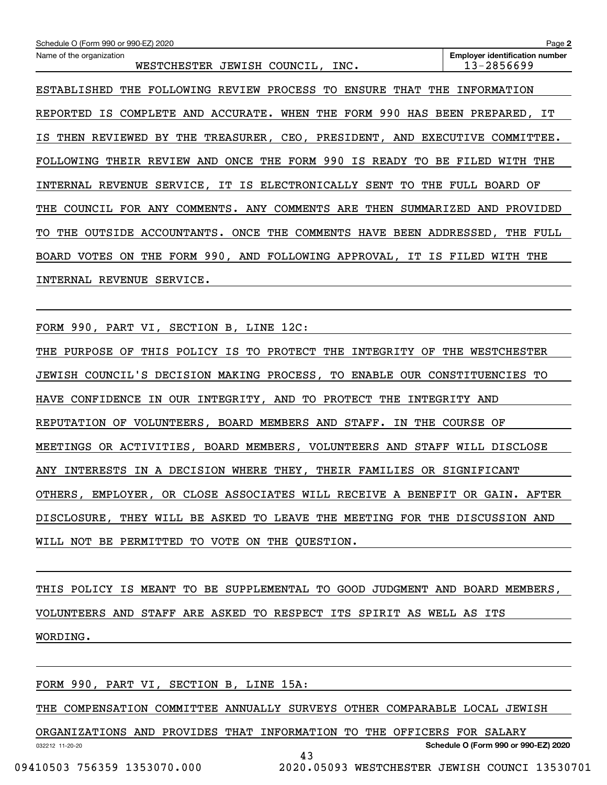| Schedule O (Form 990 or 990-EZ) 2020                                                                                | Page 2                         |  |  |  |  |  |
|---------------------------------------------------------------------------------------------------------------------|--------------------------------|--|--|--|--|--|
| <b>Employer identification number</b><br>Name of the organization<br>13-2856699<br>WESTCHESTER JEWISH COUNCIL, INC. |                                |  |  |  |  |  |
| FOLLOWING REVIEW PROCESS TO<br>ENSURE<br>THAT<br>THE<br>ESTABLISHED<br>THE                                          | INFORMATION                    |  |  |  |  |  |
| 990<br>ACCURATE.<br>WHEN THE<br>FORM<br>HAS<br>REPORTED<br>ΙS<br>COMPLETE<br>AND                                    | BEEN PREPARED, IT              |  |  |  |  |  |
| THE<br>TREASURER, CEO, PRESIDENT, AND<br>THEN<br>REVIEWED<br>BY<br>IS.                                              | <b>EXECUTIVE</b><br>COMMITTEE. |  |  |  |  |  |
| FORM 990<br>IS<br>AND<br>ONCE THE<br>READY<br>TO.<br>BE<br><b>FOLLOWING</b><br>THEIR<br>REVIEW                      | THE<br>FILED<br>WTTH           |  |  |  |  |  |
| INTERNAL REVENUE SERVICE, IT IS ELECTRONICALLY<br>TO<br>SENT<br>THE                                                 | FULL.<br>BOARD<br>OF           |  |  |  |  |  |
| COUNCIL<br>COMMENTS. ANY COMMENTS<br>ARE<br>SUMMARIZED<br>THE<br>FOR ANY<br>THEN                                    | PROVIDED<br>AND                |  |  |  |  |  |
| ONCE<br>THE<br><b>COMMENTS</b><br><b>HAVE</b><br>THE<br>OUTSIDE<br>ACCOUNTANTS.<br>TO.                              | BEEN ADDRESSED,<br>THE<br>FULL |  |  |  |  |  |
| FORM 990, AND FOLLOWING APPROVAL,<br><b>VOTES</b><br>THE<br>IT<br>BOARD<br>ON.<br>IS                                | FILED<br>WITH<br>THE           |  |  |  |  |  |
| <b>REVENUE</b><br>SERVICE.<br>INTERNAL                                                                              |                                |  |  |  |  |  |

FORM 990, PART VI, SECTION B, LINE 12C:

THE PURPOSE OF THIS POLICY IS TO PROTECT THE INTEGRITY OF THE WESTCHESTER JEWISH COUNCIL'S DECISION MAKING PROCESS, TO ENABLE OUR CONSTITUENCIES TO HAVE CONFIDENCE IN OUR INTEGRITY, AND TO PROTECT THE INTEGRITY AND REPUTATION OF VOLUNTEERS, BOARD MEMBERS AND STAFF. IN THE COURSE OF MEETINGS OR ACTIVITIES, BOARD MEMBERS, VOLUNTEERS AND STAFF WILL DISCLOSE ANY INTERESTS IN A DECISION WHERE THEY, THEIR FAMILIES OR SIGNIFICANT OTHERS, EMPLOYER, OR CLOSE ASSOCIATES WILL RECEIVE A BENEFIT OR GAIN. AFTER DISCLOSURE, THEY WILL BE ASKED TO LEAVE THE MEETING FOR THE DISCUSSION AND WILL NOT BE PERMITTED TO VOTE ON THE QUESTION.

THIS POLICY IS MEANT TO BE SUPPLEMENTAL TO GOOD JUDGMENT AND BOARD MEMBERS, VOLUNTEERS AND STAFF ARE ASKED TO RESPECT ITS SPIRIT AS WELL AS ITS WORDING.

FORM 990, PART VI, SECTION B, LINE 15A:

THE COMPENSATION COMMITTEE ANNUALLY SURVEYS OTHER COMPARABLE LOCAL JEWISH

032212 11-20-20 **Schedule O (Form 990 or 990-EZ) 2020** ORGANIZATIONS AND PROVIDES THAT INFORMATION TO THE OFFICERS FOR SALARY 43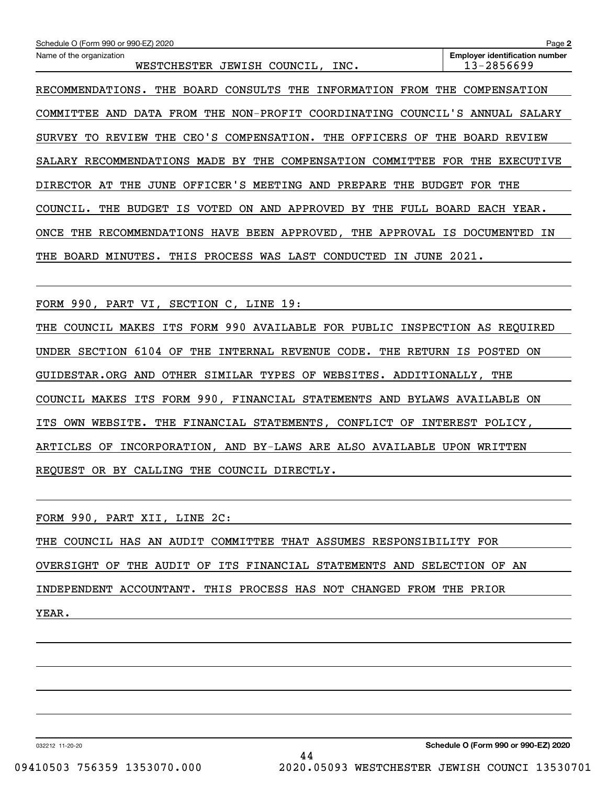| Schedule O (Form 990 or 990-EZ) 2020                                                          | Page 2                                              |
|-----------------------------------------------------------------------------------------------|-----------------------------------------------------|
| Name of the organization<br>WESTCHESTER<br>JEWISH COUNCIL,<br>INC.                            | <b>Employer identification number</b><br>13-2856699 |
| RECOMMENDATIONS.<br>THE<br>BOARD<br>CONSULTS THE<br>INFORMATION FROM                          | COMPENSATION<br>THE                                 |
| DATA FROM THE<br>NON-PROFIT COORDINATING<br>COUNCIL'S<br>COMMITTEE<br>AND                     | ANNUAL SALARY                                       |
| CEO'S<br><b>REVIEW</b><br>THE<br>COMPENSATION. THE<br>OFFICERS<br>OF<br>SURVEY<br>TО          | <b>BOARD</b><br>THE<br><b>REVIEW</b>                |
| RECOMMENDATIONS MADE<br>BY<br>THE<br>COMPENSATION COMMITTEE<br>SALARY                         | FOR<br>THE<br>EXECUTIVE                             |
| OFFICER'S MEETING AND<br>DIRECTOR AT<br>THE<br>JUNE<br>PREPARE<br>THE                         | BUDGET FOR<br>THE                                   |
| COUNCIL.<br>THE<br><b>BUDGET</b><br>IS<br>VOTED<br>ON<br>AND<br>APPROVED<br>BY<br>THE<br>FULL | BOARD<br>EACH YEAR.                                 |
| ONCE<br>THE<br>RECOMMENDATIONS HAVE BEEN APPROVED, THE APPROVAL                               | IS<br>DOCUMENTED<br>ΙN                              |
| JUNE<br><b>BOARD</b><br>MINUTES.<br>THIS<br>PROCESS<br>WAS LAST<br>CONDUCTED<br>THE<br>ΙN     | 2021.                                               |
|                                                                                               |                                                     |
| FORM 990, PART VI,<br>SECTION C, LINE 19:                                                     |                                                     |
| FORM 990 AVAILABLE FOR PUBLIC<br>COUNCIL<br><b>ITS</b><br>MAKES<br>THE                        | INSPECTION AS<br>REOUIRED                           |
| UNDER SECTION 6104 OF<br>THE<br>INTERNAL REVENUE<br>CODE.                                     | THE RETURN IS POSTED<br>ON                          |

FORM 990, PART XII, LINE 2C:

REQUEST OR BY CALLING THE COUNCIL DIRECTLY.

THE COUNCIL HAS AN AUDIT COMMITTEE THAT ASSUMES RESPONSIBILITY FOR OVERSIGHT OF THE AUDIT OF ITS FINANCIAL STATEMENTS AND SELECTION OF AN INDEPENDENT ACCOUNTANT. THIS PROCESS HAS NOT CHANGED FROM THE PRIOR YEAR.

GUIDESTAR.ORG AND OTHER SIMILAR TYPES OF WEBSITES. ADDITIONALLY, THE

COUNCIL MAKES ITS FORM 990, FINANCIAL STATEMENTS AND BYLAWS AVAILABLE ON

ITS OWN WEBSITE. THE FINANCIAL STATEMENTS, CONFLICT OF INTEREST POLICY,

ARTICLES OF INCORPORATION, AND BY-LAWS ARE ALSO AVAILABLE UPON WRITTEN

032212 11-20-20